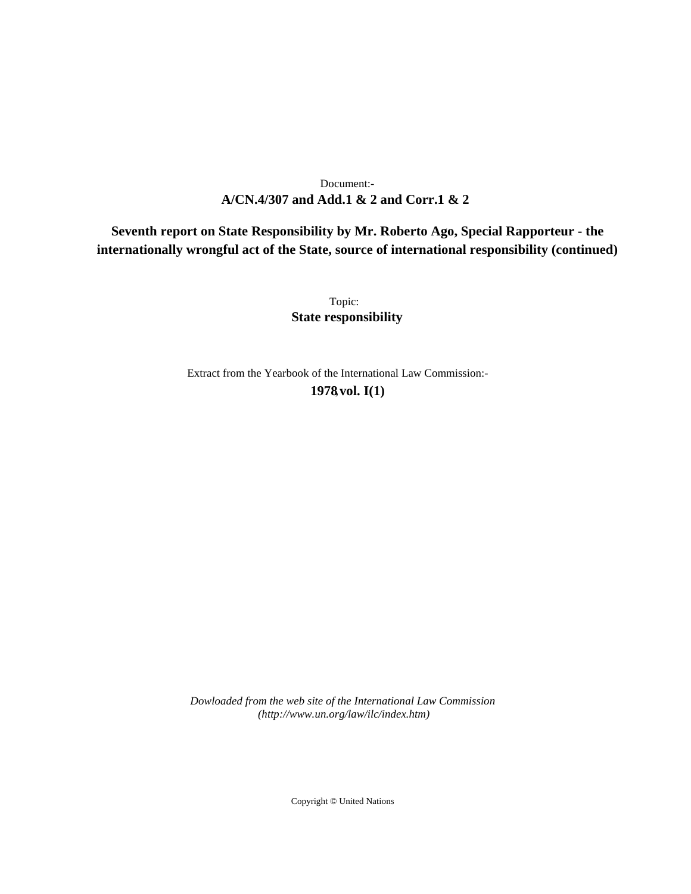# **A/CN.4/307 and Add.1 & 2 and Corr.1 & 2** Document:-

**Seventh report on State Responsibility by Mr. Roberto Ago, Special Rapporteur - the internationally wrongful act of the State, source of international responsibility (continued)**

> Topic: **State responsibility**

Extract from the Yearbook of the International Law Commission:- **1978** ,**vol. I(1)**

*Dowloaded from the web site of the International Law Commission (http://www.un.org/law/ilc/index.htm)*

Copyright © United Nations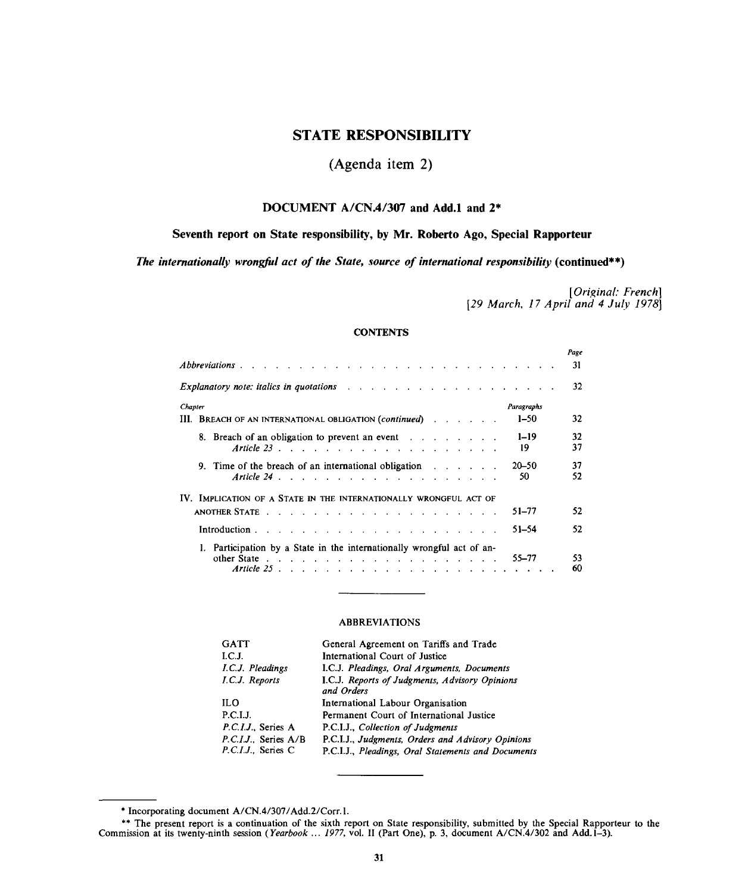# **STATE RESPONSIBILITY**

# **(Agenda item 2)**

# **DOCUMENT A/CN.4/307 and Add.l and 2\***

# **Seventh report on State responsibility, by Mr. Roberto Ago, Special Rapporteur**

*The internationally wrongful act of the State, source of international responsibility* **(continued\*\*)**

*[Original: French] [29 March, 17 April and 4 July 1978}*

# **CONTENTS**

|         |                                                                                                        | Page<br>31 |
|---------|--------------------------------------------------------------------------------------------------------|------------|
|         |                                                                                                        | 32         |
| Chapter | Paragraphs                                                                                             |            |
|         | $1 - 50$<br>III. BREACH OF AN INTERNATIONAL OBLIGATION (continued)                                     | 32         |
|         | $1 - 19$<br>8. Breach of an obligation to prevent an event<br>19                                       | 32<br>37   |
|         | $20 - 50$<br>9. Time of the breach of an international obligation $\cdots$<br>50                       | 37<br>52   |
|         | IV. IMPLICATION OF A STATE IN THE INTERNATIONALLY WRONGFUL ACT OF                                      |            |
|         | 51-77                                                                                                  | 52         |
|         | 51–54<br>Introduction $\cdots$ $\cdots$ $\cdots$ $\cdots$ $\cdots$ $\cdots$ $\cdots$ $\cdots$ $\cdots$ | 52         |
|         | Participation by a State in the internationally wrongful act of an-<br>$55 - 77$<br>Article $25$       | 53<br>60   |

## ABBREVIATIONS

| <b>GATT</b>                              | General Agreement on Tariffs and Trade                                                                  |
|------------------------------------------|---------------------------------------------------------------------------------------------------------|
| I.C.J.                                   | International Court of Justice                                                                          |
| I.C.J. Pleadings                         | I.C.J. Pleadings, Oral Arguments, Documents                                                             |
| I.C.J. Reports                           | I.C.J. Reports of Judgments, Advisory Opinions<br>and Orders                                            |
| <b>ILO</b>                               | International Labour Organisation                                                                       |
| <b>P.C.I.J.</b>                          | Permanent Court of International Justice                                                                |
| P.C.I.J., Series A                       | P.C.I.J., Collection of Judgments                                                                       |
| P.C.I.J Series A/B<br>P.C.I.J., Series C | P.C.I.J., Judgments, Orders and Advisory Opinions<br>P.C.I.J., Pleadings, Oral Statements and Documents |
|                                          |                                                                                                         |

*<sup>\*</sup>* Incorporating document A/CN.4/307/Add.2/Corr.l.

<sup>\*\*</sup> The present report is a continuation of the sixth report on State responsibility, submitted by the Special Rapporteur to the Commission at its twenty-ninth session *(Yearbook* ... *1977,* vol. II (Part One), p. 3, document A/CN.4/302 and Add. 1-3).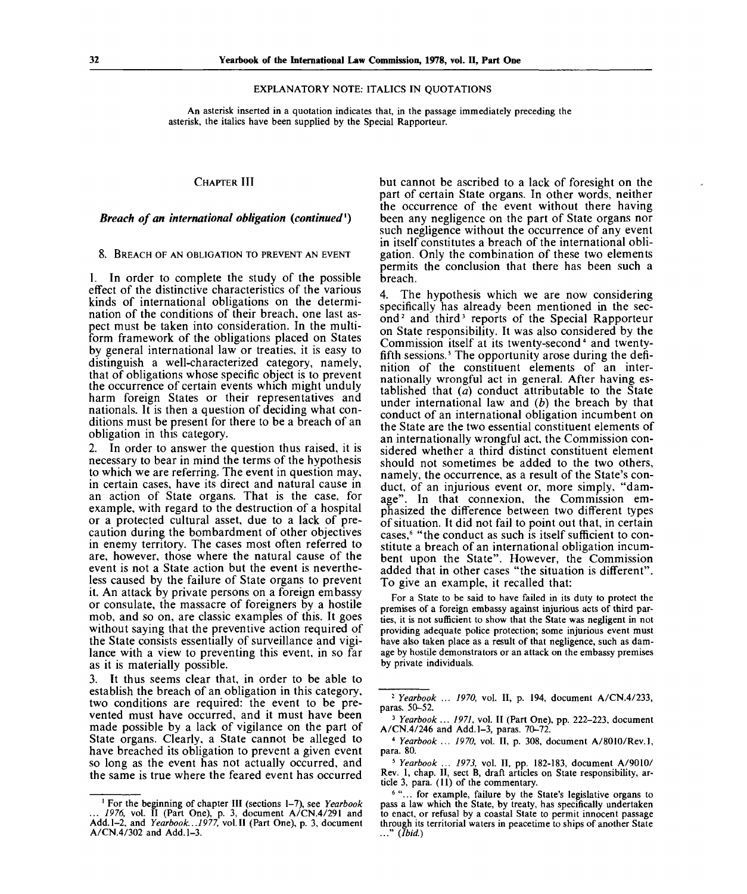#### EXPLANATORY NOTE: ITALICS IN QUOTATIONS

An asterisk inserted in a quotation indicates that, in the passage immediately preceding the asterisk, the italics have been supplied by the Special Rapporteur.

### CHAPTER III

# *Breach of an international obligation (continued<sup>1</sup> )*

8. BREACH OF AN OBLIGATION TO PREVENT AN EVENT

1. In order to complete the study of the possible effect of the distinctive characteristics of the various kinds of international obligations on the determination of the conditions of their breach, one last aspect must be taken into consideration. In the multiform framework of the obligations placed on States by general international law or treaties, it is easy to distinguish a well-characterized category, namely, that of obligations whose specific object is to prevent the occurrence of certain events which might unduly harm foreign States or their representatives and nationals. It is then a question of deciding what conditions must be present for there to be a breach of an obligation in this category.

2. In order to answer the question thus raised, it is necessary to bear in mind the terms of the hypothesis to which we are referring. The event in question may, in certain cases, have its direct and natural cause in an action of State organs. That is the case, for example, with regard to the destruction of a hospital or a protected cultural asset, due to a lack of precaution during the bombardment of other objectives in enemy territory. The cases most often referred to are, however, those where the natural cause of the event is not a State action but the event is nevertheless caused by the failure of State organs to prevent it. An attack by private persons on a foreign embassy or consulate, the massacre of foreigners by a hostile mob, and so on, are classic examples of this. It goes without saying that the preventive action required of the State consists essentially of surveillance and vigilance with a view to preventing this event, in so far as it is materially possible.

3. It thus seems clear that, in order to be able to establish the breach of an obligation in this category, two conditions are required: the event to be prevented must have occurred, and it must have been made possible by a lack of vigilance on the part of State organs. Clearly, a State cannot be alleged to have breached its obligation to prevent a given event so long as the event has not actually occurred, and the same is true where the feared event has occurred

but cannot be ascribed to a lack of foresight on the part of certain State organs. In other words, neither the occurrence of the event without there having been any negligence on the part of State organs nor such negligence without the occurrence of any event in itself constitutes a breach of the international obligation. Only the combination of these two elements permits the conclusion that there has been such a breach.

4. The hypothesis which we are now considering specifically has already been mentioned in the second<sup>2</sup> and third<sup>3</sup> reports of the Special Rapporteur on State responsibility. It was also considered by the  $Commission$  itself at its twenty-second $4$  and twentyfifth sessions.<sup>5</sup> The opportunity arose during the definition of the constituent elements of an internationally wrongful act in general. After having established that  $\overline{a}$  conduct attributable to the State under international law and *(b)* the breach by that conduct of an international obligation incumbent on the State are the two essential constituent elements of an internationally wrongful act, the Commission considered whether a third distinct constituent element should not sometimes be added to the two others, namely, the occurrence, as a result of the State's conduct, of an injurious event or, more simply, "damage". In that connexion, the Commission emphasized the difference between two different types of situation. It did not fail to point out that, in certain cases,<sup>6</sup> "the conduct as such is itself sufficient to constitute a breach of an international obligation incumbent upon the State". However, the Commission added that in other cases "the situation is different". To give an example, it recalled that:

For a State to be said to have failed in its duty to protect the premises of a foreign embassy against injurious acts of third parties, it is not sufficient to show that the State was negligent in not providing adequate police protection; some injurious event must have also taken place as a result of that negligence, such as damage by hostile demonstrators or an attack on the embassy premises by private individuals.

<sup>1</sup> For the beginning of chapter III (sections 1-7), see *Yearbook ... 1976,* vol. II (Part One), p. 3, document A/CN.4/291 and Add. 1-2, and *Yearbook... 1977,* vol.11 (Part One), p. 3, document A/CN.4/302 and Add. 1-3.

<sup>2</sup>  *Yearbook* ... *1970,* vol. II, p. 194, document A/CN.4/233, paras. 50-52.

<sup>3</sup>  *Yearbook ... 1971,* vol. II (Part One), pp. 222-223, document A/CN.4/246 and Add. 1-3, paras. 70-72.

<sup>4</sup>  *Yearbook ... 1970,* vol. II, p. 308, document A/8010/Rev.l, para. 80.

<sup>5</sup>  *Yearbook* ... *1973,* vol. II, pp. 182-183, document A/9010/ Rev. 1, chap. II, sect B, draft articles on State responsibility, article 3, para. (11) of the commentary.

<sup>&</sup>lt;sup>6</sup> "... for example, failure by the State's legislative organs to pass a law which the State, by treaty, has specifically undertaken to enact, or refusal by a coastal State to permit innocent passage through its territorial waters in peacetime to ships of another State ..." *(Ibid.)*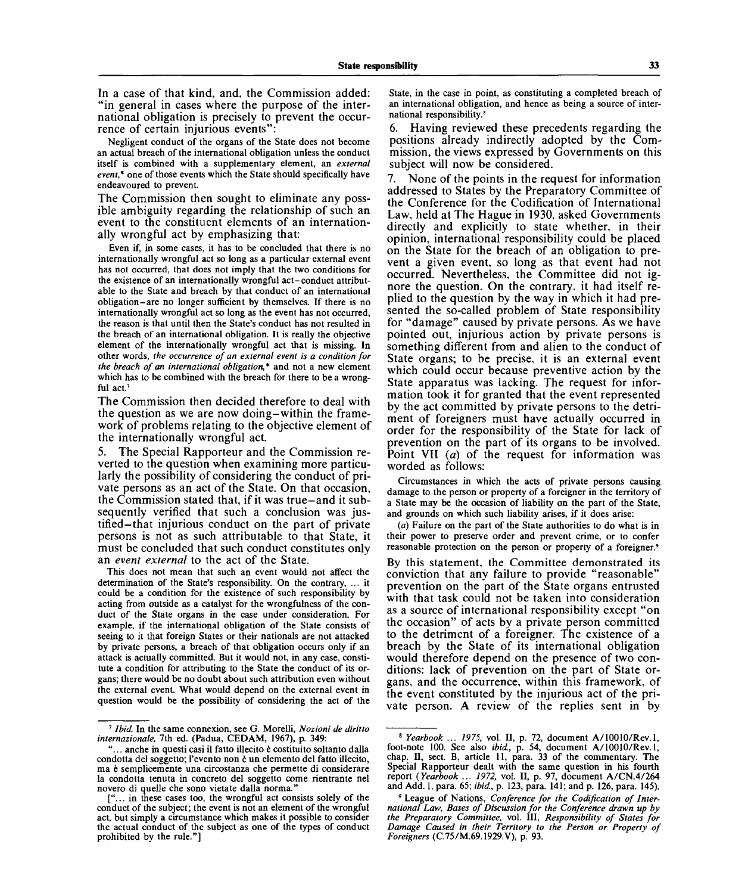In a case of that kind, and, the Commission added: "in general in cases where the purpose of the international obligation is precisely to prevent the occurrence of certain injurious events"

Negligent conduct of the organs of the State does not become an actual breach of the international obligation unless the conduct itself is combined with a supplementary element, an *external event\** one of those events which the State should specifically have endeavoured to prevent.

The Commission then sought to eliminate any possible ambiguity regarding the relationship of such an event to the constituent elements of an internationally wrongful act by emphasizing that:

Even if, in some cases, it has to be concluded that there is no internationally wrongful act so long as a particular external event has not occurred, that does not imply that the two conditions for the existence of an internationally wrongful act-conduct attributable to the State and breach by that conduct of an international obligation-are no longer sufficient by themselves. If there is no internationally wrongful act so long as the event has not occurred, the reason is that until then the State's conduct has not resulted in the breach of an international obligation. It is really the objective element of the internationally wrongful act that is missing. In other words, *the occurrence of an external event is a condition for the breach of an international obligation,\** and not a new element which has to be combined with the breach for there to be a wrongful act.

The Commission then decided therefore to deal with the question as we are now doing-within the framework of problems relating to the objective element of the internationally wrongful act.

The Special Rapporteur and the Commission reverted to the question when examining more particularly the possibility of considering the conduct of private persons as an act of the State. On that occasion, the Commission stated that, if it was true-and it subsequently verified that such a conclusion was justified—that injurious conduct on the part of private persons is not as such attributable to that State, it must be concluded that such conduct constitutes only an *event external* to the act of the State.

This does not mean that such an event would not affect the determination of the State's responsibility. On the contrary, ... it could be a condition for the existence of such responsibility by acting from outside as a catalyst for the wrongfulness of the conduct of the State organs in the case under consideration. For example, if the international obligation of the State consists of seeing to it that foreign States or their nationals are not attacked by private persons, a breach of that obligation occurs only if an attack is actually committed. But it would not, in any case, constitute a condition for attributing to the State the conduct of its organs; there would be no doubt about such attribution even without the external event. What would depend on the external event in question would be the possibility of considering the act of the State, in the case in point, as constituting a completed breach of an international obligation, and hence as being a source of international responsibility.<sup>8</sup>

6. Having reviewed these precedents regarding the positions already indirectly adopted by the Commission, the views expressed by Governments on this subject will now be considered.

7. None of the points in the request for information addressed to States by the Preparatory Committee of the Conference for the Codification of International Law, held at The Hague in 1930, asked Governments directly and explicitly to state whether, in their opinion, international responsibility could be placed on the State for the breach of an obligation to prevent a given event, so long as that event had not occurred. Nevertheless, the Committee did not ignore the question. On the contrary, it had itself replied to the question by the way in which it had presented the so-called problem of State responsibility for "damage" caused by private persons. As we have pointed out, injurious action by private persons is something different from and alien to the conduct of State organs; to be precise, it is an external event which could occur because preventive action by the State apparatus was lacking. The request for information took it for granted that the event represented by the act committed by private persons to the detriment of foreigners must have actually occurred in order for the responsibility of the State for lack of prevention on the part of its organs to be involved. Point VII *(a)* of the request for information was worded as follows:

Circumstances in which the acts of private persons causing damage to the person or property of a foreigner in the territory of a State may be the occasion of liability on the part of the State, and grounds on which such liability arises, if it does arise:

*(a)* Failure on the part of the State authorities to do what is in their power to preserve order and prevent crime, or to confer reasonable protection on the person or property of a foreigner.'

By this statement, the Committee demonstrated its conviction that any failure to provide "reasonable" prevention on the part of the State organs entrusted with that task could not be taken into consideration as a source of international responsibility except "on the occasion" of acts by a private person committed to the detriment of a foreigner. The existence of a breach by the State of its international obligation would therefore depend on the presence of two conditions: lack of prevention on the part of State organs, and the occurrence, within this framework, of the event constituted by the injurious act of the private person. A review of the replies sent in by

<sup>7</sup>  *Ibid.* In the same connexion, see G. Morelli, *Nozioni de diritto internazionale,* 7th ed. (Padua, CEDAM, 1967), p. 349:

<sup>...</sup> anche in questi casi il fatto illecito è costituito soltanto dalla condotta del soggetto; l'evento non e un elemento del fatto illecito, ma è semplicemente una circostanza che permette di considerare la condotta tenuta in concreto del soggetto come rientrante nel novero di quelle che sono vietate dalla norma."

<sup>[&</sup>quot;... in these cases too, the wrongful act consists solely of the conduct of the subject; the event is not an element of the wrongful act, but simply a circumstance which makes it possible to consider the actual conduct of the subject as one of the types of conduct prohibited by the rule."]

<sup>8</sup>  *Yearbook ... 1975,* vol. II, p. 72, document A/10010/Rev.l, foot-note 100. See also *ibid,* p. 54, document A/10010/Rev.l, chap. II, sect. B, article 11, para. 33 of the commentary. The Special Rapporteur dealt with the same question in his fourth report *{Yearbook ... 1972,* vol. II, p. 97, document A/CN.4/264 and Add. 1, para. 65; *ibid,* p. 123, para. 141; and p. 126, para. 145).

<sup>9</sup> League of Nations, *Conference for the Codification of International Law, Bases of Discussion for the Conference drawn up by the Preparatory Committee,* vol. Ill, *Responsibility of States for Damage Caused in their Territory to the Person or Property of Foreigners* (C.75/M.69.1929.V), p. 93.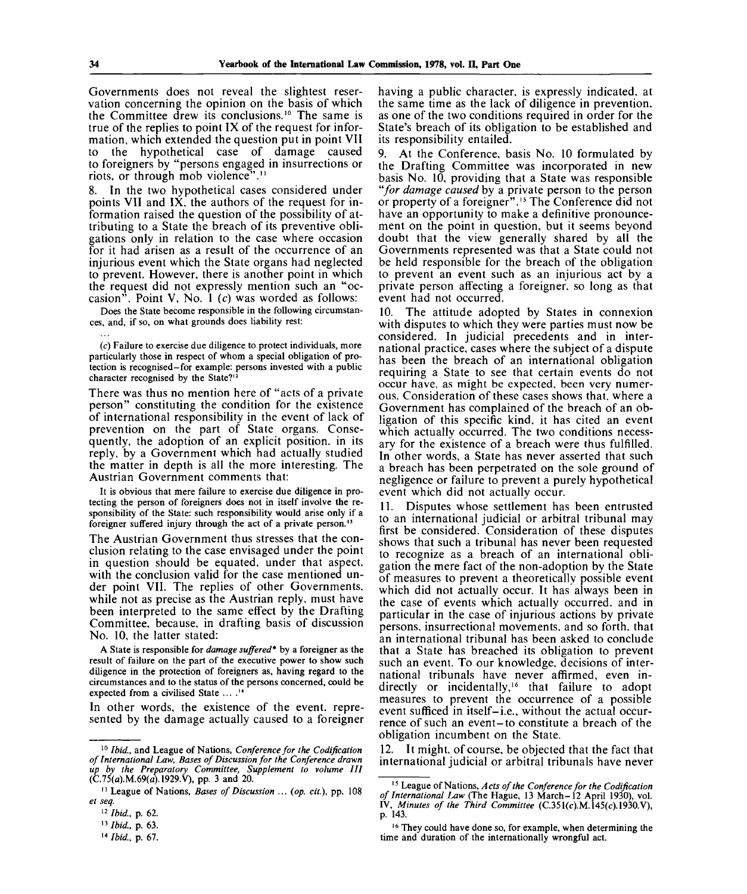Governments does not reveal the slightest reservation concerning the opinion on the basis of which the Committee drew its conclusions.<sup>10</sup> The same is true of the replies to point IX of the request for information, which extended the question put in point VII to the hypothetical case of damage caused to foreigners by "persons engaged in insurrections or riots, or through mob violence"."

In the two hypothetical cases considered under points VII and IX, the authors of the request for information raised the question of the possibility of attributing to a State the breach of its preventive obligations only in relation to the case where occasion for it had arisen as a result of the occurrence of an injurious event which the State organs had neglected to prevent. However, there is another point in which the request did not expressly mention such an "occasion". Point V, No. 1 *(c)* was worded as follows:

Does the State become responsible in the following circumstances, and, if so, on what grounds does liability rest:

(c) Failure to exercise due diligence to protect individuals, more particularly those in respect of whom a special obligation of protection is recognised-for example: persons invested with a public character recognised by the State?12

There was thus no mention here of "acts of a private person" constituting the condition for the existence of international responsibility in the event of lack of prevention on the part of State organs. Consequently, the adoption of an explicit position, in its reply, by a Government which had actually studied the matter in depth is all the more interesting. The Austrian Government comments that:

It is obvious that mere failure to exercise due diligence in protecting the person of foreigners does not in itself involve the responsibility of the State: such responsibility would arise only if a foreigner suffered injury through the act of a private person.<sup>13</sup>

The Austrian Government thus stresses that the conclusion relating to the case envisaged under the point in question should be equated, under that aspect, with the conclusion valid for the case mentioned under point VII. The replies of other Governments, while not as precise as the Austrian reply, must have been interpreted to the same effect by the Drafting Committee, because, in drafting basis of discussion No. 10, the latter stated:

A State is responsible for *damage suffered\** by a foreigner as the result of failure on the part of the executive power to show such diligence in the protection of foreigners as, having regard to the circumstances and to the status of the persons concerned, could be expected from a civilised State ... .<sup>14</sup>

In other words, the existence of the event, represented by the damage actually caused to a foreigner having a public character, is expressly indicated, at the same time as the lack of diligence in prevention, as one of the two conditions required in order for the State's breach of its obligation to be established and its responsibility entailed.

At the Conference, basis No. 10 formulated by the Drafting Committee was incorporated in new basis No. 10, providing that a State was responsible *"for damage caused* by a private person to the person or property of a foreigner".<sup>15</sup> The Conference did not have an opportunity to make a definitive pronouncement on the point in question, but it seems beyond doubt that the view generally shared by all the Governments represented was that a State could not be held responsible for the breach of the obligation to prevent an event such as an injurious act by a private person affecting a foreigner, so long as that event had not occurred.

10. The attitude adopted by States in connexion with disputes to which they were parties must now be considered. In judicial precedents and in international practice, cases where the subject of a dispute has been the breach of an international obligation requiring a State to see that certain events do not occur have, as might be expected, been very numerous. Consideration of these cases shows that, where a Government has complained of the breach of an obligation of this specific kind, it has cited an event which actually occurred. The two conditions necessary for the existence of a breach were thus fulfilled. In other words, a State has never asserted that such a breach has been perpetrated on the sole ground of negligence or failure to prevent a purely hypothetical event which did not actually occur.

11. Disputes whose settlement has been entrusted to an international judicial or arbitral tribunal may first be considered. Consideration of these disputes shows that such a tribunal has never been requested to recognize as a breach of an international obligation the mere fact of the non-adoption by the State of measures to prevent a theoretically possible event which did not actually occur. It has always been in the case of events which actually occurred, and in particular in the case of injurious actions by private persons, insurrectional movements, and so forth, that an international tribunal has been asked to conclude that a State has breached its obligation to prevent such an event. To our knowledge, decisions of international tribunals have never affirmed, even indirectly or incidentally,<sup>16</sup> that failure to adopt measures to prevent the occurrence of a possible event sufficed in itself-i.e., without the actual occurrence of such an event-to constitute a breach of the obligation incumbent on the State.

12. It might, of course, be objected that the fact that international judicial or arbitral tribunals have never

<sup>10</sup>  *Ibid.,* and League of Nations, *Conference for the Codification of International Law, Bases of Discussion for the Conference drawn up by the Preparatory Committee, Supplement to volume III*  $(\hat{C}.75(a).M.69(a).1929.V),$  pp. 3 and 20.

<sup>&</sup>lt;sup>11</sup> League of Nations, *Bases of Discussion* ... (op. cit.), pp. 108 *et seq.*

<sup>12</sup> Ibid, p. 62.

<sup>13</sup> Ibid, p. 63.

<sup>14</sup> Ibid, p. 67.

<sup>15</sup> League of Nations, *Acts of the Conference for the Codification of International Law* (The Hague, 13 March-12 April 1930), vol. IV, *Minutes of the Third Committee* (C.351(c).M.145(c).1930.V), p. 143.

<sup>&</sup>lt;sup>16</sup> They could have done so, for example, when determining the time and duration of the internationally wrongful act.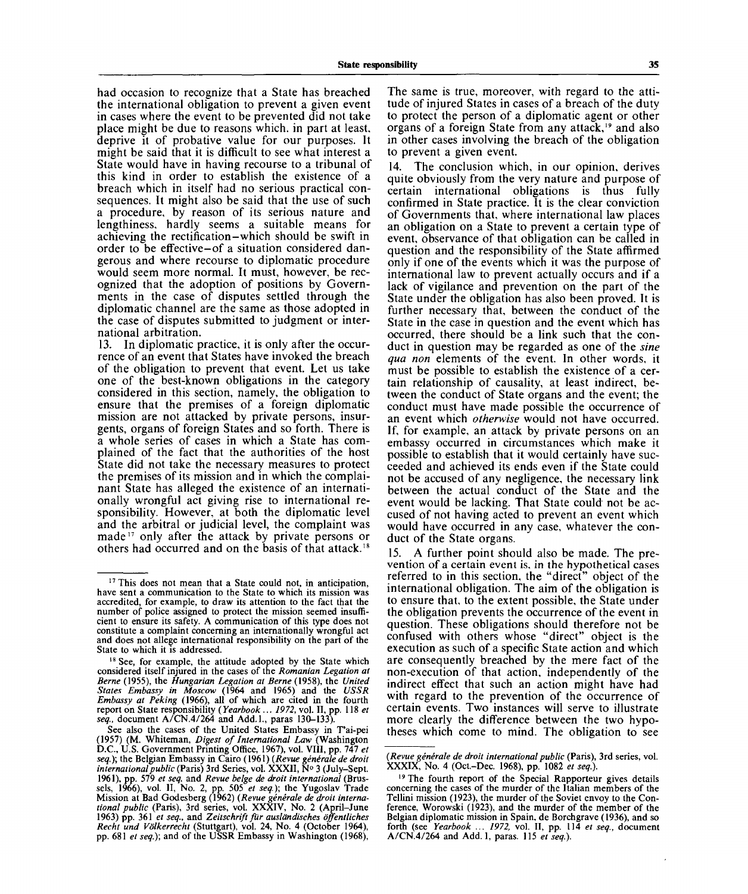had occasion to recognize that a State has breached the international obligation to prevent a given event in cases where the event to be prevented did not take place might be due to reasons which, in part at least, deprive it of probative value for our purposes. It might be said that it is difficult to see what interest a State would have in having recourse to a tribunal of this kind in order to establish the existence of a breach which in itself had no serious practical consequences. It might also be said that the use of such a procedure, by reason of its serious nature and lengthiness, hardly seems a suitable means for achieving the rectification-which should be swift in order to be effective-of a situation considered dangerous and where recourse to diplomatic procedure would seem more normal. It must, however, be recognized that the adoption of positions by Governments in the case of disputes settled through the diplomatic channel are the same as those adopted in the case of disputes submitted to judgment or international arbitration.

13. In diplomatic practice, it is only after the occurrence of an event that States have invoked the breach of the obligation to prevent that event. Let us take one of the best-known obligations in the category considered in this section, namely, the obligation to ensure that the premises of a foreign diplomatic mission are not attacked by private persons, insurgents, organs of foreign States and so forth. There is a whole series of cases in which a State has complained of the fact that the authorities of the host State did not take the necessary measures to protect the premises of its mission and in which the complainant State has alleged the existence of an internationally wrongful act giving rise to international responsibility. However, at both the diplomatic level and the arbitral or judicial level, the complaint was made<sup>17</sup> only after the attack by private persons or others had occurred and on the basis of that attack.<sup>18</sup>

The same *is* true, moreover, with regard to the attitude of injured States in cases of a breach of the duty to protect the person of a diplomatic agent or other organs of a foreign State from any attack,<sup>19</sup> and also in other cases involving the breach of the obligation to prevent a given event.

14. The conclusion which, in our opinion, derives quite obviously from the very nature and purpose of certain international obligations is thus fully confirmed in State practice. It is the clear conviction of Governments that, where international law places an obligation on a State to prevent a certain type of event, observance of that obligation can be called in question and the responsibility of the State affirmed only if one of the events which it was the purpose of international law to prevent actually occurs and if a lack of vigilance and prevention on the part of the State under the obligation has also been proved. It is further necessary that, between the conduct of the State in the case in question and the event which has occurred, there should be a link such that the conduct in question may be regarded as one of the *sine qua non* elements of the event. In other words, it must be possible to establish the existence of a certain relationship of causality, at least indirect, between the conduct of State organs and the event; the conduct must have made possible the occurrence of an event which *otherwise* would not have occurred. If, for example, an attack by private persons on an embassy occurred in circumstances which make it possible to establish that it would certainly have succeeded and achieved its ends even if the State could not be accused of any negligence, the necessary link between the actual conduct of the State and the event would be lacking. That State could not be accused of not having acted to prevent an event which would have occurred in any case, whatever the conduct of the State organs.

15. A further point should also be made. The prevention of a certain event is, in the hypothetical cases referred to in this section, the "direct" object of the international obligation. The aim of the obligation is to ensure that, to the extent possible, the State under the obligation prevents the occurrence of the event in question. These obligations should therefore not be confused with others whose "direct" object is the execution as such of a specific State action and which are consequently breached by the mere fact of the non-execution of that action, independently of the indirect effect that such an action might have had with regard to the prevention of the occurrence of certain events. Two instances will serve to illustrate more clearly the difference between the two hypotheses which come to mind. The obligation to see

<sup>&</sup>lt;sup>17</sup> This does not mean that a State could not, in anticipation, have sent a communication to the State to which its mission was accredited, for example, to draw its attention to the fact that the number of police assigned to protect the mission seemed insufficient to ensure its safety. A communication of this type does not constitute a complaint concerning an internationally wrongful act and does not allege international responsibility on the part of the State to which it is addressed.

<sup>&</sup>lt;sup>18</sup> See, for example, the attitude adopted by the State which considered itself injured in the cases of the *Romanian Legation at Berne* (1955), the *Hungarian Legation at Berne* (1958), the *United States Embassy in Moscow* (1964 and 1965) and the *USSR Embassy at Peking* (1966), all of which are cited in the fourth report on State responsibility *{Yearbook ... 1972,* vol. II, pp. 118 *et seq.,* document A/CN.4/264 and Add.l., paras 130-133).

See also the cases of the United States Embassy in T'ai-pei (1957) (M. Whiteman, *Digest of International Law* (Washington D.C., U.S. Government Printing Office, 1967), vol. VIII, pp. 747 *et seq.);* the Belgian Embassy in Cairo (1961) *(Revue generate de droit international public* (Paris) 3rd Series, vol. XXXII, N° 3 (July-Sept. 1961), pp. 579 *et seq.* and *Revue beige de droit international* (Brussels, 1966), vol. II, No. 2, pp. 505 *et seq.);* the Yugoslav Trade Mission at Bad Godesberg (1962) *(Revue generate de droit international public* (Paris), 3rd series, vol. XXXIV, No. 2 (April-June 1963) pp. 361 *et seq.,* and *Zeitschrift fur ausldndisches offentliches Recht und Volkerrecht* (Stuttgart), vol. 24, No. 4 (October 1964), pp. 681 *et seq.);* and of the USSR Embassy in Washington (1968),

*<sup>(</sup>Revue generate de droit international public* (Paris), 3rd series, vol. XXXIX, No. 4 (Oct.-Dec. 1968), pp. 1082 *et seq.).*

<sup>&</sup>lt;sup>19</sup> The fourth report of the Special Rapporteur gives details concerning the cases of the murder of the Italian members of the Tellini mission (1923), the murder of the Soviet envoy to the Conference, Worowski (1923), and the murder of the member of the Belgian diplomatic mission in Spain, de Borchgrave (1936), and so forth (see *Yearbook ... 1972,* vol. II, pp. 114 *et seq.,* document A/CN.4/264 and Add. 1, paras. 115 *et seq.).*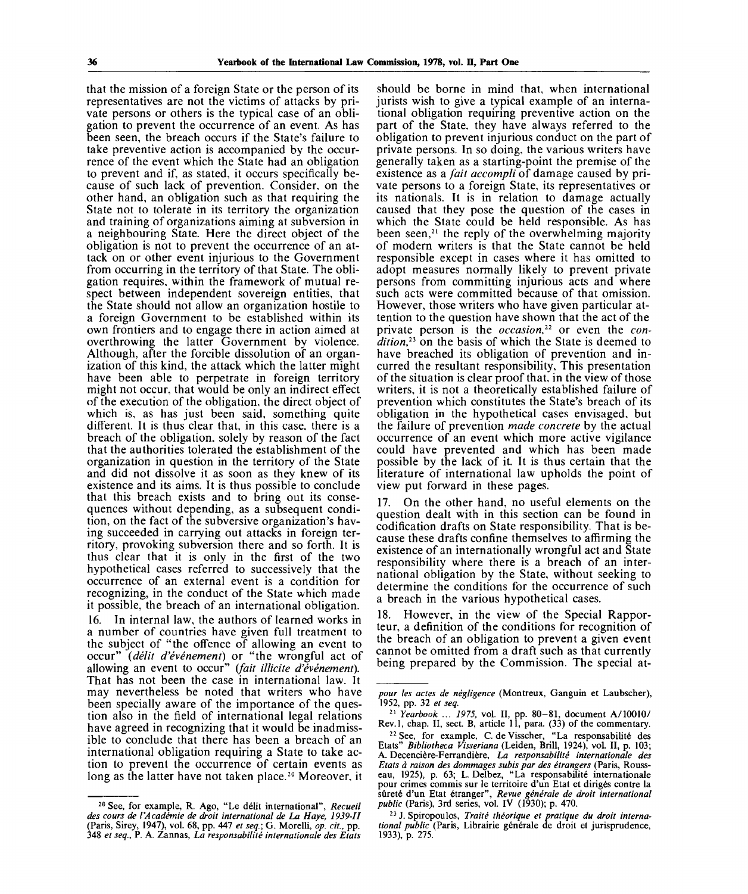that the mission of a foreign State or the person of its representatives are not the victims of attacks by private persons or others is the typical case of an obligation to prevent the occurrence of an event. As has been seen, the breach occurs if the State's failure to take preventive action is accompanied by the occurrence of the event which the State had an obligation to prevent and if, as stated, it occurs specifically because of such lack of prevention. Consider, on the other hand, an obligation such as that requiring the State not to tolerate in its territory the organization and training of organizations aiming at subversion in a neighbouring State. Here the direct object of the obligation is not to prevent the occurrence of an attack on or other event injurious to the Government from occurring in the territory of that State. The obligation requires, within the framework of mutual respect between independent sovereign entities, that the State should not allow an organization hostile to a foreign Government to be established within its own frontiers and to engage there in action aimed at overthrowing the latter Government by violence. Although, after the forcible dissolution of an organization of this kind, the attack which the latter might have been able to perpetrate in foreign territory might not occur, that would be only an indirect effect of the execution of the obligation, the direct object of which is, as has just been said, something quite different. It is thus clear that, in this case, there is a breach of the obligation, solely by reason of the fact that the authorities tolerated the establishment of the organization in question in the territory of the State and did not dissolve it as soon as they knew of its existence and its aims. It is thus possible to conclude that this breach exists and to bring out its consequences without depending, as a subsequent condition, on the fact of the subversive organization's having succeeded in carrying out attacks in foreign territory, provoking subversion there and so forth. It is thus clear that it is only in the first of the two hypothetical cases referred to successively that the occurrence of an external event is a condition for recognizing, in the conduct of the State which made it possible, the breach of an international obligation. 16. In internal law, the authors of learned works in a number of countries have given full treatment to the subject of "the offence of allowing an event to occur" *(delit d'evenement)* or "the wrongful act of allowing an event to occur" *{fait illicite d'evenement).* That has not been the case in international law. It may nevertheless be noted that writers who have been specially aware of the importance of the question also in the field of international legal relations have agreed in recognizing that it would be inadmissible to conclude that there has been a breach of an international obligation requiring a State to take action to prevent the occurrence of certain events as long as the latter have not taken place.<sup>20</sup> Moreover, it

should be borne in mind that, when international jurists wish to give a typical example of an international obligation requiring preventive action on the part of the State, they have always referred to the obligation to prevent injurious conduct on the part of private persons. In so doing, the various writers have generally taken as a starting-point the premise of the existence as a *fait accompli* of damage caused by private persons to a foreign State, its representatives or its nationals. It is in relation to damage actually caused that they pose the question of the cases in which the State could be held responsible. As has been seen,<sup>21</sup> the reply of the overwhelming majority of modern writers is that the State cannot be held responsible except in cases where it has omitted to adopt measures normally likely to prevent private persons from committing injurious acts and where such acts were committed because of that omission. However, those writers who have given particular attention to the question have shown that the act of the private person is the *occasion,<sup>22</sup>* or even the *condition<sup>21</sup>"* on the basis of which the State is deemed to have breached its obligation of prevention and incurred the resultant responsibility, This presentation of the situation is clear proof that, in the view of those writers, it is not a theoretically established failure of prevention which constitutes the State's breach of its obligation in the hypothetical cases envisaged, but the failure of prevention *made concrete* by the actual occurrence of an event which more active vigilance could have prevented and which has been made possible by the lack of it. It is thus certain that the literature of international law upholds the point of view put forward in these pages.

17. On the other hand, no useful elements on the question dealt with in this section can be found in codification drafts on State responsibility. That is because these drafts confine themselves to affirming the existence of an internationally wrongful act and State responsibility where there is a breach of an international obligation by the State, without seeking to determine the conditions for the occurrence of such a breach in the various hypothetical cases.

18. However, in the view of the Special Rapporteur, a definition of the conditions for recognition of the breach of an obligation to prevent a given event cannot be omitted from a draft such as that currently being prepared by the Commission. The special at-

<sup>20</sup> See, for example, R. Ago, "Le delit international", *Recueil des cours de VAcademie de droit international de La Haye, 1939-11* (Paris, Sirey, 1947), vol. 68, pp. 447 *et seq.;* G. Morelli, *op. cit.,* pp. 348 *et seq.,* P. A. Zannas, *La responsabilite Internationale des Etats*

*pour les actes de negligence* (Montreux, Ganguin et Laubscher), 1952, pp. 32 *et seq.*

<sup>21</sup>  *Yearbook ... 1975,* vol. **II,** pp. 80-81, document A/10010/ Rev. 1, chap. **II,** sect. B, article 11, para. (33) of the commentary.

<sup>&</sup>lt;sup>22</sup> See, for example, C. de Visscher, "La responsabilité des Etats" *Bibliotheca Visseriana* (Leiden, Brill, 1924), vol. **II,** p. 103; A. Decenciere-Ferrandiere, *La responsabilite internationale des Etats a raison des dommages subis par des etrangers* (Paris, Rousseau, 1925), p. 63; L. Delbez, "La responsabilite internationale pour crimes commis sur le territoire d'un Etat et diriges contre la surete d'un Etat etranger", *Revue generate de droit international public* (Paris), 3rd series, vol. IV (1930); p. 470.

<sup>&</sup>lt;sup>23</sup> J. Spiropoulos, Traité théorique et pratique du droit international public<sup></sup> (Paris, Librairie générale de droit et jurisprudence, 1933), p. 275.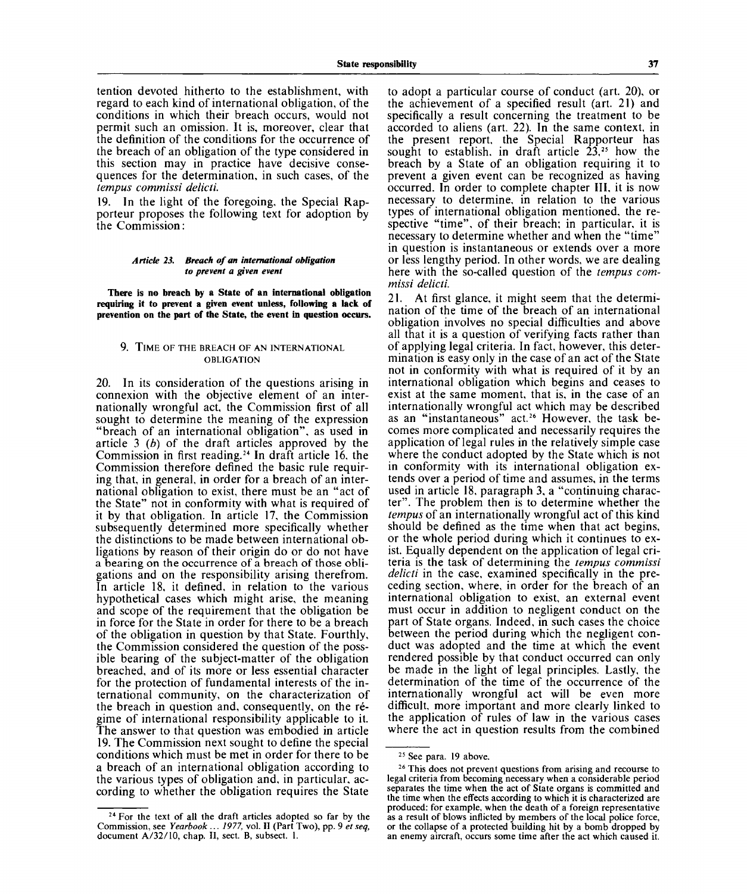tention devoted hitherto to the establishment, with regard to each kind of international obligation, of the conditions in which their breach occurs, would not permit such an omission. It is, moreover, clear that the definition of the conditions for the occurrence of the breach of an obligation of the type considered in this section may in practice have decisive consequences for the determination, in such cases, of the *tempus commissi delicti.*

19. In the light of the foregoing, the Special Rapporteur proposes the following text for adoption by the Commission:

#### *Article 23. Breach of an international obligation to prevent a given event*

**There is no breach by a State of an international obligation requiring it to prevent a given event unless, following a lack of prevention on the part of the State, the event in question occurs.**

#### 9. TIME OF THE BREACH OF AN INTERNATIONAL OBLIGATION

20. In its consideration of the questions arising in connexion with the objective element of an internationally wrongful act, the Commission first of all sought to determine the meaning of the expression "breach of an international obligation", as used in article 3 *(b)* of the draft articles approved by the Commission in first reading.<sup>24</sup> In draft article 16, the Commission therefore defined the basic rule requiring that, in general, in order for a breach of an international obligation to exist, there must be an "act of the State" not in conformity with what is required of it by that obligation. In article 17, the Commission subsequently determined more specifically whether the distinctions to be made between international obligations by reason of their origin do or do not have a bearing on the occurrence of a breach of those obligations and on the responsibility arising therefrom. In article 18, it defined, in relation to the various hypothetical cases which might arise, the meaning and scope of the requirement that the obligation be in force for the State in order for there to be a breach of the obligation in question by that State. Fourthly, the Commission considered the question of the possible bearing of the subject-matter of the obligation breached, and of its more or less essential character for the protection of fundamental interests of the international community, on the characterization of the breach in question and, consequently, on the regime of international responsibility applicable to it. The answer to that question was embodied in article 19. The Commission next sought to define the special conditions which must be met in order for there to be a breach of an international obligation according to the various types of obligation and, in particular, according to whether the obligation requires the State

to adopt a particular course of conduct (art. 20), or the achievement of a specified result (art. 21) and specifically a result concerning the treatment to be accorded to aliens (art. 22). In the same context, in the present report, the Special Rapporteur has sought to establish, in draft article  $23$ ,<sup>25</sup> how the breach by a State of an obligation requiring it to prevent a given event can be recognized as having occurred. In order to complete chapter III, it is now necessary to determine, in relation to the various types of international obligation mentioned, the respective "time", of their breach; in particular, it is necessary to determine whether and when the "time" in question is instantaneous or extends over a more or less lengthy period. In other words, we are dealing here with the so-called question of the *tempus commissi delicti.*

21. At first glance, it might seem that the determination of the time of the breach of an international obligation involves no special difficulties and above all that it is a question of verifying facts rather than of applying legal criteria. In fact, however, this determination is easy only in the case of an act of the State not in conformity with what is required of it by an international obligation which begins and ceases to exist at the same moment, that is, in the case of an internationally wrongful act which may be described merhanonally wrongful act which may be described<br>as an "instantaneous" act.<sup>26</sup> However, the task becomes more complicated and necessarily requires the application of legal rules in the relatively simple case where the conduct adopted by the State which is not in conformity with its international obligation extends over a period of time and assumes, in the terms used in article 18, paragraph 3, a "continuing character". The problem then is to determine whether the *tempus* of an internationally wrongful act of this kind should be defined as the time when that act begins, or the whole period during which it continues to exist. Equally dependent on the application of legal criteria is the task of determining the *tempus commissi delicti* in the case, examined specifically in the preceding section, where, in order for the breach of an international obligation to exist, an external event must occur in addition to negligent conduct on the part of State organs. Indeed, in such cases the choice between the period during which the negligent conduct was adopted and the time at which the event que was adopted and the thire at which the event be made in the light of legal principles. Lastly, the be made in the light of legal principles. Lastly, the determination of the time of the occurrence of the internationally wrongful act will be even more difficult, more important and more clearly linked to the application of rules of law in the various cases where the act in question results from the combined

<sup>&</sup>lt;sup>24</sup> For the text of all the draft articles adopted so far by the Commission, see *Yearbook .*.. 7977, vol. II (Part Two), pp. 9 *et seq,* document A/32/10, chap. II, sect. B, subsect. 1.

<sup>&</sup>lt;sup>25</sup> See para. 19 above.

<sup>&</sup>lt;sup>26</sup> This does not prevent questions from arising and recourse to legal criteria from becoming necessary when a considerable period separates the time when the act of State organs is committed and the time when the effects according to which it is characterized are produced: for example, when the death of a foreign representative as a result of blows inflicted by members of the local police force, or the collapse of a protected building hit by a bomb dropped by an enemy aircraft, occurs some time after the act which caused it.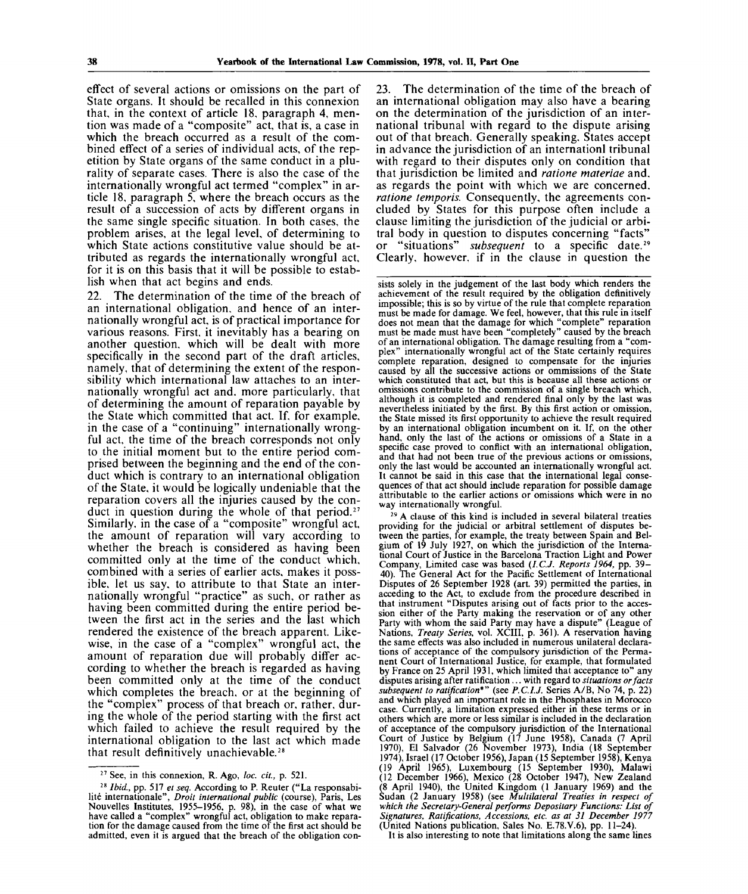effect of several actions or omissions on the part of State organs. It should be recalled in this connexion that, in the context of article 18, paragraph 4, mention was made of a "composite" act, that is, a case in which the breach occurred as a result of the combined effect of a series of individual acts, of the repetition by State organs of the same conduct in a plurality of separate cases. There is also the case of the internationally wrongful act termed "complex" in article 18, paragraph 5, where the breach occurs as the result of a succession of acts by different organs in the same single specific situation. In both cases, the problem arises, at the legal level, of determining to which State actions constitutive value should be attributed as regards the internationally wrongful act, for it is on this basis that it will be possible to establish when that act begins and ends.

22. The determination of the time of the breach of an international obligation, and hence of an internationally wrongful act, is of practical importance for various reasons. First, it inevitably has a bearing on another question, which will be dealt with more specifically in the second part of the draft articles, namely, that of determining the extent of the responsibility which international law attaches to an internationally wrongful act and. more particularly, that of determining the amount of reparation payable by the State which committed that act. If, for example, in the case of a "continuing" internationally wrongful act, the time of the breach corresponds not only to the initial moment but to the entire period comprised between the beginning and the end of the conduct which is contrary to an international obligation of the State, it would be logically undeniable that the reparation covers all the injuries caused by the conduct in question during the whole of that period.<sup>27</sup> Similarly, in the case of a "composite" wrongful act, the amount of reparation will vary according to whether the breach is considered as having been committed only at the time of the conduct which, combined with a series of earlier acts, makes it possible, let us say, to attribute to that State an internationally wrongful "practice" as such, or rather as having been committed during the entire period between the first act in the series and the last which rendered the existence of the breach apparent. Likewise, in the case of a "complex" wrongful act, the amount of reparation due will probably differ according to whether the breach is regarded as having been committed only at the time of the conduct which completes the breach, or at the beginning of the "complex" process of that breach or, rather, during the whole of the period starting with the first act which failed to achieve the result required by the international obligation to the last act which made that result definitively unachievable.<sup>28</sup>

23. The determination of the time of the breach of an international obligation may also have a bearing on the determination of the jurisdiction of an international tribunal with regard to the dispute arising out of that breach. Generally speaking. States accept in advance the jurisdiction of an internationl tribunal with regard to their disputes only on condition that that jurisdiction be limited and *ratione materiae* and. as regards the point with which we are concerned. *ratione temporis.* Consequently, the agreements concluded by States for this purpose often include a clause limiting the jurisdiction of the judicial or arbitral body in question to disputes concerning "facts" or "situations" *subsequent* to a specific date.<sup>29</sup> Clearly, however, if in the clause in question the

sists solely in the judgement of the last body which renders the achievement of the result required by the obligation definitively impossible; this is so by virtue of the rule that complete reparation must be made for damage. We feel, however, that this rule in itself does not mean that the damage for which "complete" reparation must be made must have been "completely" caused by the breach of an international obligation. The damage resulting from a "complex" internationally wrongful act of the State certainly requires complete reparation, designed to compensate for the injuries caused by all the successive actions or ommissions of the State which constituted that act, but this is because all these actions or omissions contribute to the commission of a single breach which, although it is completed and rendered final only by the last was nevertheless initiated by the first. By this first action or omission, the State missed its first opportunity to achieve the result required by an international obligation incumbent on it. If, on the other hand, only the last of the actions or omissions of a State in a specific case proved to conflict with an international obligation, and that had not been true of the previous actions or omissions, only the last would be accounted an internationally wrongful act. It cannot be said in this case that the international legal consequences of that act should include reparation for possible damage attributable to the earlier actions or omissions which were in no way internationally wrongful.

29 A clause of this kind is included in several bilateral treaties providing for the judicial or arbitral settlement of disputes between the parties, for example, the treaty between Spain and Belgium of 19 July 1927, on which the jurisdiction of the International Court of Justice in the Barcelona Traction Light and Power Company, Limited case was based *(I.C.J. Reports 1964,* pp. 39- 40). The General Act for the Pacific Settlement of International Disputes of 26 September 1928 (art. 39) permitted the parties, in acceding to the Act, to exclude from the procedure described in that instrument "Disputes arising out of facts prior to the accession either of the Party making the reservation or of any other Party with whom the said Party may have a dispute" (League of Nations, *Treaty Series,* vol. XCIII, p. 361). A reservation having the same effects was also included in numerous unilateral declarations of acceptance of the compulsory jurisdiction of the Permanent Court of International Justice, for example, that formulated by France on 25 April 1931, which limited that acceptance to" any disputes arising after ratification ... with regard to *situations or facts subsequent to ratification\*"* (see *P.C.I.J.* Series A/B, No 74, p. 22) and which played an important role in the Phosphates in Morocco case. Currently, a limitation expressed either in these terms or in others which are more or less similar is included in the declaration of acceptance of the compulsory jurisdiction of the International Court of Justice by Belgium (17 June 1958), Canada (7 April 1970), El Salvador (26 November 1973), India (18 September 1974), Israel (17 October 1956), Japan (15 September 1958), Kenya (19 April 1965), Luxembourg (15 September 1930), Malawi (12 December 1966), Mexico (28 October 1947), New Zealand  $(8 \text{ April } 1940)$ , the United Kingdom  $(1 \text{ January } 1969)$  and the Sudan (2 January 1958) (see *Multilateral Treaties in respect of which the Secretary-General performs Depositary Functions: List of Signatures, Ratifications, Accessions, etc. as at 31 December 1977* (United Nations publication, Sales No. E.78.V.6), pp. 11-24).

It is also interesting to note that limitations along the same lines

<sup>27</sup> See, in this connexion, R. Ago, *loc. cit.,* p. 521.

<sup>28</sup>  *Ibid.,* pp. 517 *et seq.* According to P. Reuter ("La responsabilité internationale", *Droit international public* (course), Paris, Les Nouvelles Institutes, 1955-1956, p. 98), in the case of what we have called a "complex" wrongful act, obligation to make reparation for the damage caused from the time of the first act should be admitted, even it is argued that the breach of the obligation con-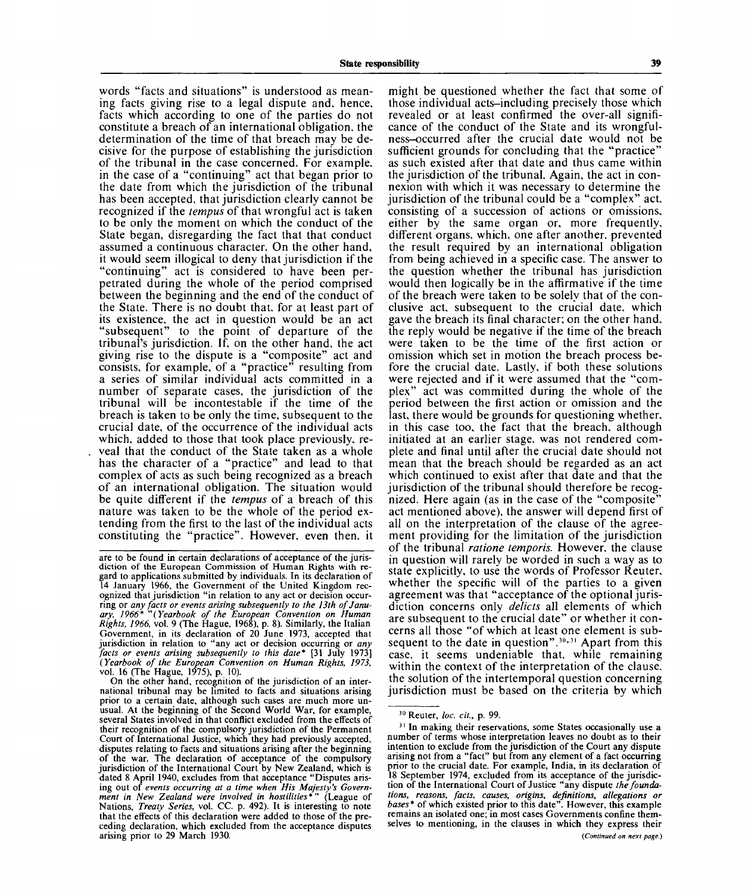words "facts and situations" is understood as meaning facts giving rise to a legal dispute and. hence, facts which according to one of the parties do not constitute a breach of an international obligation, the determination of the time of that breach may be decisive for the purpose of establishing the jurisdiction of the tribunal in the case concerned. For example, in the case of a "continuing" act that began prior to the date from which the jurisdiction of the tribunal has been accepted, that jurisdiction clearly cannot be recognized if the *tempus* of that wrongful act is taken to be only the moment on which the conduct of the State began, disregarding the fact that that conduct assumed a continuous character. On the other hand, it would seem illogical to deny that jurisdiction if the "continuing" act is considered to have been perpetrated during the whole of the period comprised between the beginning and the end of the conduct of the State. There is no doubt that, for at least part of its existence, the act in question would be an act "subsequent" to the point of departure of the tribunal's jurisdiction. If, on the other hand, the act giving rise to the dispute is a "composite" act and consists, for example, of a "practice" resulting from a series of similar individual acts committed in a number of separate cases, the jurisdiction of the tribunal will be incontestable if the time of the breach is taken to be only the time, subsequent to the crucial date, of the occurrence of the individual acts which, added to those that took place previously, reveal that the conduct of the State taken as a whole has the character of a "practice" and lead to that complex of acts as such being recognized as a breach of an international obligation. The situation would be quite different if the *tempus* of a breach of this nature was taken to be the whole of the period extending from the first to the last of the individual acts constituting the "practice". However, even then, it

On the other hand, recognition of the jurisdiction of an international tribunal may be limited to facts and situations arising prior to a certain date, although such cases are much more unusual. At the beginning of the Second World War, for example, several States involved in that conflict excluded from the effects of their recognition of the compulsory jurisdiction of the Permanent Court of International Justice, which they had previously accepted, disputes relating to facts and situations arising after the beginning of the war. The declaration of acceptance of the compulsory jurisdiction of the International Court by New Zealand, which is dated 8 April 1940, excludes from that acceptance "Disputes arising out of *events occurring at a time when His Majesty's Government in New Zealand were involved in hostilities\*"* (League of Nations, *Treaty Series,* vol. CC. p. 492). It is interesting to note that the effects of this declaration were added to those of the preceding declaration, which excluded from the acceptance disputes arising prior to 29 March 1930.

might be questioned whether the fact that some of those individual acts-including precisely those which revealed or at least confirmed the over-all significance of the conduct of the State and its wrongfulness-occurred after the crucial date would not be sufficient grounds for concluding that the "practice" as such existed after that date and thus came within the jurisdiction of the tribunal. Again, the act in connexion with which it was necessary to determine the jurisdiction of the tribunal could be a "complex" act. consisting of a succession of actions or omissions, either by the same organ or, more frequently, different organs, which, one after another, prevented the result required by an international obligation from being achieved in a specific case. The answer to the question whether the tribunal has jurisdiction would then logically be in the affirmative if the time of the breach were taken to be solely that of the conclusive act, subsequent to the crucial date, which gave the breach its final character; on the other hand, the reply would be negative if the time of the breach were taken to be the time of the first action or omission which set in motion the breach process before the crucial date. Lastly, if both these solutions were rejected and if it were assumed that the "complex" act was committed during the whole of the period between the first action or omission and the last, there would be grounds for questioning whether, in this case too, the fact that the breach, although In this case too, the fact that the bleach, although<br>initiated at an earlier stage, was not rendered cominitiated at an earlier stage, was not rendered complete and final until after the crucial date should not mean that the breach should be regarded as an act which continued to exist after that date and that the jurisdiction of the tribunal should therefore be recognized. Here again (as in the case of the "composite" act mentioned above), the answer will depend first of all on the interpretation of the clause of the agreement providing for the limitation of the jurisdiction of the tribunal *ratione temporis*. However, the clause in question will rarely be worded in such a way as to state explicitly, to use the words of Professor Reuter, whether the specific will of the parties to a given agreement was that "acceptance of the optional jurisdiction concerns only delicts all elements of which are subsequent to the crucial date" or whether it concerns all those "of which at least one element is subsequent to the date in question".<sup>30,31</sup> Apart from this case, it seems undeniable that, while remaining within the context of the interpretation of the clause. the solution of the intertemporal question concerning<br>jurisdiction must be based on the criteria by which

are to be found in certain declarations of acceptance of the jurisdiction of the European Commission of Human Rights with regard to applications submitted by individuals. In its declaration of 14 January 1966, the Government of the United Kingdom recognized that jurisdiction "in relation to any act or decision occurring or *any facts or events arising subsequently to the 13th of January, 1966\* "(Yearbook of the European Convention on Human Rights, 1966,* vol. 9 (The Hague, 1968), p. 8). Similarly, the Italian Government, in its declaration of 20 June 1973, accepted that jurisdiction in relation to "any act or decision occurring or *any facts or events arising subsequently to this date\** [31 July 1973] *(Yearbook of the European Convention on Human Rights, 1973,* vol. 16 (The Hague, 1975), p. 10).

<sup>30</sup> Reuter, *loc. cit.,* p. 99.

<sup>&</sup>lt;sup>31</sup> In making their reservations, some States occasionally use a number of terms whose interpretation leaves no doubt as to their intention to exclude from the jurisdiction of the Court any dispute arising not from a "fact" but from any element of a fact occurring prior to the crucial date. For example, India, in its declaration of 18 September 1974, excluded from its acceptance of the jurisdiction of the International Court of Justice "any dispute *the foundations, reasons, facts, causes, origins, definitions, allegations or bases\** of which existed prior to this date". However, this example remains an isolated one; in most cases Governments confine themselves to mentioning, in the clauses in which they express their *(Continued on next page.)*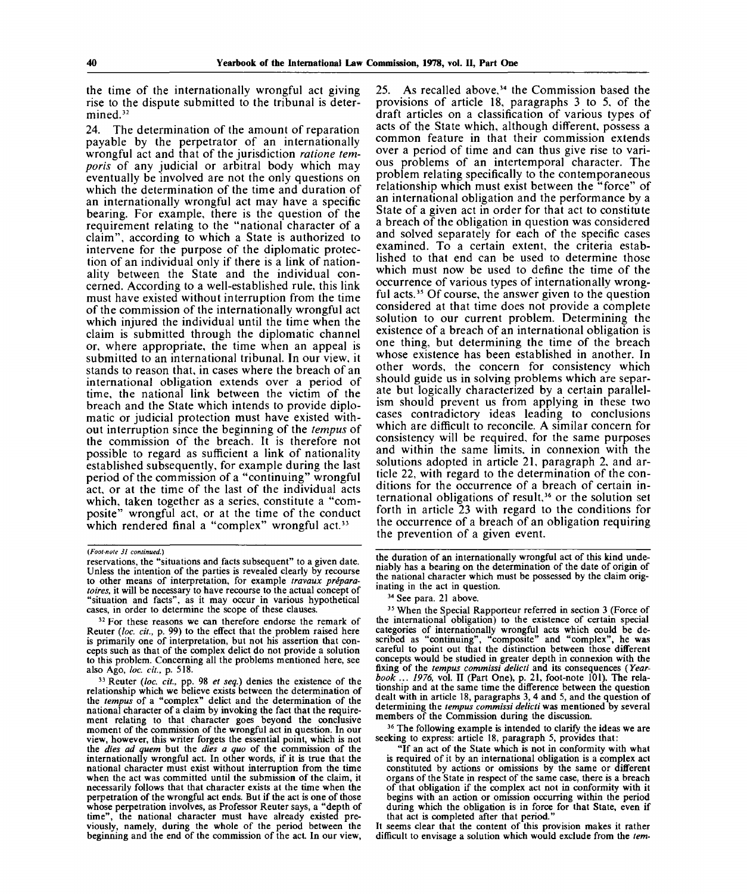the time of the internationally wrongful act giving rise to the dispute submitted to the tribunal is determined.<sup>32</sup>

24. The determination of the amount of reparation payable by the perpetrator of an internationally wrongful act and that of the jurisdiction *ratione temporis* of any judicial or arbitral body which may eventually be involved are not the only questions on which the determination of the time and duration of an internationally wrongful act may have a specific bearing. For example, there is the question of the requirement relating to the "national character of a claim", according to which a State is authorized to intervene for the purpose of the diplomatic protection of an individual only if there is a link of nationality between the State and the individual concerned. According to a well-established rule, this link must have existed without interruption from the time of the commission of the internationally wrongful act which injured the individual until the time when the claim is submitted through the diplomatic channel or, where appropriate, the time when an appeal is submitted to an international tribunal. In our view, it stands to reason that, in cases where the breach of an international obligation extends over a period of time, the national link between the victim of the breach and the State which intends to provide diplomatic or judicial protection must have existed without interruption since the beginning of the *tempus* of the commission of the breach. It is therefore not possible to regard as sufficient a link of nationality established subsequently, for example during the last period of the commission of a "continuing" wrongful act, or at the time of the last of the individual acts which, taken together as a series, constitute a "composite" wrongful act, or at the time of the conduct which rendered final a "complex" wrongful act.<sup>33</sup>

33 Reuter *(loc. cit.,* pp. 98 *et seq.)* denies the existence of the relationship which we believe exists between the determination of the *tempus* of a "complex" delict and the determination of the national character of a claim by invoking the fact that the requirement relating to that character goes beyond the conclusive moment of the commission of the wrongful act in question. In our view, however, this writer forgets the essential point, which is not the *dies ad quern* but the *dies a quo* of the commission of the internationally wrongful act. In other words, if it is true that the national character must exist without interruption from the time when the act was committed until the submission of the claim, it necessarily follows that that character exists at the time when the perpetration of the wrongful act ends. But if the act is one of those whose perpetration involves, as Professor Reuter says, a "depth of time", the national character must have already existed previously, namely, during the whole of the period between the beginning and the end of the commission of the act. In our view,

25. As recalled above,<sup>34</sup> the Commission based the provisions of article 18, paragraphs 3 to 5, of the draft articles on a classification of various types of acts of the State which, although different, possess a common feature in that their commission extends over a period of time and can thus give rise to various problems of an intertemporal character. The problem relating specifically to the contemporaneous relationship which must exist between the "force" of an international obligation and the performance by a State of a given act in order for that act to constitute a breach of the obligation in question was considered and solved separately for each of the specific cases examined. To a certain extent, the criteria established to that end can be used to determine those which must now be used to define the time of the occurrence of various types of internationally wrongful acts.<sup>35</sup> Of course, the answer given to the question considered at that time does not provide a complete solution to our current problem. Determining the existence of a breach of an international obligation is one thing, but determining the time of the breach whose existence has been established in another. In other words, the concern for consistency which should guide us in solving problems which are separate but logically characterized by a certain parallelism should prevent us from applying in these two cases contradictory ideas leading to conclusions which are difficult to reconcile. A similar concern for consistency will be required, for the same purposes and within the same limits, in connexion with the solutions adopted in article 21, paragraph 2, and article 22, with regard to the determination of the conditions for the occurrence of a breach of certain inditions for the occurrence of a b.<br>ternational obligations of result  $36$  or the solution set forth in article 23 with regard to the conditions for forth in article  $\overline{23}$  with regard to the conditions for the occurrence of a breach of an obligation requiring<br>the prevention of a given event.

the duration of an internationally wrongful act of this kind undeniably has a bearing on the determination of the date of origin of the national character which must be possessed by the claim originating in the act in question.

<sup>35</sup> When the Special Rapporteur referred in section 3 (Force of the international obligation) to the existence of certain special categories of internationally wrongful acts which could be described as "continuing", "composite" and "complex", he was careful to point out that the distinction between those different concepts would be studied in greater depth in connexion with the fixing of the *tempus commissi delicti* and its consequences *(Yearbook ... 1976,* vol. II (Part One), p. 21, foot-note 101). The relationship and at the same time the difference between the question dealt with in article 18, paragraphs 3, 4 and 5, and the question of determining the *tempus commissi delicti* was mentioned by several members of the Commission during the discussion.

<sup>36</sup> The following example is intended to clarify the ideas we are seeking to express: article 18, paragraph 5, provides that:

"If an act of the State which is not in conformity with what is required of it by an international obligation is a complex act constituted by actions or omissions by the same or different organs of the State in respect of the same case, there is a breach of that obligation if the complex act not in conformity with it begins with an action or omission occurring within the period during which the obligation is in force for that State, even if that act is completed after that period."

It seems clear that the content of this provision makes it rather difficult to envisage a solution which would exclude from the *tern-*

*<sup>(</sup>Foot-note 31 continued.)*

reservations, the "situations and facts subsequent" to a given date. Unless the intention of the parties is revealed clearly by recourse to other means of interpretation, for example *travaux preparatories,* it will be necessary to have recourse to the actual concept of "situation and facts", as it may occur in various hypothetical cases, in order to determine the scope of these clauses.

<sup>&</sup>lt;sup>32</sup> For these reasons we can therefore endorse the remark of Reuter *(loc. cit.,* p. 99) to the effect that the problem raised here is primarily one of interpretation, but not his assertion that concepts such as that of the complex delict do not provide a solution to this problem. Concerning all the problems mentioned here, see also Ago, *loc. cit.,* p. 518.

<sup>&</sup>lt;sup>34</sup> See para. 21 above.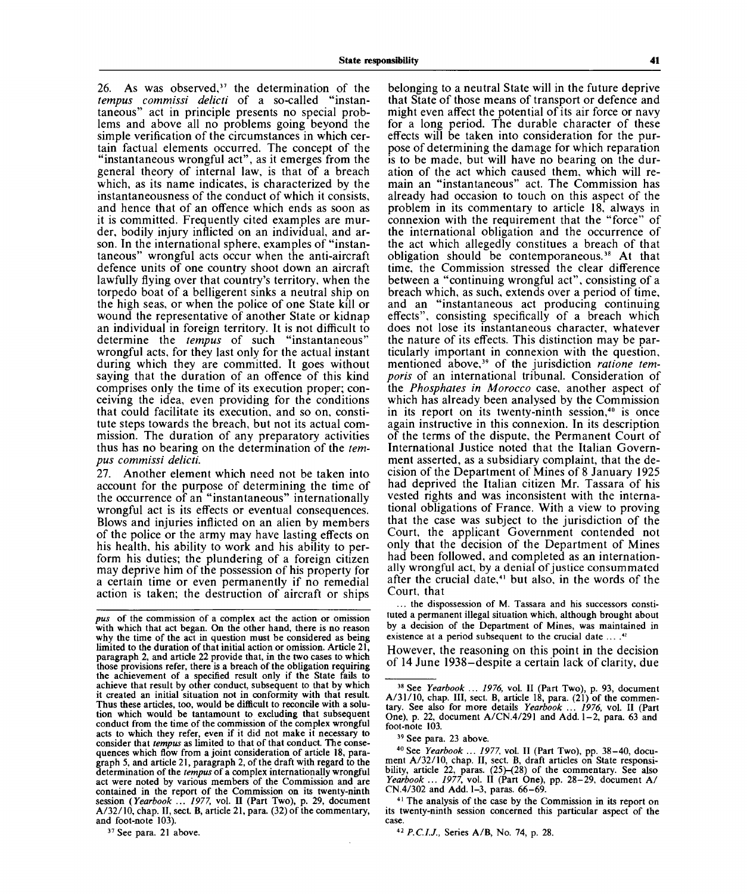**State responsibility 41**

 $26.$  As was observed,<sup>37</sup> the determination of the *tempus commissi delicti* of a so-called "instantaneous" act in principle presents no special problems and above all no problems going beyond the simple verification of the circumstances in which certain factual elements occurred. The concept of the "instantaneous wrongful act", as it emerges from the general theory of internal law, is that of a breach which, as its name indicates, is characterized by the instantaneousness of the conduct of which it consists, and hence that of an offence which ends as soon as it is committed. Frequently cited examples are murder, bodily injury inflicted on an individual, and arson. In the international sphere, examples of "instantaneous" wrongful acts occur when the anti-aircraft defence units of one country shoot down an aircraft lawfully flying over that country's territory, when the torpedo boat of a belligerent sinks a neutral ship on the high seas, or when the police of one State kill or wound the representative of another State or kidnap an individual in foreign territory. It is not difficult to determine the *tempus* of such "instantaneous" wrongful acts, for they last only for the actual instant during which they are committed. It goes without saying that the duration of an offence of this kind comprises only the time of its execution proper; conceiving the idea, even providing for the conditions that could facilitate its execution, and so on, constitute steps towards the breach, but not its actual commission. The duration of any preparatory activities thus has no bearing on the determination of the *tempus commissi delicti.*

27. Another element which need not be taken into account for the purpose of determining the time of the occurrence of an "instantaneous" internationally wrongful act is its effects or eventual consequences. Blows and injuries inflicted on an alien by members of the police or the army may have lasting effects on his health, his ability to work and his ability to perform his duties; the plundering of a foreign citizen may deprive him of the possession of his property for a certain time or even permanently if no remedial action is taken; the destruction of aircraft or ships

*pus* of the commission of a complex act the action or omission with which that act began. On the other hand, there is no reason why the time of the act in question must be considered as being limited to the duration of that initial action or omission. Article 21, paragraph 2, and article 22 provide that, in the two cases to which those provisions refer, there is a breach of the obligation requiring the achievement of a specified result only if the State fails to achieve that result by other conduct, subsequent to that by which it created an initial situation not in conformity with that result. Thus these articles, too, would be difficult to reconcile with a solution which would be tantamount to excluding that subsequent conduct from the time of the commission of the complex wrongful acts to which they refer, even if it did not make it necessary to consider that *tempus* as limited to that of that conduct. The consequences which flow from a joint consideration of article 18, paragraph 5, and article 21, paragraph 2, of the draft with regard to the determination of the *tempus* of a complex internationally wrongful act were noted by various members of the Commission and are contained in the report of the Commission on its twenty-ninth session *{Yearbook ... 1977,* vol. II (Part Two), p. 29, document A/32/10, chap. II, sect. B, article 21, para. (32) of the commentary, and foot-note  $103$ ).

<sup>37</sup> See para. 21 above.

belonging to a neutral State will in the future deprive that State of those means of transport or defence and might even affect the potential of its air force or navy for a long period. The durable character of these effects will be taken into consideration for the purpose of determining the damage for which reparation is to be made, but will have no bearing on the duration of the act which caused them, which will remain an "instantaneous" act. The Commission has already had occasion to touch on this aspect of the problem in its commentary to article 18, always in connexion with the requirement that the "force" of the international obligation and the occurrence of the act which allegedly constitues a breach of that obligation should be contemporaneous.<sup>38</sup> At that time, the Commission stressed the clear difference between a "continuing wrongful act", consisting of a breach which, as such, extends over a period of time, and an "instantaneous act producing continuing effects", consisting specifically of a breach which does not lose its instantaneous character, whatever the nature of its effects. This distinction may be particularly important in connexion with the question, ucularly important in connexion with the question,<br>mentioned above<sup>39</sup> of the jurisdiction *ratione temporis* of an international tribunal. Consideration of the *Phosphates in Morocco* case, another aspect of which has already been analysed by the Commission which has already been analysed by the Commission<br>in its report on its twenty-ninth session.<sup>40</sup> is once again instructive in this connexion. In its description of the terms of the dispute, the Permanent Court of International Justice noted that the Italian Government asserted, as a subsidiary complaint, that the decision of the Department of Mines of 8 January 1925 had deprived the Italian citizen Mr. Tassara of his nad deprived the nanal childen with rassara of his<br>vested rights and was inconsistent with the international obligations of France. With a view to proving tional obligations of France. With a view to proving that the case was subject to the jurisdiction of the Court, the applicant Government contended not only that the decision of the Department of Mines had been followed, and completed as an internationally wrongful act, by a denial of justice consummated<br>after the crucial date that also, in the words of the after the crucial date,<sup>41</sup> but also, in the words of the Court, that

... the dispossession of M. Tassara and his successors constituted a permanent illegal situation which, although brought about by a decision of the Department of Mines, was maintained in existence at a period subsequent to the crucial date ... .<sup>42</sup>

However, the reasoning on this point in the decision of 14 June 1938-despite a certain lack of clarity, due

40 See *Yearbook ... 1977,* vol. II (Part Two), pp. 38-40, document A/32/10, chap. II, sect. B, draft articles on State responsibility, article 22, paras. (25)-(28) of the commentary. See also *Yearbook ... 1977,* vol. II (Part One), pp. 28-29, document A/ CN.4/302 and Add. 1-3, paras. 66-69.

<sup>41</sup> The analysis of the case by the Commission in its report on its twenty-ninth session concerned this particular aspect of the case.

42  *P.C.I.J.,* Series A/B, No. 74, p. 28.

<sup>38</sup> See *Yearbook ... 1976,* vol. II (Part Two), p. 93, document A/31/10, chap. III, sect. B, article 18, para. (21) of the commentary. See also for more details Yearbook ... 1976, vol. II (Part One), p. 22, document A/CN.4/29 1 and Add. 1-2, para. 63 and foot-note 103.

<sup>&</sup>lt;sup>39</sup> See para. 23 above.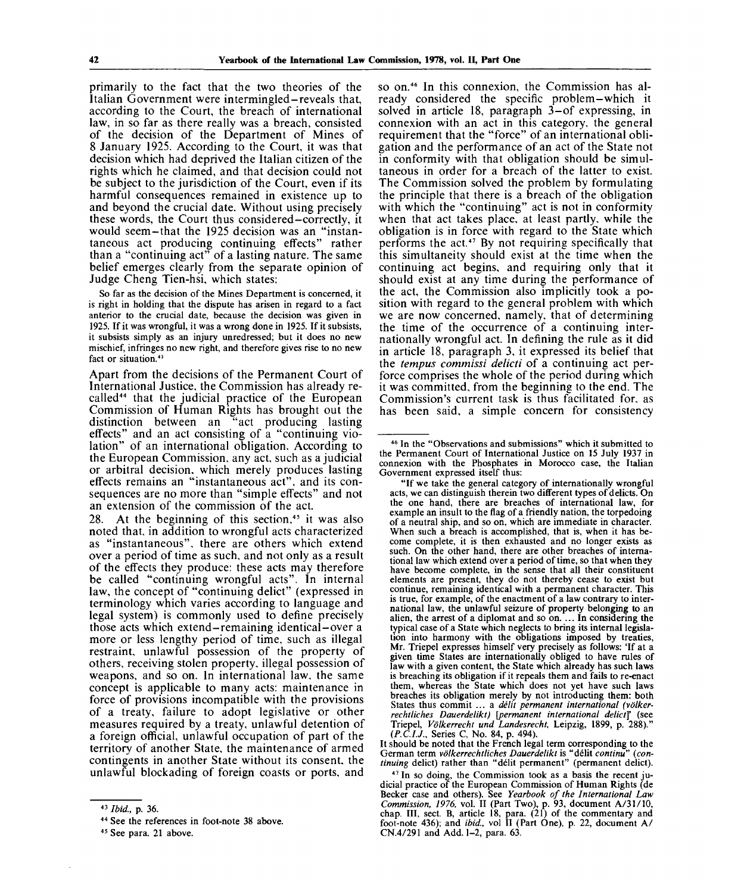primarily to the fact that the two theories of the Italian Government were intermingled-reveals that, according to the Court, the breach of international law, in so far as there really was a breach, consisted of the decision of the Department of Mines of 8 January 1925. According to the Court, it was that decision which had deprived the Italian citizen of the rights which he claimed, and that decision could not be subject to the jurisdiction of the Court, even if its harmful consequences remained in existence up to and beyond the crucial date. Without using precisely these words, the Court thus considered-correctly, it would seem-that the 1925 decision was an "instantaneous act producing continuing effects" rather than a "continuing act" of a lasting nature. The same belief emerges clearly from the separate opinion of Judge Cheng Tien-hsi, which states:

So far as the decision of the Mines Department is concerned, it is right in holding that the dispute has arisen in regard to a fact anterior to the crucial date, because the decision was given in 1925. If it was wrongful, it was a wrong done in 1925. If it subsists, it subsists simply as an injury unredressed; but it does no new mischief, infringes no new right, and therefore gives rise to no new fact or situation.<sup>43</sup>

Apart from the decisions of the Permanent Court of International Justice, the Commission has already recalled<sup>44</sup> that the judicial practice of the European Commission of Human Rights has brought out the distinction between an "act producing lasting effects" and an act consisting of a "continuing violation" of an international obligation. According to the European Commission, any act, such as a judicial or arbitral decision, which merely produces lasting effects remains an "instantaneous act", and its consequences are no more than "simple effects" and not an extension of the commission of the act.

28. At the beginning of this section,<sup>45</sup> it was also noted that, in addition to wrongful acts characterized as "instantaneous", there are others which extend over a period of time as such, and not only as a result of the effects they produce: these acts may therefore be called "continuing wrongful acts". In internal law, the concept of "continuing delict" (expressed in terminology which varies according to language and legal system) is commonly used to define precisely those acts which extend-remaining identical-over a more or less lengthy period of time, such as illegal restraint, unlawful possession of the property of others, receiving stolen property, illegal possession of weapons, and so on. In international law, the same concept is applicable to many acts: maintenance in force of provisions incompatible with the provisions of a treaty, failure to adopt legislative or other measures required by a treaty, unlawful detention of a foreign official, unlawful occupation of part of the territory of another State, the maintenance of armed contingents in another State without its consent, the unlawful blockading of foreign coasts or ports, and

so on.<sup>46</sup> In this connexion, the Commission has already considered the specific problem-which it solved in article 18, paragraph 3-of expressing, in connexion with an act in this category, the general requirement that the "force" of an international obligation and the performance of an act of the State not in conformity with that obligation should be simultaneous in order for a breach of the latter to exist. The Commission solved the problem by formulating the principle that there is a breach of the obligation with which the "continuing" act is not in conformity when that act takes place, at least partly, while the obligation is in force with regard to the State which performs the act.<sup>47</sup> By not requiring specifically that this simultaneity should exist at the time when the continuing act begins, and requiring only that it should exist at any time during the performance of the act, the Commission also implicitly took a position with regard to the general problem with which we are now concerned, namely, that of determining the time of the occurrence of a continuing internationally wrongful act. In defining the rule as it did in article 18, paragraph 3, it expressed its belief that the *tempus commissi delicti* of a continuing act perforce comprises the whole of the period during which it was committed, from the beginning to the end. The Commission's current task is thus facilitated for. as has been said, a simple concern for consistency

It should be noted that the French legal term corresponding to the German term *volkerrechtliches Dauerdelikt* is "delit *continu" (continuing* delict) rather than "delit permanent " (permanent delict).

<sup>47</sup> In so doing, the Commission took as a basis the recent judicial practice of the European Commission of Human Rights (de Becker case and others). See *Yearbook of the International Law Commission, 1976,* vol. II (Part Two), p. 93, document A/31/10, chap. III, sect. B, article  $\overline{18}$ , para.  $(21)$  of the commentary and foot-note 436); and *ibid.*, vol II (Part One), p. 22, document A/ CN.4/291 and Add. 1-2, para. 63.

<sup>43</sup>  *Ibid.,* p. 36.

<sup>44</sup> See the references in foot-note 38 above.

<sup>45</sup> See para. 21 above.

<sup>46</sup> In the "Observations and submissions" which it submitted to the Permanent Court of International Justice on 15 July 1937 in connexion with the Phosphates in Morocco case, the Italian Government expressed itself thus:

<sup>&</sup>quot;If we take the general category of internationally wrongful acts, we can distinguish therein two different types of delicts. On the one hand, there are breaches of international law, for example an insult to the flag of a friendly nation, the torpedoing of a neutral ship, and so on, which are immediate in character. When such a breach is accomplished, that is, when it has become complete, it is then exhausted and no longer exists as such. On the other hand, there are other breaches of international law which extend over a period of time, so that when they have become complete, in the sense that all their constituent elements are present, they do not thereby cease to exist but continue, remaining identical with a permanent character. This is true, for example, of the enactment of a law contrary to international law, the unlawful seizure of property belonging to an alien, the arrest of a diplomat and so on. ... In considering the typical case of a State which neglects to bring its internal legislation into harmony with the obligations imposed by treaties, Mr. Triepel expresses himself very precisely as follows: 'If at a given time States are internationally obliged to have rules of law with a given content, the State which already has such laws is breaching its obligation if it repeals them and fails to re-enact them, whereas the State which does not yet have such laws breaches its obligation merely by not introducting them: both States thus commit ... a *delit permanent international (vo'lkerrechtliches Dauerdelikt) [permanent international delict]* (see Triepel, *Volkerrecht und Landesrecht,* Leipzig, 1899, p. 288)." *(P.C.IJ.,* Series C, No. 84, p. 494).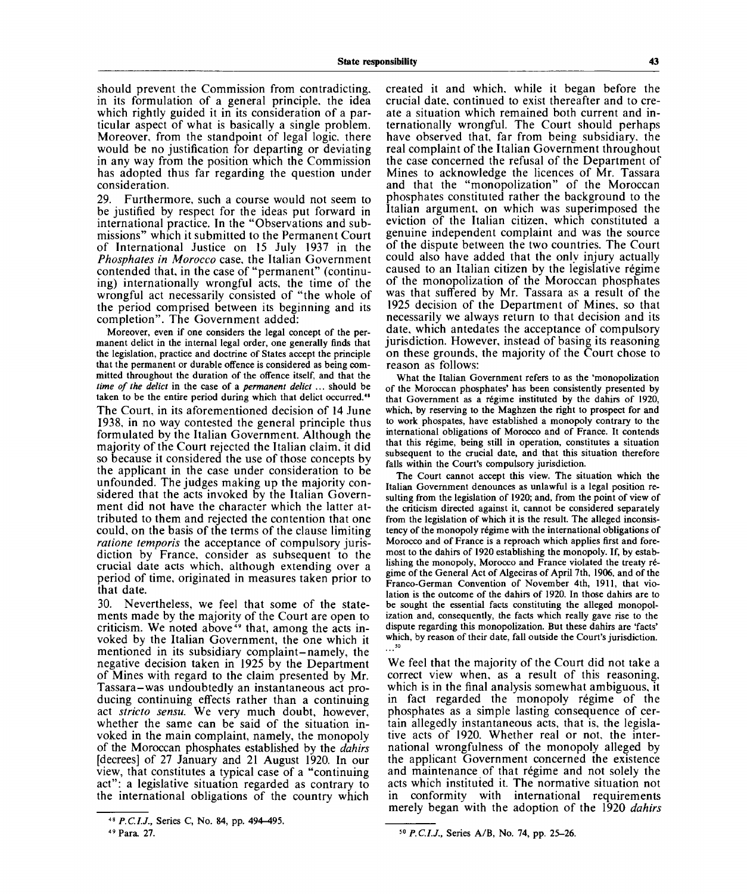should prevent the Commission from contradicting, in its formulation of a general principle, the idea which rightly guided it in its consideration of a particular aspect of what is basically a single problem. Moreover, from the standpoint of legal logic, there would be no justification for departing or deviating in any way from the position which the Commission has adopted thus far regarding the question under consideration.

29. Furthermore, such a course would not seem to be justified by respect for the ideas put forward in international practice. In the "Observations and submissions" which it submitted to the Permanent Court of International Justice on 15 July 1937 in the *Phosphates in Morocco* case, the Italian Government contended that, in the case of "permanent" (continuing) internationally wrongful acts, the time of the wrongful act necessarily consisted of "the whole of the period comprised between its beginning and its completion". The Government added:

Moreover, even if one considers the legal concept of the permanent delict in the internal legal order, one generally finds that the legislation, practice and doctrine of States accept the principle that the permanent or durable offence is considered as being committed throughout the duration of the offence itself, and that the *time of the delict* in the case of a *permanent delict ..*. should be taken to be the entire period during which that delict occurred.<sup>48</sup> The Court, in its aforementioned decision of 14 June 1938, in no way contested the general principle thus formulated by the Italian Government. Although the majority of the Court rejected the Italian claim, it did so because it considered the use of those concepts by the applicant in the case under consideration to be unfounded. The judges making up the majority considered that the acts invoked by the Italian Government did not have the character which the latter attributed to them and rejected the contention that one could, on the basis of the terms of the clause limiting *ratione temporis* the acceptance of compulsory jurisdiction by France, consider as subsequent to the crucial date acts which, although extending over a period of time, originated in measures taken prior to that date.

30. Nevertheless, we feel that some of the statements made by the majority of the Court are open to criticism. We noted above<sup>49</sup> that, among the acts invoked by the Italian Government, the one which it mentioned in its subsidiary complaint-namely, the negative decision taken in 1925 by the Department of Mines with regard to the claim presented by Mr. Tassara-was undoubtedly an instantaneous act producing continuing effects rather than a continuing act *stricto sensu.* We very much doubt, however, whether the same can be said of the situation invoked in the main complaint, namely, the monopoly of the Moroccan phosphates established by the *dahirs* [decrees] of 27 January and 21 August 1920. In our view, that constitutes a typical case of a "continuing act": a legislative situation regarded as contrary to the international obligations of the country which

created it and which, while it began before the crucial date, continued to exist thereafter and to create a situation which remained both current and internationally wrongful. The Court should perhaps have observed that, far from being subsidiary, the real complaint of the Italian Government throughout the case concerned the refusal of the Department of Mines to acknowledge the licences of Mr. Tassara and that the "monopolization" of the Moroccan phosphates constituted rather the background to the Italian argument, on which was superimposed the eviction of the Italian citizen, which constituted a genuine independent complaint and was the source of the dispute between the two countries. The Court could also have added that the only injury actually caused to an Italian citizen by the legislative regime of the monopolization of the Moroccan phosphates was that suffered by Mr. Tassara as a result of the 1925 decision of the Department of Mines, so that necessarily we always return to that decision and its date, which antedates the acceptance of compulsory jurisdiction. However, instead of basing its reasoning on these grounds, the majority of the Court chose to reason as follows:

What the Italian Government refers to as the 'monopolization of the Moroccan phosphates' has been consistently presented by that Government as a regime instituted by the dahirs of 1920, which, by reserving to the Maghzen the right to prospect for and to work phospates, have established a monopoly contrary to the international obligations of Morocco and of France. It contends that this regime, being still in operation, constitutes a situation subsequent to the crucial date, and that this situation therefore falls within the Court's compulsory jurisdiction.

The Court cannot accept this view. The situation which the Italian Government denounces as unlawful is a legal position resulting from the legislation of 1920; and, from the point of view of the criticism directed against it, cannot be considered separately from the legislation of which it is the result. The alleged inconsistency of the monopoly régime with the international obligations of Morocco and of France is a reproach which applies first and foremost to the dahirs of 1920 establishing the monopoly. If, by establishing the monopoly, Morocco and France violated the treaty r6 gime of the General Act of Algeciras of April 7th, 1906, and of the Franco-German Convention of November 4th, 1911, that violation is the outcome of the dahirs of 1920. In those dahirs are to be sought the essential facts constituting the alleged monopolization and, consequently, the facts which really gave rise to the dispute regarding this monopolization. But these dahirs are 'facts' which, by reason of their date, fall outside the Court's jurisdiction. **50**

We feel that the majority of the Court did not take a correct view when, as a result of this reasoning, which is in the final analysis somewhat ambiguous, it in fact regarded the monopoly régime of the phosphates as a simple lasting consequence of certain allegedly instantaneous acts, that is, the legislative acts of 1920. Whether real or not, the international wrongfulness of the monopoly alleged by the applicant Government concerned the existence and maintenance of that régime and not solely the acts which instituted it. The normative situation not in conformity with international requirements merely began with the adoption of the 1920 *dahirs*

<sup>&</sup>lt;sup>48</sup> P.C.I.J., Series C, No. 84, pp. 494-495.

<sup>49</sup> Para. 27.

<sup>50</sup>  *P.C.I.J.,* Series A/B, No. 74, pp. 25-26.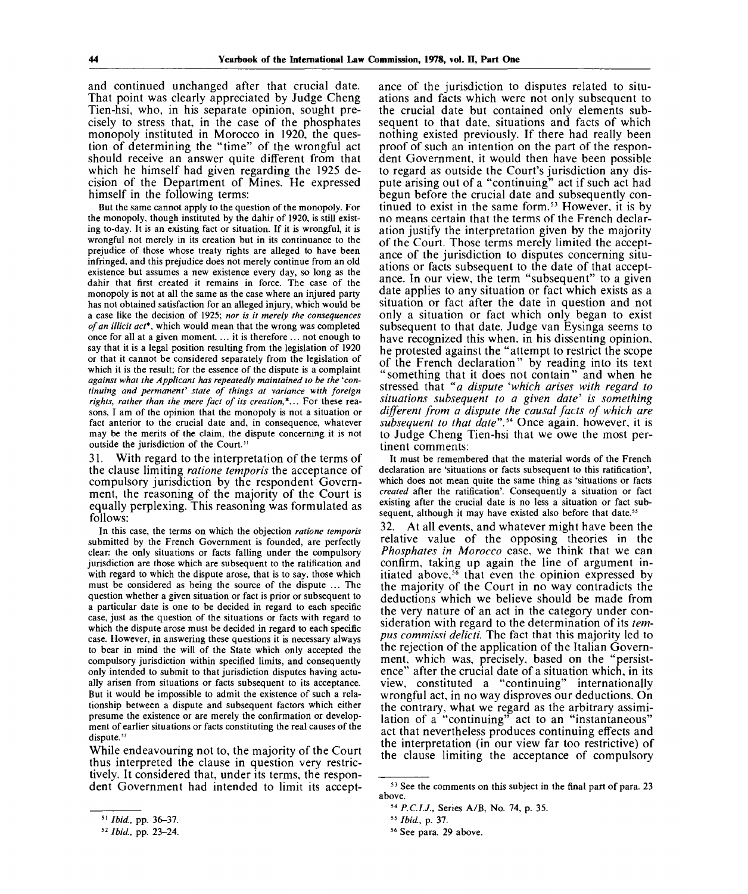and continued unchanged after that crucial date. That point was clearly appreciated by Judge Cheng Tien-hsi, who, in his separate opinion, sought precisely to stress that, in the case of the phosphates monopoly instituted in Morocco in 1920, the question of determining the "time" of the wrongful act should receive an answer quite different from that which he himself had given regarding the 1925 decision of the Department of Mines. He expressed himself in the following terms:

But the same cannot apply to the question of the monopoly. For the monopoly, though instituted by the dahir of 1920, is still existing to-day. It is an existing fact or situation. If it is wrongful, it is wrongful not merely in its creation but in its continuance to the prejudice of those whose treaty rights are alleged to have been infringed, and this prejudice does not merely continue from an old existence but assumes a new existence every day, so long as the dahir that first created it remains in force. The case of the monopoly is not at all the same as the case where an injured party has not obtained satisfaction for an alleged injury, which would be a case like the decision of 1925; *nor is it merely the consequences of an illicit act\*,* which would mean that the wrong was completed once for all at a given moment. ... it is therefore ... not enough to say that it is a legal position resulting from the legislation of 1920 or that it cannot be considered separately from the legislation of which it is the result; for the essence of the dispute is a complaint *against what the Applicant has repeatedly maintained to be the ''continuing and permanent' state of things at variance with foreign rights, rather than the mere fact of its creation,\*...* For these reasons, I am of the opinion that the monopoly is not a situation or fact anterior to the crucial date and, in consequence, whatever may be the merits of the claim, the dispute concerning it is not outside the jurisdiction of the Court."

31. With regard to the interpretation of the terms of the clause limiting *ratione temporis* the acceptance of compulsory jurisdiction by the respondent Government, the reasoning of the majority of the Court is equally perplexing. This reasoning was formulated as follows:

In this case, the terms on which the objection *ratione temporis* submitted by the French Government is founded, are perfectly clear: the only situations or facts falling under the compulsory jurisdiction are those which are subsequent to the ratification and with regard to which the dispute arose, that is to say, those which must be considered as being the source of the dispute ... The question whether a given situation or fact is prior or subsequent to a particular date is one to be decided in regard to each specific case, just as the question of the situations or facts with regard to which the dispute arose must be decided in regard to each specific case. However, in answering these questions it is necessary always to bear in mind the will of the State which only accepted the compulsory jurisdiction within specified limits, and consequently only intended to submit to that jurisdiction disputes having actually arisen from situations or facts subsequent to its acceptance. But it would be impossible to admit the existence of such a relationship between a dispute and subsequent factors which either presume the existence or are merely the confirmation or development of earlier situations or facts constituting the real causes of the dispute.<sup>52</sup>

While endeavouring not to, the majority of the Court thus interpreted the clause in question very restrictively. It considered that, under its terms, the respondent Government had intended to limit its acceptance of the jurisdiction to disputes related to situations and facts which were not only subsequent to the crucial date but contained only elements subsequent to that date, situations and facts of which nothing existed previously. If there had really been proof of such an intention on the part of the respondent Government, it would then have been possible to regard as outside the Court's jurisdiction any dispute arising out of a "continuing" act if such act had begun before the crucial date and subsequently continued to exist in the same form.<sup>53</sup> However, it is by no means certain that the terms of the French declaration justify the interpretation given by the majority of the Court. Those terms merely limited the acceptance of the jurisdiction to disputes concerning situations or facts subsequent to the date of that acceptance. In our view, the term "subsequent" to a given date applies to any situation or fact which exists as a situation or fact after the date in question and not only a situation or fact which only began to exist subsequent to that date. Judge van Eysinga seems to have recognized this when, in his dissenting opinion, he protested against the "attempt to restrict the scope of the French declaration" by reading into its text "something that it does not contain" and when he stressed that *"a dispute 'which arises with regard to situations subsequent to a given date' is something different from a dispute the causal facts of which are subsequent to that date".<sup>54</sup>* Once again, however, it is to Judge Cheng Tien-hsi that we owe the most pertinent comments:

It must be remembered that the material words of the French declaration are 'situations or facts subsequent to this ratification', which does not mean quite the same thing as 'situations or facts *created* after the ratification'. Consequently a situation or fact existing after the crucial date is no less a situation or fact subsequent, although it may have existed also before that date.<sup>5</sup>

32. At all events, and whatever might have been the relative value of the opposing theories in the *Phosphates in Morocco* case, we think that we can confirm, taking up again the line of argument initiated above,<sup>56</sup> that even the opinion expressed by the majority of the Court in no way contradicts the deductions which we believe should be made from the very nature of an act in the category under consideration with regard to the determination of its *tempus commissi delicti.* The fact that this majority led to the rejection of the application of the Italian Government, which was, precisely, based on the "persistence" after the crucial date of a situation which, in its view, constituted a "continuing" internationally wrongful act, in no way disproves our deductions. On the contrary, what we regard as the arbitrary assimilation of a "continuing" act to an "instantaneous" act that nevertheless produces continuing effects and the interpretation (in our view far too restrictive) of the clause limiting the acceptance of compulsory

<sup>51</sup>  *Ibid.,* pp. 36-37.

<sup>52</sup>  *Ibid,* pp. 23-24.

<sup>&</sup>lt;sup>53</sup> See the comments on this subject in the final part of para. 23 above.

<sup>54</sup>  *P.C.I.J.,* Series A/B, No. 74, p. 35.

<sup>55</sup>  *Ibid,* p. 37.

<sup>56</sup> See para. 29 above.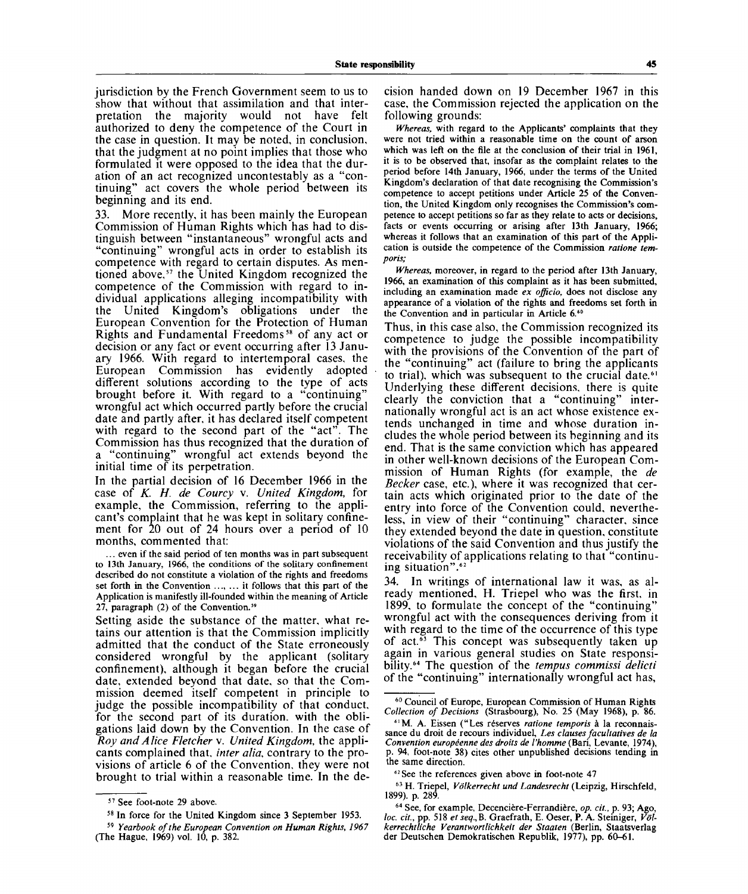jurisdiction by the French Government seem to us to show that without that assimilation and that interpretation the majority would not have felt authorized to deny the competence of the Court in the case in question. It may be noted, in conclusion, that the judgment at no point implies that those who formulated it were opposed to the idea that the duration of an act recognized uncontestably as a "continuing" act covers the whole period between its beginning and its end.

33. More recently, it has been mainly the European Commission of Human Rights which has had to distinguish between "instantaneous" wrongful acts and "continuing" wrongful acts in order to establish its competence with regard to certain disputes. As mentioned above,<sup>57</sup> the United Kingdom recognized the competence of the Commission with regard to individual applications alleging incompatibility with the United Kingdom's obligations under the European Convention for the Protection of Human Rights and Fundamental Freedoms<sup>58</sup> of any act or decision or any fact or event occurring after 13 January 1966. With regard to intertemporal cases, the European Commission has evidently adopted different solutions according to the type of acts brought before it. With regard to a "continuing" wrongful act which occurred partly before the crucial date and partly after, it has declared itself competent with regard to the second part of the "act". The Commission has thus recognized that the duration of a "continuing" wrongful act extends beyond the initial time of its perpetration.

In the partial decision of 16 December 1966 in the case of *K. H. de Courcy* v. *United Kingdom,* for example, the Commission, referring to the applicant's complaint that he was kept in solitary confinement for  $20$  out of 24 hours over a period of 10 months, commented that:

... even if the said period of ten months was in part subsequent to 13th January, 1966, the conditions of the solitary confinement described do not constitute a violation of the rights and freedoms set forth in the Convention ..., ... it follows that this part of the Application is manifestly ill-founded within the meaning of Article  $27$ , paragraph (2) of the Convention.<sup>59</sup>

Setting aside the substance of the matter, what retains our attention is that the Commission implicitly admitted that the conduct of the State erroneously considered wrongful by the applicant (solitary confinement), although it began before the crucial date, extended beyond that date, so that the Commission deemed itself competent in principle to judge the possible incompatibility of that conduct, for the second part of its duration, with the obligations laid down by the Convention. In the case of *Roy and A lice Fletcher* v. *United Kingdom,* the applicants complained that, *inter alia,* contrary to the provisions of article 6 of the Convention, they were not brought to trial within a reasonable time. In the decision handed down on 19 December 1967 in this case, the Commission rejected the application on the following grounds:

*Whereas,* with regard to the Applicants' complaints that they were not tried within a reasonable time on the count of arson which was left on the file at the conclusion of their trial in **1961,** it is to be observed that, insofar as the complaint relates to the period before 14th January, 1966, under the terms of the United Kingdom's declaration of that date recognising the Commission's competence to accept petitions under Article 25 of the Convention, the United Kingdom only recognises the Commission's competence to accept petitions so far as they relate to acts or decisions, facts or events occurring or arising after 13 th January, **1966;** whereas it follows that an examination of this part of the Application is outside the competence of the Commission *ratione temporis;*

*Whereas,* moreover, in regard to the period after 13th January, 1966, an examination of this complaint as it has been submitted, including an examination made *ex officio,* does not disclose any appearance of a violation of the rights and freedoms set forth in the Convention and in particular in Article 6.<sup>60</sup>

Thus, in this case also, the Commission recognized its competence to judge the possible incompatibility with the provisions of the Convention of the part of the "continuing" act (failure to bring the applicants to trial), which was subsequent to the crucial date.<sup>61</sup> Underlying these different decisions, there is quite clearly the conviction that a "continuing" internationally wrongful act is an act whose existence extends unchanged in time and whose duration includes the whole period between its beginning and its end. That is the same conviction which has appeared in other well-known decisions of the European Commission of Human Rights (for example, the *de Becker* case, etc.), where it was recognized that certain acts which originated prior to the date of the entry into force of the Convention could, nevertheless, in view of their "continuing" character, since they extended beyond the date in question, constitute violations of the said Convention and thus justify the receivability of applications relating to that "continuing situation".<sup>62</sup>

34. In writings of international law it was, as already mentioned, H. Triepel who was the first, in 1899, to formulate the concept of the "continuing" wrongful act with the consequences deriving from it with regard to the time of the occurrence of this type of act.<sup>63</sup> This concept was subsequently taken up again in various general studies on State responsibility.<sup>64</sup> The question of the *tempus commissi delicti* of the "continuing" internationally wrongful act has,

60 Council of Europe, European Commission of Human Rights *Collection of Decisions* (Strasbourg), No. 25 (May 1968), p. 86.

63 H. Triepel, *Volkerrecht und Landesrecht* (Leipzig, Hirschfeld, 1899). p. 289.

64 See, for example, Decenciere-Ferrandiere, *op. cit.,* p. 93; Ago, *loc. cit.,* pp. 518 *et seq.,B.* Graefrath, E. Oeser, P. A. Steiniger, *Vo'lkerrechtliche Verantwortlichkeit der Staaten* (Berlin, Staatsverlag der Deutschen Demokratischen Republik, 1977), pp. 60-61.

<sup>57</sup> See foot-note 29 above.

<sup>58</sup> In force for the United Kingdom since 3 September 1953.

<sup>59</sup>  *Yearbook of the European Convention on Human Rights, 1967* (The Hague, 1969) vol. 10, p. 382.

<sup>61</sup>M. A. Eissen ("Les reserves *ratione temporis* a la reconnaissance du droit de recours individuel, *Les clauses facultatives de la Convention europeenne des droits de I'homme* (Bari, Levante, 1974), p. 94, foot-note 38) cites other unpublished decisions tending in the same direction.

<sup>&</sup>lt;sup>62</sup> See the references given above in foot-note 47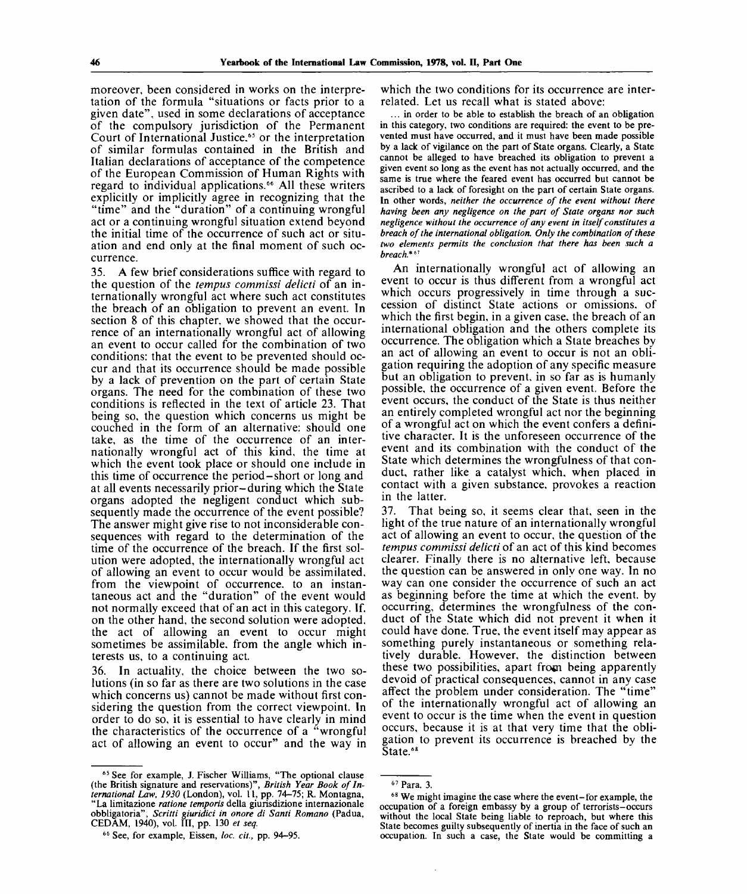moreover, been considered in works on the interpretation of the formula "situations or facts prior to a given date", used in some declarations of acceptance of the compulsory jurisdiction of the Permanent Court of International Justice,<sup>65</sup> or the interpretation of similar formulas contained in the British and Italian declarations of acceptance of the competence of the European Commission of Human Rights with regard to individual applications.<sup>66</sup> All these writers explicitly or implicitly agree in recognizing that the "time" and the "duration" of a continuing wrongful act or a continuing wrongful situation extend beyond the initial time of the occurrence of such act or situation and end only at the final moment of such occurrence.

35. A few brief considerations suffice with regard to the question of the *tempus commissi delicti* of an internationally wrongful act where such act constitutes the breach of an obligation to prevent an event. In section 8 of this chapter, we showed that the occurrence of an internationally wrongful act of allowing an event to occur called for the combination of two conditions: that the event to be prevented should occur and that its occurrence should be made possible by a lack of prevention on the part of certain State organs. The need for the combination of these two conditions is reflected in the text of article 23. That being so, the question which concerns us might be couched in the form of an alternative: should one take, as the time of the occurrence of an internationally wrongful act of this kind, the time at which the event took place or should one include in this time of occurrence the period-short or long and at all events necessarily prior-during which the State organs adopted the negligent conduct which subsequently made the occurrence of the event possible? The answer might give rise to not inconsiderable consequences with regard to the determination of the time of the occurrence of the breach. If the first solution were adopted, the internationally wrongful act of allowing an event to occur would be assimilated, from the viewpoint of occurrence, to an instantaneous act and the "duration" of the event would not normally exceed that of an act in this category. If. on the other hand, the second solution were adopted, the act of allowing an event to occur might sometimes be assimilable, from the angle which interests us, to a continuing act.

36. In actuality, the choice between the two solutions (in so far as there are two solutions in the case which concerns us) cannot be made without first considering the question from the correct viewpoint. In order to do so, it is essential to have clearly in mind the characteristics of the occurrence of a "wrongful act of allowing an event to occur" and the way in which the two conditions for its occurrence are interrelated. Let us recall what is stated above:

... in order to be able to establish the breach of an obligation in this category, two conditions are required: the event to be prevented must have occurred, and it must have been made possible by a lack of vigilance on the part of State organs. Clearly, a State cannot be alleged to have breached its obligation to prevent a given event so long as the event has not actually occurred, and the same is true where the feared event has occurred but cannot be ascribed to a lack of foresight on the part of certain State organs. In other words, *neither the occurrence of the event without there having been any negligence on the part of State organs nor such negligence without the occurrence of any event in itself constitutes a breach of the international obligation. Only the combination of these two elements permits the conclusion that there has been such a breach.\*"<sup>1</sup>*

An internationally wrongful act of allowing an event to occur is thus different from a wrongful act which occurs progressively in time through a succession of distinct State actions or omissions, of which the first begin, in a given case, the breach of an international obligation and the others complete its occurrence. The obligation which a State breaches by an act of allowing an event to occur is not an obligation requiring the adoption of any specific measure but an obligation to prevent, in so far as is humanly possible, the occurrence of a given event. Before the event occurs, the conduct of the State is thus neither an entirely completed wrongful act nor the beginning of a wrongful act on which the event confers a definitive character. It is the unforeseen occurrence of the event and its combination with the conduct of the State which determines the wrongfulness of that conduct, rather like a catalyst which, when placed in contact with a given substance, provokes a reaction in the latter.

37. That being so, it seems clear that, seen in the light of the true nature of an internationally wrongful act of allowing an event to occur, the question of the *tempus commissi delicti* of an act of this kind becomes clearer. Finally there is no alternative left, because the question can be answered in only one way. In no way can one consider the occurrence of such an act as beginning before the time at which the event, by occurring, determines the wrongfulness of the conduct of the State which did not prevent it when it could have done. True, the event itself may appear as something purely instantaneous or something relatively durable. However, the distinction between these two possibilities, apart from being apparently devoid of practical consequences, cannot in any case affect the problem under consideration. The "time" of the internationally wrongful act of allowing an event to occur is the time when the event in question occurs, because it is at that very time that the obligation to prevent its occurrence is breached by the State.<sup>68</sup>

<sup>&</sup>lt;sup>65</sup> See for example, J. Fischer Williams, "The optional clause (the British signature and reservations)", *British Year Book of International Law, 1930* (London), vol. 11, pp. 74-75; R. Montagna, "La limitazione *ratione temporis* della giurisdizione internazionale obbligatoria", *Scritti giuridici in onore di Santi Romano* (Padua, CEDAM, 1940), vol. Ill, pp. 130 *et seq.*

<sup>66</sup> See, for example, Eissen, *loc. cit.,* pp. 94-95.

<sup>67</sup> Para. 3.

<sup>68</sup> We might imagine the case where the event-for example, the occupation of a foreign embassy by a group of terrorists-occurs without the local State being liable to reproach, but where this State becomes guilty subsequently of inertia in the face of such an occupation. In such a case, the State would be committing a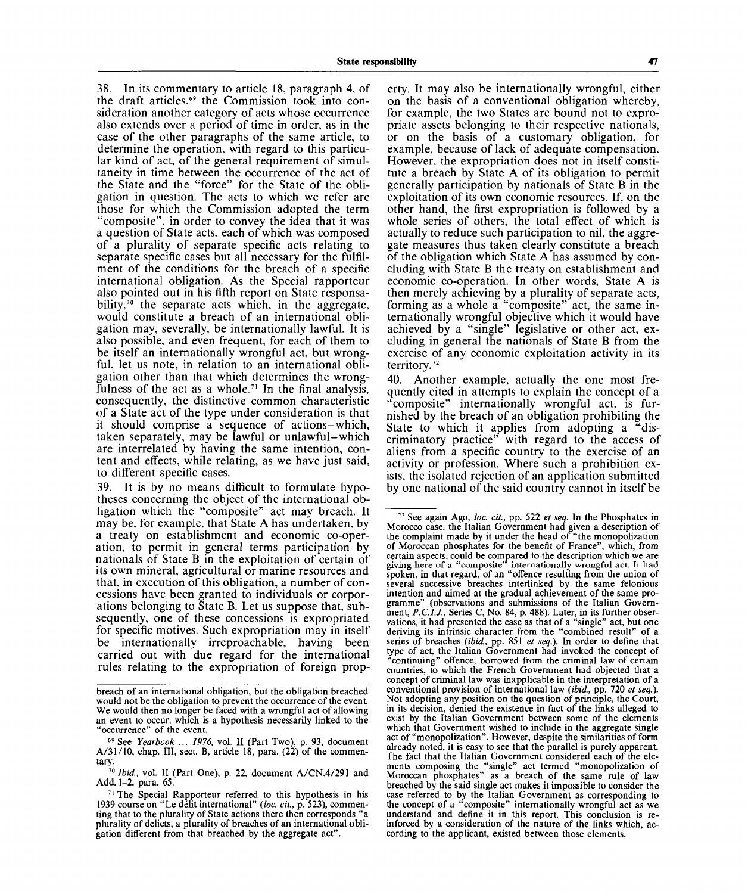38. In its commentary to article 18, paragraph 4, of the draft articles,<sup>69</sup> the Commission took into consideration another category of acts whose occurrence also extends over a period of time in order, as in the case of the other paragraphs of the same article, to determine the operation, with regard to this particular kind of act, of the general requirement of simultaneity in time between the occurrence of the act of the State and the "force" for the State of the obligation in question. The acts to which we refer are those for which the Commission adopted the term "composite", in order to convey the idea that it was a question of State acts, each of which was composed of a plurality of separate specific acts relating to separate specific cases but all necessary for the fulfilment of the conditions for the breach of a specific international obligation. As the Special rapporteur also pointed out in his fifth report on State responsability,<sup>70</sup> the separate acts which, in the aggregate, would constitute a breach of an international obligation may, severally, be internationally lawful. It is also possible, and even frequent, for each of them to be itself an internationally wrongful act, but wrongful, let us note, in relation to an international obligation other than that which determines the wrongfulness of the act as a whole.<sup>71</sup> In the final analysis, consequently, the distinctive common characteristic of a State act of the type under consideration is that it should comprise a sequence of actions-which, taken separately, may be lawful or unlawful-which are interrelated by having the same intention, content and effects, while relating, as we have just said, to different specific cases.

39. It is by no means difficult to formulate hypotheses concerning the object of the international obligation which the "composite" act may breach. It may be, for example, that State A has undertaken, by a treaty on establishment and economic co-operation, to permit in general terms participation by nationals of State B in the exploitation of certain of its own mineral, agricultural or marine resources and that, in execution of this obligation, a number of concessions have been granted to individuals or corporations belonging to State B. Let us suppose that, subsequently, one of these concessions is expropriated for specific motives. Such expropriation may in itself be internationally irreproachable, having been carried out with due regard for the international rules relating to the expropriation of foreign prop-

breach of an international obligation, but the obligation breached

erty. It may also be internationally wrongful, either on the basis of a conventional obligation whereby, for example, the two States are bound not to expropriate assets belonging to their respective nationals, or on the basis of a customary obligation, for example, because of lack of adequate compensation. However, the expropriation does not in itself constitute a breach by State A of its obligation to permit generally participation by nationals of State B in the exploitation of its own economic resources. If, on the other hand, the first expropriation is followed by a whole series of others, the total effect of which is actually to reduce such participation to nil, the aggregate measures thus taken clearly constitute a breach of the obligation which State A has assumed by concluding with State B the treaty on establishment and economic co-operation. In other words, State A is then merely achieving by a plurality of separate acts, forming as a whole a "composite" act, the same internationally wrongful objective which it would have achieved by a "single" legislative or other act, excluding in general the nationals of State B from the exercise of any economic exploitation activity in its territory.<sup>72</sup>

40. Another example, actually the one most frequently cited in attempts to explain the concept of a "composite" internationally wrongful act, is furnished by the breach of an obligation prohibiting the State to which it applies from adopting a "discriminatory practice" with regard to the access of aliens from a specific country to the exercise of an activity or profession. Where such a prohibition exists, the isolated rejection of an application submitted by one national of the said country cannot in itself be

breach of an international obligation, but the obligation breached would not be the obligation to prevent the occurrence of the event.<br>We would then no longer be faced with a wrongful act of allowing an event to occur, which is a hypothesis necessarily linked to the "occurrence" of the event.

<sup>69</sup> See *Yearbook ... 1976,* vol. II (Part Two), p. 93, document  $A/31/10$ , chap. III, sect. B, article 18, para.  $(22)$  of the commentary.

<sup>&</sup>lt;sup>70</sup> Ibid., vol. II (Part One), p. 22, document A/CN.4/291 and Add. 1-2, para. 65.

 $71$  The Special Rapporteur referred to this hypothesis in his 1939 course on "Le delit international" *{loc. cit.,* p. 523), commenting that to the plurality of State actions there then corresponds " a plurality of delicts, a plurality of breaches of an international obligation different from that breached by the aggregate act".

<sup>72</sup> See again Ago, *loc. cit.,* pp. 522 *et seq.* In the Phosphates in Morocco case, the Italian Government had given a description of the complaint made by it under the head of "the monopolization of Moroccan phosphates for the benefit of France", which, from certain aspects, could be compared to the description which we are giving here of a "composite" internationally wrongful act. It had giving here of a "composite" internationally wrongful act. It had spoken, in that regard, of an "offence resulting from the union of several successive breaches interlinked by the same felonious intention and aimed at the gradual achievement of the same programme" (observations and submissions of the Italian Government, *P.C.I.J.,* Series C, No. 84, p. 488). Later, in its further observations, it had presented the case as that of a "single" act, but one deriving its intrinsic character from the "combined result" of a series of breaches *{ibid.,* pp. 851 *et seq.).* In order to define that type of act, the Italian Government had invoked the concept of "continuing" offence, borrowed from the criminal law of certain countries, to which the French Government had objected that a concept of criminal law was inapplicable in the interpretation of a conventional provision of international law *{ibid.,* pp. 720 *et seq.).* Not adopting any position on the question of principle, the Court, in its decision, denied the existence in fact of the links alleged to exist by the Italian Government between some of the elements which that Government wished to include in the aggregate single act of "monopolization". However, despite the similarities of form already noted, it is easy to see that the parallel is purely apparent. The fact that the Italian Government considered each of the elements composing the "single" act termed "monopolization of Moroccan phosphates" as a breach of the same rule of law breached by the said single act makes it impossible to consider the case referred to by the Italian Government as corresponding to the concept of a "composite" internationally wrongful act as we understand and define it in this report. This conclusion is reinforced by a consideration of the nature of the links which, according to the applicant, existed between those elements.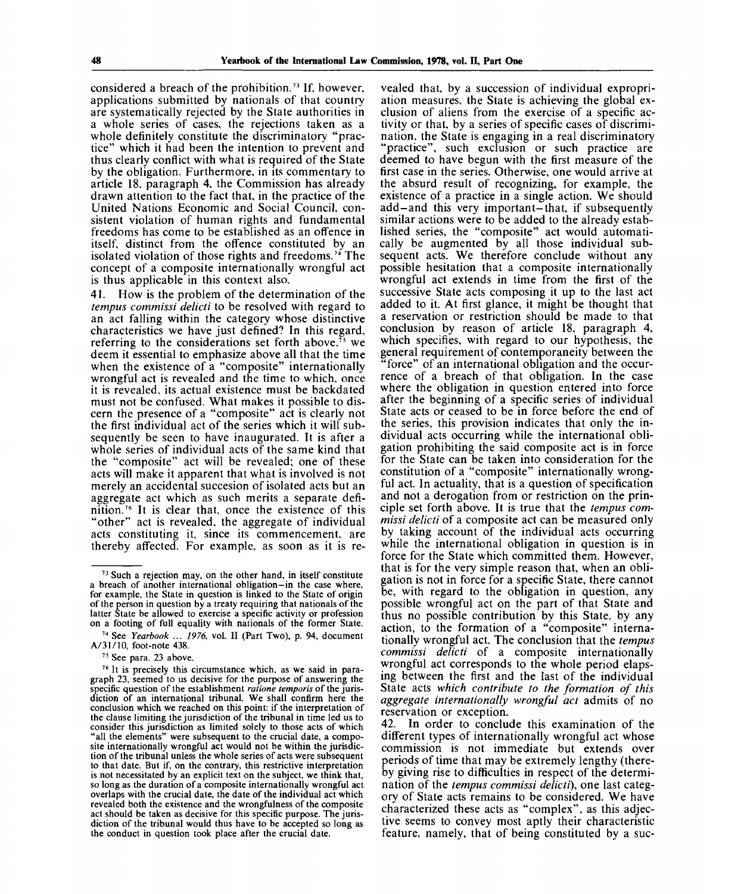considered a breach of the prohibition.<sup>73</sup> If, however, applications submitted by nationals of that country are systematically rejected by the State authorities in a whole series of cases, the rejections taken as a whole definitely constitute the discriminatory "practice" which it had been the intention to prevent and thus clearly conflict with what is required of the State by the obligation. Furthermore, in its commentary to article 18, paragraph 4, the Commission has already drawn attention to the fact that, in the practice of the United Nations Economic and Social Council, consistent violation of human rights and fundamental freedoms has come to be established as an offence in itself, distinct from the offence constituted by an isolated violation of those rights and freedoms.<sup>74</sup> The concept of a composite internationally wrongful act is thus applicable in this context also.

41. How is the problem of the determination of the *tempus commissi delicti* to be resolved with regard to an act falling within the category whose distinctive characteristics we have just defined? In this regard, enaracteristics we have just defined. In this regard,  $referring to the considerations set forth above.<sup>75</sup> we$ deem it essential to emphasize above all that the time when the existence of a "composite" internationally wrongful act is revealed and the time to which, once it is revealed, its actual existence must be backdated must not be confused. What makes it possible to discern the presence of a "composite" act is clearly not the first individual act of the series which it will subsequently be seen to have inaugurated. It is after a whole series of individual acts of the same kind that the "composite" act will be revealed; one of these acts will make it apparent that what is involved is not merely an accidental succesion of isolated acts but an aggregate act which as such merits a separate defiaggregate act which as such hiertis a separate defi-<br>nition.<sup>76</sup> It is clear that, once the existence of this "other" act is revealed, the aggregate of individual acts constituting it, since its commencement, are thereby affected. For example, as soon as it is re-

74 See *Yearbook ... 1976,* vol. II (Part Two), p. 94, document A/31/10, foot-note 438.

vealed that, by a succession of individual expropriation measures, the State is achieving the global exclusion of aliens from the exercise of a specific activity or that, by a series of specific cases of discrimination, the State is engaging in a real discriminatory "practice", such exclusion or such practice are deemed to have begun with the first measure of the first case in the series. Otherwise, one would arrive at the absurd result of recognizing, for example, the existence of a practice in a single action. We should add-and this very important-that, if subsequently similar actions were to be added to the already established series, the "composite" act would automatically be augmented by all those individual subsequent acts. We therefore conclude without any possible hesitation that a composite internationally wrongful act extends in time from the first of the successive State acts composing it up to the last act added to it. At first glance, it might be thought that a reservation or restriction should be made to that conclusion by reason of article 18, paragraph 4, which specifies, with regard to our hypothesis, the general requirement of contemporaneity between the "force" of an international obligation and the occurrence of a breach of that obligation. In the case where the obligation in question entered into force after the beginning of a specific series of individual State acts or ceased to be in force before the end of the series, this provision indicates that only the individual acts occurring while the international obligation prohibiting the said composite act is in force for the State can be taken into consideration for the constitution of a "composite" internationally wrongful act. In actuality, that is a question of specification and not a derogation from or restriction on the principle set forth above. It is true that the *tempus commissi delicti* of a composite act can be measured only by taking account of the individual acts occurring while the international obligation in question is in force for the State which committed them. However, that is for the very simple reason that, when an obligation is not in force for a specific State, there cannot be, with regard to the obligation in question, any possible wrongful act on the part of that State and thus no possible contribution by this State, by any action, to the formation of a "composite" internationally wrongful act. The conclusion that the *tempus commissi delicti* of a composite internationally wrongful act corresponds to the whole period elapsing between the first and the last of the individual State acts *which contribute to the formation of this aggregate internationally wrongful act* admits of no reservation or exception.

In order to conclude this examination of the different types of internationally wrongful act whose commission is not immediate but extends over periods of time that may be extremely lengthy (thereby giving rise to difficulties in respect of the determination of the *tempus commissi delicti),* one last category of State acts remains to be considered. We have characterized these acts as "complex", as this adjective seems to convey most aptly their characteristic feature, namely, that of being constituted by a sue-

<sup>&</sup>lt;sup>73</sup> Such a rejection may, on the other hand, in itself constitute a breach of another international obligation-in the case where, for example, the State in question is linked to the State of origin of the person in question by a treaty requiring that nationals of the latter State be allowed to exercise a specific activity or profession on a footing of full equality with nationals of the former State.

<sup>&</sup>lt;sup>75</sup> See para. 23 above.

<sup>&</sup>lt;sup>76</sup> It is precisely this circumstance which, as we said in paragraph 23, seemed to us decisive for the purpose of answering the specific question of the establishment *ratione temporis* of the jurisdiction of an international tribunal. We shall confirm here the conclusion which we reached on this point: if the interpretation of the clause limiting the jurisdiction of the tribunal in time led us to consider this jurisdiction as limited solely to those acts of which "all the elements" were subsequent to the crucial date, a composite internationally wrongful act would not be within the jurisdiction of the tribunal unless the whole series of acts were subsequent to that date. But if, on the contrary, this restrictive interpretation is not necessitated by an explicit text on the subject, we think that, so long as the duration of a composite internationally wrongful act overlaps with the crucial date, the date of the individual act which revealed both the existence and the wrongfulness of the composite act should be taken as decisive for this specific purpose. The jurisdiction of the tribunal would thus have to be accepted so long as the conduct in question took place after the crucial date.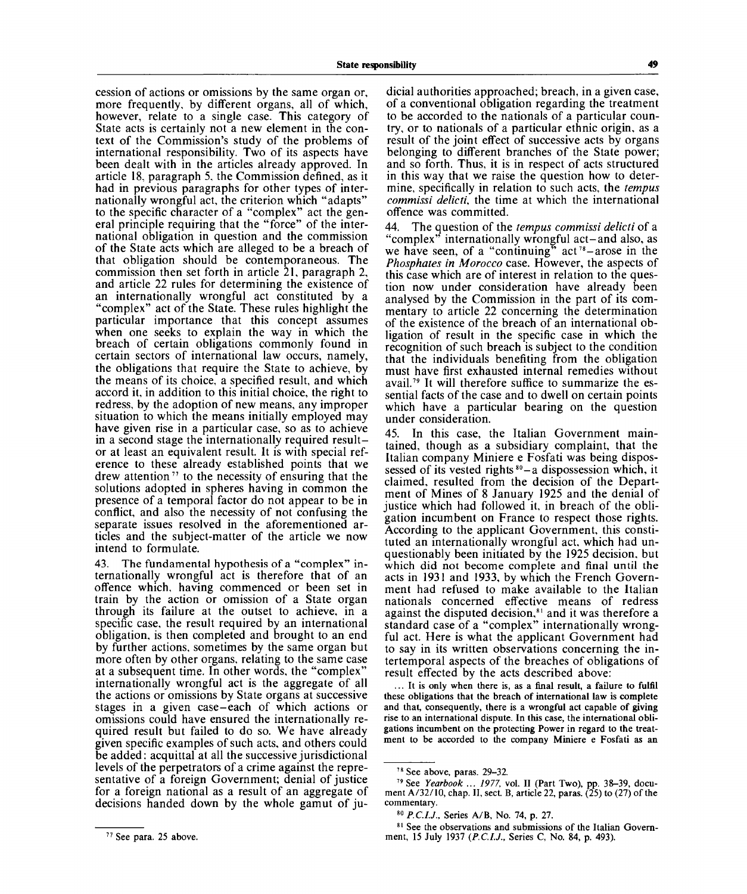cession of actions or omissions by the same organ or, more frequently, by different organs, all of which, however, relate to a single case. This category of State acts is certainly not a new element in the context of the Commission's study of the problems of international responsibility. Two of its aspects have been dealt with in the articles already approved. In article 18, paragraph 5, the Commission defined, as it had in previous paragraphs for other types of internationally wrongful act, the criterion which "adapts" to the specific character of a "complex" act the general principle requiring that the "force" of the international obligation in question and the commission of the State acts which are alleged to be a breach of that obligation should be contemporaneous. The commission then set forth in article 21, paragraph 2, and article 22 rules for determining the existence of an internationally wrongful act constituted by a "complex" act of the State. These rules highlight the particular importance that this concept assumes when one seeks to explain the way in which the breach of certain obligations commonly found in certain sectors of international law occurs, namely, the obligations that require the State to achieve, by the means of its choice, a specified result, and which accord it, in addition to this initial choice, the right to redress, by the adoption of new means, any improper situation to which the means initially employed may have given rise in a particular case, so as to achieve in a second stage the internationally required resultor at least an equivalent result. It is with special reference to these already established points that we drew attention<sup>77</sup> to the necessity of ensuring that the solutions adopted in spheres having in common the presence of a temporal factor do not appear to be in conflict, and also the necessity of not confusing the separate issues resolved in the aforementioned articles and the subject-matter of the article we now intend to formulate.

43. The fundamental hypothesis of a "complex" internationally wrongful act is therefore that of an offence which, having commenced or been set in train by the action or omission of a State organ through its failure at the outset to achieve, in a specific case, the result required by an international obligation, is then completed and brought to an end by further actions, sometimes by the same organ but more often by other organs, relating to the same case at a subsequent time. In other words, the "complex" internationally wrongful act is the aggregate of all the actions or omissions by State organs at successive stages in a given case-each of which actions or omissions could have ensured the internationally required result but failed to do so. We have already given specific examples of such acts, and others could be added: acquittal at all the successive jurisdictional levels of the perpetrators of a crime against the representative of a foreign Government; denial of justice for a foreign national as a result of an aggregate of decisions handed down by the whole gamut of ju-

dicial authorities approached; breach, in a given case, of a conventional obligation regarding the treatment to be accorded to the nationals of a particular country, or to nationals of a particular ethnic origin, as a result of the joint effect of successive acts by organs belonging to different branches of the State power; and so forth. Thus, it is in respect of acts structured in this way that we raise the question how to determine, specifically in relation to such acts, the *tempus commissi delicti,* the time at which the international offence was committed.

44. The question of the *tempus commissi delicti* of a "complex" internationally wrongful act-and also, as we have seen, of a "continuing" act<sup>78</sup>-arose in the *Phosphates in Morocco* case. However, the aspects of this case which are of interest in relation to the question now under consideration have already been analysed by the Commission in the part of its commentary to article 22 concerning the determination of the existence of the breach of an international obligation of result in the specific case in which the recognition of such breach is subject to the condition that the individuals benefiting from the obligation must have first exhausted internal remedies without avail.<sup>79</sup> It will therefore suffice to summarize the essential facts of the case and to dwell on certain points which have a particular bearing on the question under consideration.

45. In this case, the Italian Government maintained, though as a subsidiary complaint, that the Italian company Miniere e Fosfati was being dispossessed of its vested rights  $^{80}$  – a dispossession which, it claimed, resulted from the decision of the Department of Mines of 8 January 1925 and the denial of justice which had followed it, in breach of the obligation incumbent on France to respect those rights. According to the applicant Government, this constituted an internationally wrongful act, which had unquestionably been initiated by the 1925 decision, but which did not become complete and final until the acts in 1931 and 1933, by which the French Government had refused to make available to the Italian nationals concerned effective means of redress mationally concerned enterive incalist of redress<br>against the disputed decision.<sup>81</sup> and it was therefore a standard case of a "complex" internationally wrongful act. Here is what the applicant Government had to say in its written observations concerning the intertemporal aspects of the breaches of obligations of result effected by the acts described above:

... **It** is only when there is, as a final result, a failure to fulfil these obligations that the breach of international law is complete and that, consequently, there is a wrongful act capable of giving rise to an international dispute. In this case, the international obligations incumbent on the protecting Power in regard to the treatment to be accorded to the company Miniere e Fosfati as an

<sup>78</sup> See above, paras. 29-32.

<sup>79</sup> See *Yearbook ... 1977,* vol. II (Part Two), pp. 38-39, document A/32/10, chap. II, sect. B, article 22, paras. (25) to (27) of the commentary.

<sup>80</sup>  *P.C.IJ.,* Series A/B, No. 74, p. 27.

<sup>8&</sup>lt;sup>1</sup> See the observations and submissions of the Italian Government, 15 July 1937 *(P.C.I.J.,* Series C, No. 84, p. 493).

<sup>&</sup>lt;sup>77</sup> See para. 25 above.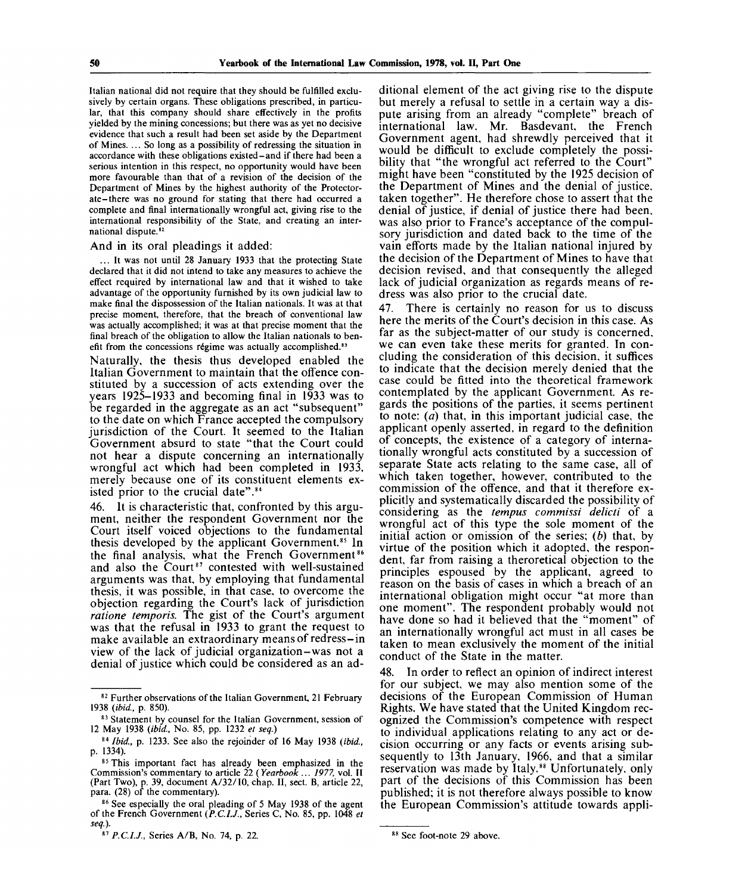Italian national did not require that they should be fulfilled exclusively by certain organs. These obligations prescribed, in particular, that this company should share effectively in the profits yielded by the mining concessions; but there was as yet no decisive evidence that such a result had been set aside by the Department of Mines. ... So long as a possibility of redressing the situation in accordance with these obligations existed-and if there had been a serious intention in this respect, no opportunity would have been more favourable than that of a revision of the decision of the Department of Mines by the highest authority of the Protectorate-there was no ground for stating that there had occurred a complete and final internationally wrongful act, giving rise to the international responsibility of the State, and creating an international dispute.<sup>82</sup>

#### And in its oral pleadings it added:

... It was not until 28 January 1933 that the protecting State declared that it did not intend to take any measures to achieve the effect required by international law and that it wished to take advantage of the opportunity furnished by its own judicial law to make final the dispossession of the Italian nationals. It was at that precise moment, therefore, that the breach of conventional law was actually accomplished; it was at that precise moment that the final breach of the obligation to allow the Italian nationals to benefit from the concessions régime was actually accomplished.<sup>83</sup>

Naturally, the thesis thus developed enabled the Italian Government to maintain that the offence constituted by a succession of acts extending over the years 1925-1933 and becoming final in 1933 was to be regarded in the aggregate as an act "subsequent" to the date on which France accepted the compulsory jurisdiction of the Court. It seemed to the Italian Government absurd to state "that the Court could not hear a dispute concerning an internationally wrongful act which had been completed in 1933, merely because one of its constituent elements existed prior to the crucial date".<sup>84</sup>

46. It is characteristic that, confronted by this argument, neither the respondent Government nor the Court itself voiced objections to the fundamental thesis developed by the applicant Government.<sup>85</sup> In the final analysis, what the French Government<sup>86</sup> and also the Court<sup>87</sup> contested with well-sustained arguments was that, by employing that fundamental thesis, it was possible, in that case, to overcome the objection regarding the Court's lack of jurisdiction *ratione temporis.* The gist of the Court's argument was that the refusal in 1933 to grant the request to make available an extraordinary means of redress-in view of the lack of judicial organization-was not a denial of justice which could be considered as an ad-

ditional element of the act giving rise to the dispute but merely a refusal to settle in a certain way a dispute arising from an already "complete" breach of international law. Mr. Basdevant, the French Government agent, had shrewdly perceived that it would be difficult to exclude completely the possibility that "the wrongful act referred to the Court" might have been "constituted by the 1925 decision of the Department of Mines and the denial of justice, taken together". He therefore chose to assert that the denial of justice, if denial of justice there had been, was also prior to France's acceptance of the compulsory jurisdiction and dated back to the time of the vain efforts made by the Italian national injured by the decision of the Department of Mines to have that decision revised, and that consequently the alleged lack of judicial organization as regards means of redress was also prior to the crucial date.

47. There is certainly no reason for us to discuss here the merits of the Court's decision in this case. As far as the subject-matter of our study is concerned, we can even take these merits for granted. In concluding the consideration of this decision, it suffices to indicate that the decision merely denied that the case could be fitted into the theoretical framework contemplated by the applicant Government. As regards the positions of the parties, it seems pertinent to note: *(a)* that, in this important judicial case, the applicant openly asserted, in regard to the definition of concepts, the existence of a category of internationally wrongful acts constituted by a succession of separate State acts relating to the same case, all of which taken together, however, contributed to the commission of the offence, and that it therefore explicitly and systematically discarded the possibility of considering as the *tempus commissi delicti* of a wrongful act of this type the sole moment of the initial action or omission of the series; *(b)* that, by virtue of the position which it adopted, the respondent, far from raising a theroretical objection to the principles espoused by the applicant, agreed to reason on the basis of cases in which a breach of an international obligation might occur "at more than one moment". The respondent probably would not have done so had it believed that the "moment" of an internationally wrongful act must in all cases be taken to mean exclusively the moment of the initial conduct of the State in the matter.

48. In order to reflect an opinion of indirect interest for our subject, we may also mention some of the decisions of the European Commission of Human Rights. We have stated that the United Kingdom recognized the Commission's competence with respect to individual applications relating to any act or decision occurring or any facts or events arising subsequently to 13th January, 1966, and that a similar reservation was made by Italy.<sup>88</sup> Unfortunately, only part of the decisions of this Commission has been published; it is not therefore always possible to know the European Commission's attitude towards appli-

<sup>&</sup>lt;sup>82</sup> Further observations of the Italian Government, 21 February 1938 *(ibid,* p. 850).

<sup>83</sup> Statement by counsel for the Italian Government, session of 12 May 1938 *(ibid,* No. 85, pp. 1232 *et seq.)*

<sup>84</sup>  *Ibid,* p. 1233. See also the rejoinder of 16 May 1938 *(ibid,* p. 1334).

<sup>&</sup>lt;sup>85</sup> This important fact has already been emphasized in the Commission's commentary to article 22 *(Yearbook ... 1977,* vol. II (Part Two), p. 39, document A/32/10 , chap. II, sect. B, article 22, para. (28) of the commentary).

<sup>&</sup>lt;sup>86</sup> See especially the oral pleading of 5 May 1938 of the agent of the French Government *(P.C.IJ.,* Series C, No . 85, pp. 1048 *et seq.).*

<sup>87</sup> P.C.I.J., Series A/B, No. 74, p. 22.

<sup>88</sup> See foot-note 29 above.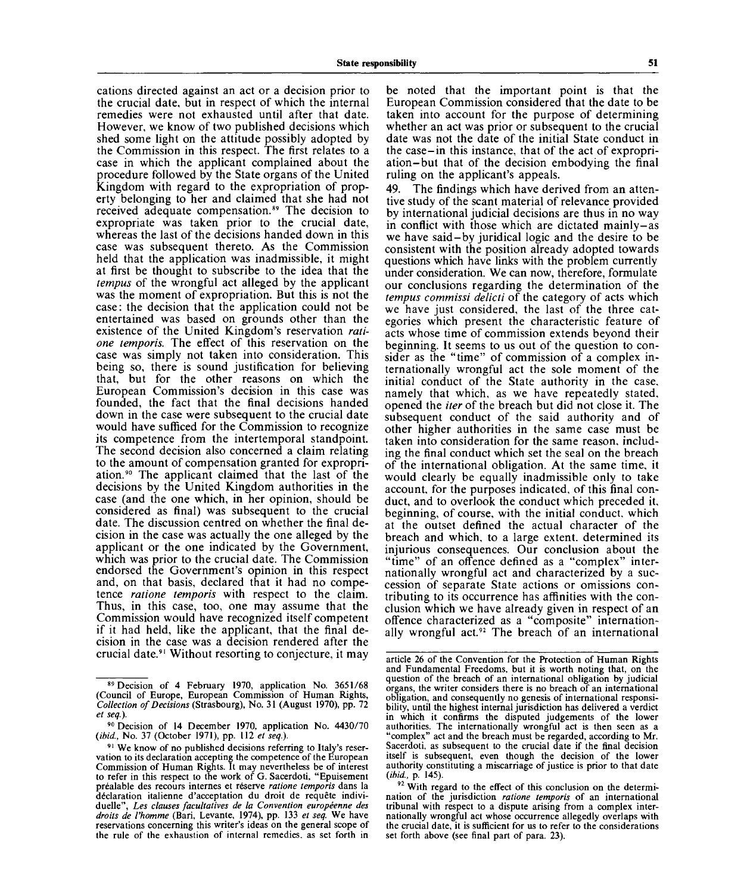cations directed against an act or a decision prior to the crucial date, but in respect of which the internal remedies were not exhausted until after that date. However, we know of two published decisions which shed some light on the attitude possibly adopted by the Commission in this respect. The first relates to a case in which the applicant complained about the procedure followed by the State organs of the United Kingdom with regard to the expropriation of property belonging to her and claimed that she had not received adequate compensation.<sup>89</sup> The decision to expropriate was taken prior to the crucial date, whereas the last of the decisions handed down in this case was subsequent thereto. As the Commission held that the application was inadmissible, it might at first be thought to subscribe to the idea that the *tempus* of the wrongful act alleged by the applicant was the moment of expropriation. But this is not the case: the decision that the application could not be entertained was based on grounds other than the existence of the United Kingdom's reservation *ratione temporis.* The effect of this reservation on the case was simply not taken into consideration. This being so, there is sound justification for believing that, but for the other reasons on which the European Commission's decision in this case was founded, the fact that the final decisions handed down in the case were subsequent to the crucial date would have sufficed for the Commission to recognize would have sumed for the Commission to recognize its competence from the intertemporal standpoint. The second decision also concerned a claim relating to the amount of compensation granted for expropri-<br>ction.<sup>90</sup>, The condition delimed that the lest of the ation.<sup>90</sup> The applicant claimed that the last of the decisions by the United Kingdom authorities in the case (and the one which, in her opinion, should be considered as final) was subsequent to the crucial date. The discussion centred on whether the final decision in the case was actually the one alleged by the applicant or the one indicated by the Government, which was prior to the crucial date. The Commission endorsed the Government's opinion in this respect and, on that basis, declared that it had no competence *ratione temporis* with respect to the claim. Thus, in this case, too, one may assume that the Commission would have recognized itself competent if it had held, like the applicant, that the final decision in the case was a decision rendered after the

be noted that the important point is that the European Commission considered that the date to be taken into account for the purpose of determining whether an act was prior or subsequent to the crucial date was not the date of the initial State conduct in the case-in this instance, that of the act of expropriation-but that of the decision embodying the final ruling on the applicant's appeals.

49. The findings which have derived from an attentive study of the scant material of relevance provided by international judicial decisions are thus in no way in conflict with those which are dictated mainly-as we have said-by juridical logic and the desire to be consistent with the position already adopted towards questions which have links with the problem currently under consideration. We can now, therefore, formulate our conclusions regarding the determination of the *tempus commissi delicti* of the category of acts which we have just considered, the last of the three categories which present the characteristic feature of acts whose time of commission extends beyond their beginning. It seems to us out of the question to consider as the "time" of commission of a complex internationally wrongful act the sole moment of the initial conduct of the State authority in the case, namely that which, as we have repeatedly stated, opened the *her* of the breach but did not close it. The subsequent conduct of the said authority and of other higher authorities in the same case must be taken into consideration for the same reason, including the final conduct which set the seal on the breach of the international obligation. At the same time, it would clearly be equally inadmissible only to take account, for the purposes indicated, of this final conduct, and to overlook the conduct which preceded it, beginning, of course, with the initial conduct, which at the outset defined the actual character of the breach and which, to a large extent, determined its injurious consequences. Our conclusion about the "time" of an offence defined as a "complex" internationally wrongful act and characterized by a succession of separate State actions or omissions contributing to its occurrence has affinities with the conclusion which we have already given in respect of an offence characterized as a "composite" internationally wrongful act.<sup>92</sup> The breach of an international

<sup>89</sup> Decision of 4 February 1970, application No. 3651/68 (Council of Europe, European Commission of Human Rights, *Collection of Decisions* (Strasbourg), No. 31 (August 1970), pp. 72 *et seq.).*

<sup>&</sup>lt;sup>90</sup> Decision of 14 December 1970, application No. 4430/70 *{ibid.,* No. 37 (October 1971), pp. 112 *et seq.).*

<sup>&</sup>lt;sup>91</sup> We know of no published decisions referring to Italy's reservation to its declaration accepting the competence of the European Commission of Human Rights. It may nevertheless be of interest to refer in this respect to the work of G. Sacerdoti, "Epuisement prealable des recours internes et reserve *ratione temporis* dans la declaration italienne d'acceptation du droit de requete individuelle", Les clauses facultatives de la Convention européenne des *droits de Vhomme* (Bari, Levante, 1974), pp. 133 *et seq.* We have reservations concerning this writer's ideas on the general scope of the rule of the exhaustion of internal remedies, as set forth in

article 26 of the Convention for the Protection of Human Rights and Fundamental Freedoms, but it is worth noting that, on the question of the breach of an international obligation by judicial organs, the writer considers there is no breach of an international obligation, and consequently no genesis of international responsibility, until the highest internal jurisdiction has delivered a verdict in which it confirms the disputed judgements of the lower authorities. The internationally wrongful act is then seen as a "complex" act and the breach must be regarded, according to Mr. Sacerdoti, as subsequent to the crucial date if the final decision itself is subsequent, even though the decision of the lower authority constituting a miscarriage of justice is prior to that date *(ibid.,* p. 145).

<sup>&</sup>lt;sup>92</sup> With regard to the effect of this conclusion on the determination of the jurisdiction *ratione temporis* of an international tribunal with respect to a dispute arising from a complex internationally wrongful act whose occurrence allegedly overlaps with the crucial date, it is sufficient for us to refer to the considerations set forth above (see final part of para. 23).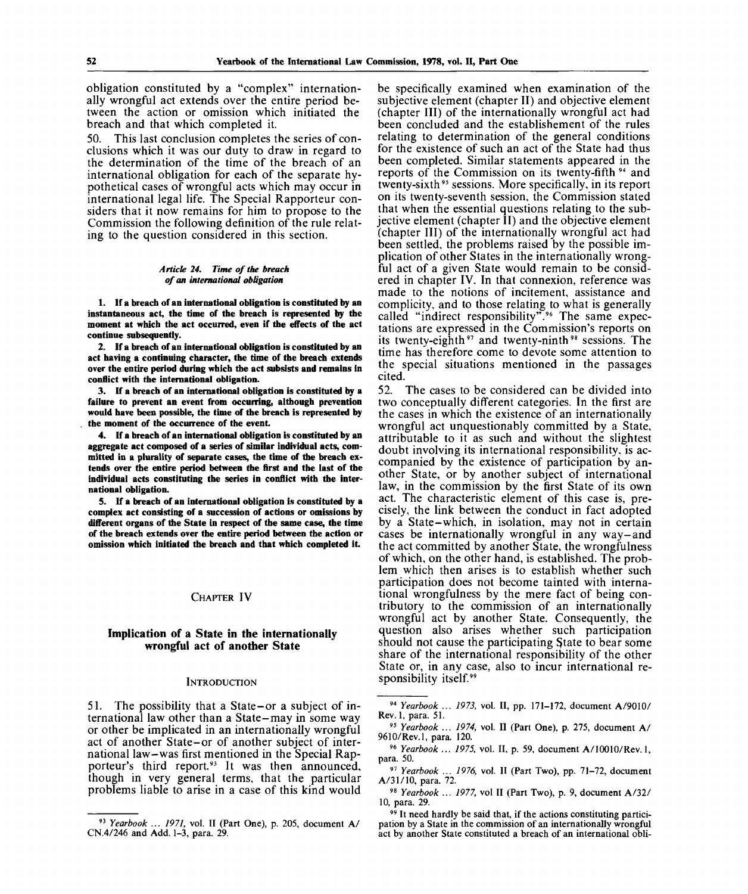obligation constituted by a "complex" internationally wrongful act extends over the entire period between the action or omission which initiated the breach and that which completed it.

50. This last conclusion completes the series of conclusions which it was our duty to draw in regard to the determination of the time of the breach of an international obligation for each of the separate hypothetical cases of wrongful acts which may occur in international legal life. The Special Rapporteur considers that it now remains for him to propose to the Commission the following definition of the rule relating to the question considered in this section.

#### *Article 24. Time of the breach of an international obligation*

**1. If a breach of an international obligation is constituted by an instantaneous act, the time of the breach is represented by the moment at which the act occurred, even if the effects of the act continue subsequently.**

**2. If a breach of an international obligation is constituted by an act having a continuing character, the time of the breach extends over the entire period during which the act subsists and remains in conflict with the international obligation.**

**3. If a breach of an international obligation is constituted by a failure to prevent an event from occurring, although prevention would have been possible, the time of the breach is represented by the moment of the occurrence of the event.**

**4. If a breach of an international obligation is constituted by an aggregate act composed of a series of similar individual acts, committed in a plurality of separate cases, the time of the breach extends over the entire period between the first and the last of the individual acts constituting the series in conflict with the international obligation.**

**5. If a breach of an international obligation is constituted by a complex act consisting of a succession of actions or omissions by different organs of the State in respect of the same case, the time of the breach extends over the entire period between the action or omission which initiated the breach and that which completed it.**

### CHAPTER IV

#### **Implication of a State in the internationally wrongful act of another State**

#### **INTRODUCTION**

51. The possibility that a State-or a subject of international law other than a State-may in some way or other be implicated in an internationally wrongful act of another State-or of another subject of international law-was first mentioned in the Special Rapporteur's third report.<sup>93</sup> It was then announced, though in very general terms, that the particular problems liable to arise in a case of this kind would

be specifically examined when examination of the subjective element (chapter II) and objective element (chapter III) of the internationally wrongful act had been concluded and the establishement of the rules relating to determination of the general conditions for the existence of such an act of the State had thus been completed. Similar statements appeared in the reports of the Commission on its twenty-fifth <sup>94</sup> and twenty-sixth<sup>95</sup> sessions. More specifically, in its report on its twenty-seventh session, the Commission stated that when the essential questions relating to the subjective element (chapter II) and the objective element (chapter III) of the internationally wrongful act had been settled, the problems raised by the possible implication of other States in the internationally wrongful act of a given State would remain to be considered in chapter IV. In that connexion, reference was made to the notions of incitement, assistance and complicity, and to those relating to what is generally called "indirect responsibility".<sup>96</sup> The same expectations are expressed in the Commission's reports on its twenty-eighth<sup>97</sup> and twenty-ninth<sup>98</sup> sessions. The time has therefore come to devote some attention to the special situations mentioned in the passages cited.

52. The cases to be considered can be divided into two conceptually different categories. In the first are the cases in which the existence of an internationally wrongful act unquestionably committed by a State, attributable to it as such and without the slightest doubt involving its international responsibility, is accompanied by the existence of participation by another State, or by another subject of international law, in the commission by the first State of its own act. The characteristic element of this case is, precisely, the link between the conduct in fact adopted by a State-which, in isolation, may not in certain cases be internationally wrongful in any way-and the act committed by another State, the wrongfulness of which, on the other hand, is established. The problem which then arises is to establish whether such participation does not become tainted with international wrongfulness by the mere fact of being contributory to the commission of an internationally wrongful act by another State. Consequently, the question also arises whether such participation should not cause the participating State to bear some share of the international responsibility of the other State or, in any case, also to incur international responsibility itself.<sup>99</sup>

<sup>93</sup>  *Yearbook ... 1971,* vol. II (Part One), p. 205, document A/ CN.4/246 and Add. 1-3, para. 29.

<sup>94</sup>  *Yearbook ... 1973,* vol. II, pp. 171-172, document A/9010/ Rev. 1, para. 51.

<sup>95</sup>  *Yearbook ... 1974,* vol. II (Part One), p. 275, document A/ 9610/Rev.l, para. 120.

<sup>96</sup>  *Yearbook ... 1975,* vol. II, p. 59, document A/10010/Rev. 1, para. 50.

<sup>&</sup>lt;sup>97</sup> Yearbook ... 1976, vol. II (Part Two), pp. 71-72, document A/31/10, para. 72.

<sup>98</sup>  *Yearbook ... 1977,* vol II (Part Two), p. 9, document A/32 / 10, para. 29.

<sup>&</sup>lt;sup>99</sup> It need hardly be said that, if the actions constituting participation by a State in the commission of an internationally wrongful act by another State constituted a breach of an international obli-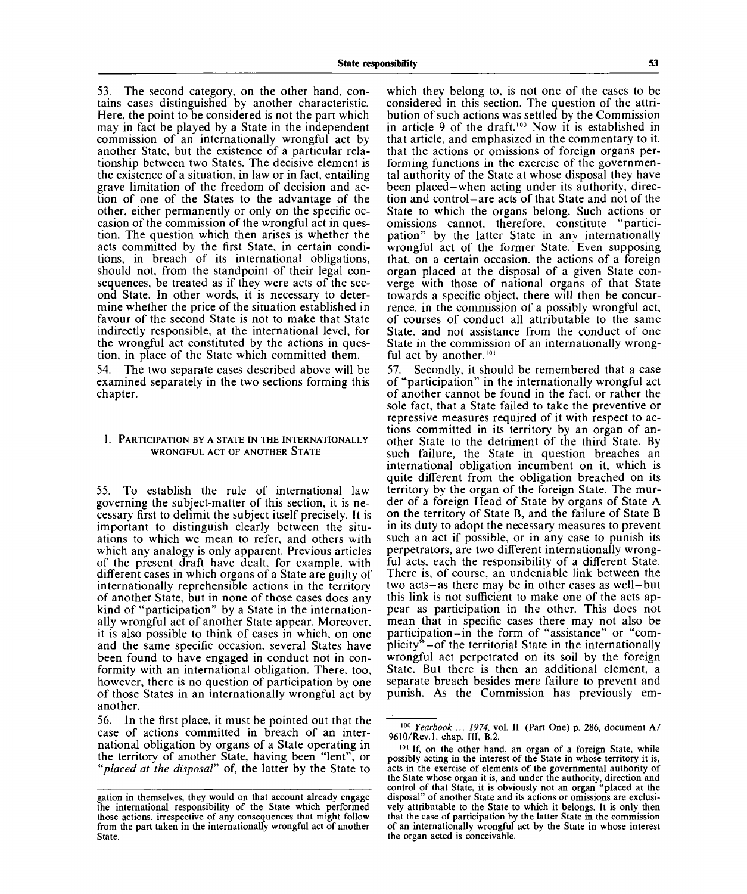53. The second category, on the other hand, contains cases distinguished by another characteristic. Here, the point to be considered is not the part which may in fact be played by a State in the independent commission of an internationally wrongful act by another State, but the existence of a particular relationship between two States. The decisive element is the existence of a situation, in law or in fact, entailing grave limitation of the freedom of decision and action of one of the States to the advantage of the other, either permanently or only on the specific occasion of the commission of the wrongful act in question. The question which then arises is whether the acts committed by the first State, in certain conditions, in breach of its international obligations, should not, from the standpoint of their legal consequences, be treated as if they were acts of the second State. In other words, it is necessary to determine whether the price of the situation established in favour of the second State is not to make that State indirectly responsible, at the international level, for the wrongful act constituted by the actions in question, in place of the State which committed them.

54. The two separate cases described above will be examined separately in the two sections forming this chapter.

### 1. PARTICIPATION BY A STATE IN THE INTERNATIONALLY WRONGFUL ACT OF ANOTHER STATE

55. To establish the rule of international law governing the subject-matter of this section, it is necessary first to delimit the subject itself precisely. It is important to distinguish clearly between the situations to which we mean to refer, and others with which any analogy is only apparent. Previous articles of the present draft have dealt, for example, with different cases in which organs of a State are guilty of internationally reprehensible actions in the territory of another State, but in none of those cases does any kind of "participation" by a State in the internationally wrongful act of another State appear. Moreover, it is also possible to think of cases in which, on one and the same specific occasion, several States have been found to have engaged in conduct not in conformity with an international obligation. There, too, however, there is no question of participation by one of those States in an internationally wrongful act by another.

56. In the first place, it must be pointed out that the case of actions committed in breach of an international obligation by organs of a State operating in the territory of another State, having been "lent", or *"placed at the disposal"* of, the latter by the State to

which they belong to, is not one of the cases to be considered in this section. The question of the attribution of such actions was settled by the Commission in article 9 of the draft.<sup>100</sup> Now it is established in that article, and emphasized in the commentary to it, that the actions or omissions of foreign organs performing functions in the exercise of the governmental authority of the State at whose disposal they have been placed-when acting under its authority, direction and control-are acts of that State and not of the State to which the organs belong. Such actions or omissions cannot, therefore, constitute "participation" by the latter State in any internationally wrongful act of the former State. Even supposing that, on a certain occasion, the actions of a foreign organ placed at the disposal of a given State converge with those of national organs of that State towards a specific object, there will then be concurrence, in the commission of a possibly wrongful act, of courses of conduct all attributable to the same State, and not assistance from the conduct of one State in the commission of an internationally wrongful act by another.<sup>101</sup>

57. Secondly, it should be remembered that a case of "participation" in the internationally wrongful act of another cannot be found in the fact, or rather the sole fact, that a State failed to take the preventive or repressive measures required of it with respect to actions committed in its territory by an organ of another State to the detriment of the third State. By such failure, the State in question breaches an international obligation incumbent on it, which is quite different from the obligation breached on its territory by the organ of the foreign State. The murder of a foreign Head of State by organs of State A on the territory of State B, and the failure of State B in its duty to adopt the necessary measures to prevent such an act if possible, or in any case to punish its perpetrators, are two different internationally wrongful acts, each the responsibility of a different State. There is, of course, an undeniable link between the two acts-as there may be in other cases as well-but this link is not sufficient to make one of the acts appear as participation in the other. This does not mean that in specific cases there may not also be participation-in the form of "assistance" or "complicity" $-$ of the territorial State in the internationally wrongful act perpetrated on its soil by the foreign State. But there is then an additional element, a separate breach besides mere failure to prevent and punish. As the Commission has previously em-

gation in themselves, they would on that account already engage the international responsibility of the State which performed those actions, irrespective of any consequences that might follow from the part taken in the internationally wrongful act of another State.

<sup>100</sup>  *Yearbook ... 1974,* vol. **II** (Part One) p. 286, document A/ 9610/Rev.l, chap. **Ill,** B.2.

<sup>101</sup> If, on the other hand, an organ of a foreign State, while possibly acting in the interest of the State in whose territory it is, acts in the exercise of elements of the governmental authority of the State whose organ it is, and under the authority, direction and control of that State, it is obviously not an organ "placed at the disposal" of another State and its actions or omissions are exclusively attributable to the State to which it belongs. It is only then that the case of participation by the latter State in the commission of an internationally wrongful act by the State in whose interest the organ acted is conceivable.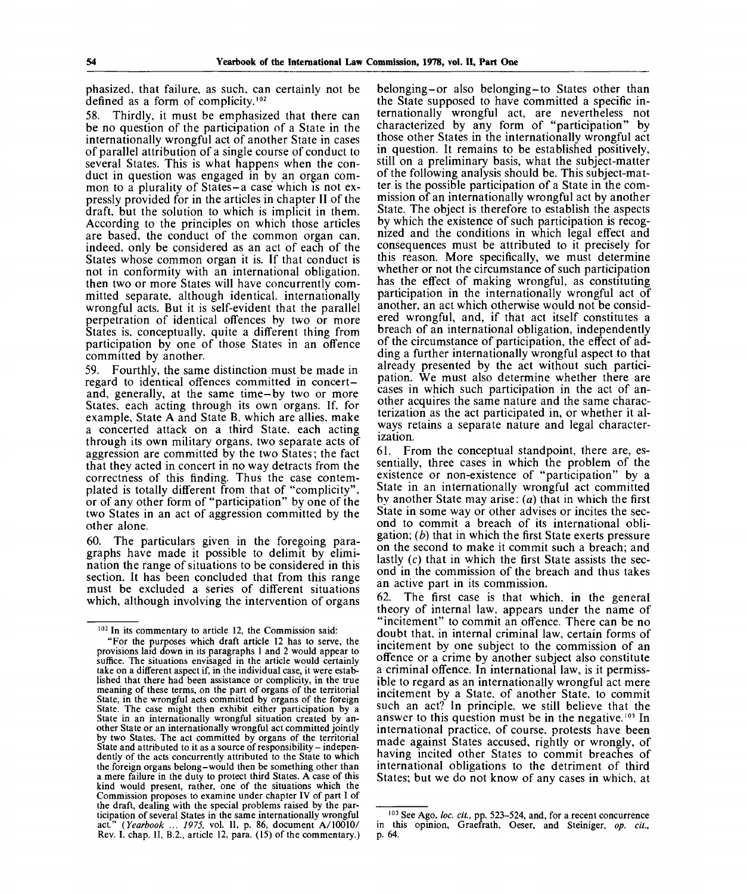phasized, that failure, as such, can certainly not be defined as a form of complicity.<sup>102</sup>

58. Thirdly, it must be emphasized that there can be no question of the participation of a State in the internationally wrongful act of another State in cases of parallel attribution of a single course of conduct to several States. This is what happens when the conduct in question was engaged in by an organ common to a plurality of States-a case which is not expressly provided for in the articles in chapter II of the draft, but the solution to which is implicit in them. According to the principles on which those articles are based, the conduct of the common organ can, indeed, only be considered as an act of each of the States whose common organ it is. If that conduct is not in conformity with an international obligation, then two or more States will have concurrently committed separate, although identical, internationally wrongful acts. But it is self-evident that the parallel perpetration of identical offences by two or more States is, conceptually, quite a different thing from participation by one of those States in an offence committed by another.

59. Fourthly, the same distinction must be made in regard to identical offences committed in concertand, generally, at the same time-by two or more States, each acting through its own organs. If, for example, State A and State B, which are allies, make a concerted attack on a third State, each acting through its own military organs, two separate acts of aggression are committed by the two States; the fact that they acted in concert in no way detracts from the correctness of this finding. Thus the case contemplated is totally different from that of "complicity", or of any other form of "participation" by one of the two States in an act of aggression committed by the other alone.

60. The particulars given in the foregoing paragraphs have made it possible to delimit by elimination the range of situations to be considered in this section. It has been concluded that from this range must be excluded a series of different situations which, although involving the intervention of organs belonging-or also belonging-to States other than the State supposed to have committed a specific internationally wrongful act, are nevertheless not characterized by any form of "participation" by those other States in the internationally wrongful act in question. It remains to be established positively, still on a preliminary basis, what the subject-matter of the following analysis should be. This subject-matter is the possible participation of a State in the commission of an internationally wrongful act by another State. The object is therefore to establish the aspects by which the existence of such participation is recognized and the conditions in which legal effect and consequences must be attributed to it precisely for this reason. More specifically, we must determine whether or not the circumstance of such participation has the effect of making wrongful, as constituting participation in the internationally wrongful act of another, an act which otherwise would not be considered wrongful, and, if that act itself constitutes a breach of an international obligation, independently of the circumstance of participation, the effect of adding a further internationally wrongful aspect to that already presented by the act without such participation. We must also determine whether there are cases in which such participation in the act of another acquires the same nature and the same characterization as the act participated in, or whether it always retains a separate nature and legal characterization.

61. From the conceptual standpoint, there are, essentially, three cases in which the problem of the existence or non-existence of "participation" by a State in an internationally wrongful act committed by another State may arise: *(a)* that in which the first State in some way or other advises or incites the second to commit a breach of its international obligation; *(b)* that in which the first State exerts pressure on the second to make it commit such a breach; and lastly (c) that in which the first State assists the second in the commission of the breach and thus takes an active part in its commission.

62. The first case is that which, in the general theory of internal law, appears under the name of "incitement" to commit an offence. There can be no doubt that, in internal criminal law, certain forms of incitement by one subject to the commission of an offence or a crime by another subject also constitute a criminal offence. In international law, is it permissible to regard as an internationally wrongful act mere incitement by a State, of another State, to commit such an act? In principle, we still believe that the answer to this question must be in the negative.<sup>103</sup> In international practice, of course, protests have been made against States accused, rightly or wrongly, of having incited other States to commit breaches of international obligations to the detriment of third States; but we do not know of any cases in which, at

<sup>102</sup> In its commentary to article 12, the Commission said:

<sup>&</sup>quot;For the purposes which draft article 12 has to serve, the provisions laid down in its paragraphs 1 and 2 would appear to suffice. The situations envisaged in the article would certainly take on a different aspect if, in the individual case, it were established that there had been assistance or complicity, in the true meaning of these terms, on the part of organs of the territorial State, in the wrongful acts committed by organs of the foreign State. The case might then exhibit either participation by a State in an internationally wrongful situation created by another State or an internationally wrongful act committed jointly by two States. The act committed by organs of the territorial State and attributed to it as a source of responsibility – independently of the acts concurrently attributed to the State to which the foreign organs belong-would then be something other than a mere failure in the duty to protect third States. A case of this kind would present, rather, one of the situations which the Commission proposes to examine under chapter IV of part I of the draft, dealing with the special problems raised by the participation of several States in the same internationally wrongful act." *(Yearbook ... 1975,* vol. II, p. 86, document A/10010/ Rev. I. chap. II, B.2., article 12, para. (15) of the commentary.)

<sup>103</sup> See Ago, *loc. cit.,* pp. 523-524, and, for a recent concurrence in this opinion, Graefrath, Oeser, and Steiniger, *op. cit.,* p. 64.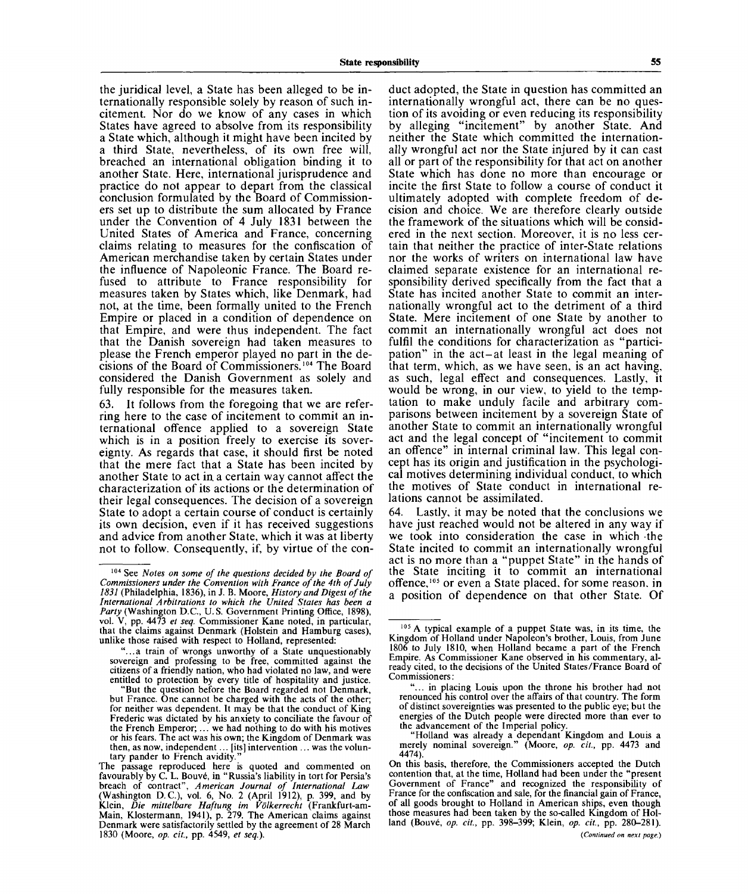the juridical level, a State has been alleged to be internationally responsible solely by reason of such incitement. Nor do we know of any cases in which States have agreed to absolve from its responsibility a State which, although it might have been incited by a third State, nevertheless, of its own free will, breached an international obligation binding it to another State. Here, international jurisprudence and practice do not appear to depart from the classical conclusion formulated by the Board of Commissioners set up to distribute the sum allocated by France under the Convention of 4 July 1831 between the United States of America and France, concerning claims relating to measures for the confiscation of American merchandise taken by certain States under the influence of Napoleonic France. The Board refused to attribute to France responsibility for measures taken by States which, like Denmark, had not, at the time, been formally united to the French Empire or placed in a condition of dependence on that Empire, and were thus independent. The fact that the Danish sovereign had taken measures to please the French emperor played no part in the decisions of the Board of Commissioners.<sup>104</sup> The Board considered the Danish Government as solely and fully responsible for the measures taken.

63. It follows from the foregoing that we are referring here to the case of incitement to commit an international offence applied to a sovereign State which is in a position freely to exercise its sovereignty. As regards that case, it should first be noted that the mere fact that a State has been incited by another State to act in a certain way cannot affect the characterization of its actions or the determination of their legal consequences. The decision of a sovereign State to adopt a certain course of conduct is certainly its own decision, even if it has received suggestions and advice from another State, which it was at liberty not to follow. Consequently, if, by virtue of the conduct adopted, the State in question has committed an internationally wrongful act, there can be no question of its avoiding or even reducing its responsibility by alleging "incitement" by another State. And neither the State which committed the internationally wrongful act nor the State injured by it can cast all or part of the responsibility for that act on another State which has done no more than encourage or incite the first State to follow a course of conduct it ultimately adopted with complete freedom of decision and choice. We are therefore clearly outside the framework of the situations which will be considered in the next section. Moreover, it is no less certain that neither the practice of inter-State relations nor the works of writers on international law have claimed separate existence for an international responsibility derived specifically from the fact that a State has incited another State to commit an internationally wrongful act to the detriment of a third State. Mere incitement of one State by another to commit an internationally wrongful act does not fulfil the conditions for characterization as "participation" in the act-at least in the legal meaning of that term, which, as we have seen, is an act having, as such, legal effect and consequences. Lastly, it would be wrong, in our view, to yield to the temptation to make unduly facile and arbitrary comparisons between incitement by a sovereign State of another State to commit an internationally wrongful act and the legal concept of "incitement to commit an offence" in internal criminal law. This legal concept has its origin and justification in the psychological motives determining individual conduct, to which the motives of State conduct in international relations cannot be assimilated.

64. Lastly, it may be noted that the conclusions we have just reached would not be altered in any way if we took into consideration the case in which the State incited to commit an internationally wrongful act is no more than a "puppet State" in the hands of the State inciting it to commit an international offence,<sup>105</sup> or even a State placed, for some reason, in a position of dependence on that other State. Of

<sup>104</sup> See *Notes on some of the questions decided by the Board of Commissioners under the Convention with France of the 4th of July 1831* (Philadelphia, 1836), in J. B. Moore, *History and Digest of the International Arbitrations to which the United States has been a Party* (Washington D.C., U.S. Government Printing Office, 1898), vol. V, pp. 4473 *et seq.* Commissioner Kane noted, in particular, that the claims against Denmark (Holstein and Hamburg cases), unlike those raised with respect to Holland, represented:

<sup>&</sup>quot;...a train of wrongs unworthy of a State unquestionably sovereign and professing to be free, committed against the citizens of a friendly nation, who had violated no law, and were entitled to protection by every title of hospitality and justice.

<sup>&</sup>quot;But the question before the Board regarded not Denmark, but France. One cannot be charged with the acts of the other; for neither was dependent. It may be that the conduct of King Frederic was dictated by his anxiety to conciliate the favour of the French Emperor; ... we had nothing to do with his motives or his fears. The act was his own; the Kingdom of Denmark was then, as now, independent... [its] intervention ... was the voluntary pander to French avidity

The passage reproduced here is quoted and commented on favourably by C. L. Bouve, in "Russia's liability in tort for Persia's breach of contract", *American Journal of International Law* (Washington D.C.), vol. 6, No. 2 (April 1912), p. 399, and by Klein, *Die mittelbare Haftung im Volkerrecht* (Frankfurt-am-Main, Klostermann, 1941), p. 279. The American claims against Denmark were satisfactorily settled by the agreement of 28 March 1830 (Moore, *op. cit.,* pp. 4549, *et seq.).*

<sup>&</sup>lt;sup>105</sup> A typical example of a puppet State was, in its time, the Kingdom of Holland under Napoleon's brother, Louis, from June 1806 to July 1810, when Holland became a part of the French Empire. As Commissioner Kane observed in his commentary, already cited, to the decisions of the United States/France Board of Commissioners:

<sup>&</sup>quot;... in placing Louis upon the throne his brother had not renounced his control over the affairs of that country. The form of distinct sovereignties was presented to the public eye; but the energies of the Dutch people were directed more than ever to the advancement of the Imperial policy.

<sup>&</sup>quot;Holland was already a dependant Kingdom and Louis a merely nominal sovereign." (Moore, *op. cit.,* pp. 4473 and 4474).

On this basis, therefore, the Commissioners accepted the Dutch contention that, at the time, Holland had been under the "present Government of France" and recognized the responsibility of France for the confiscation and sale, for the financial gain of France, of all goods brought to Holland in American ships, even though those measures had been taken by the so-called Kingdom of Holland (Bouve, *op. cit.,* pp. 398-399; Klein, *op. cit.,* pp. 280-281).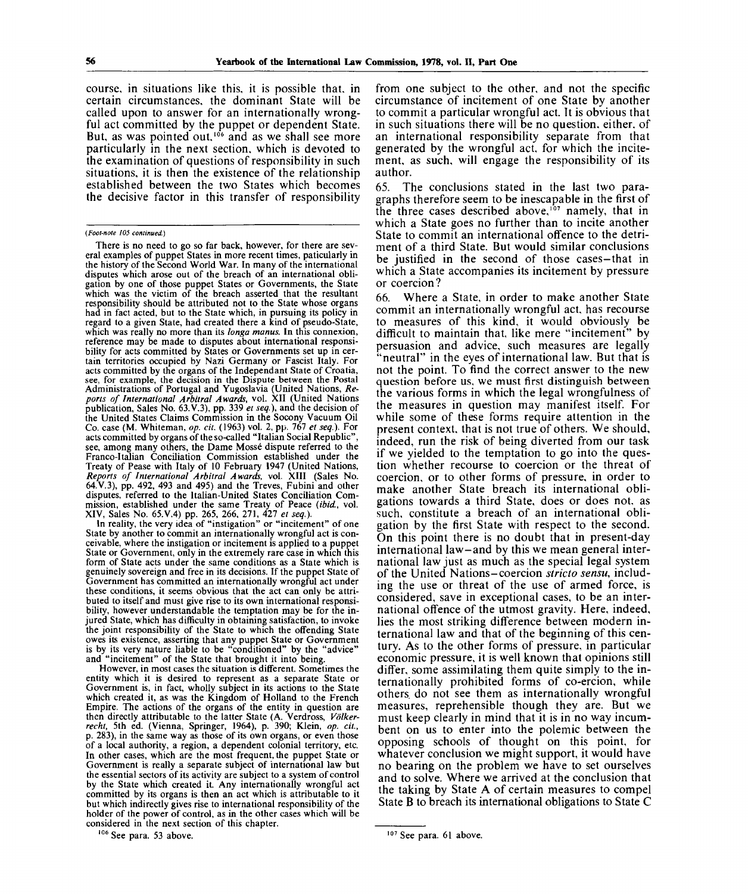course, in situations like this, it is possible that, in certain circumstances, the dominant State will be called upon to answer for an internationally wrongful act committed by the puppet or dependent State. But, as was pointed out, $106$  and as we shall see more particularly in the next section, which is devoted to the examination of questions of responsibility in such situations, it is then the existence of the relationship established between the two States which becomes the decisive factor in this transfer of responsibility

There is no need to go so far back, however, for there are several examples of puppet States in more recent times, paticularly in the history of the Second World War. In many of the international disputes which arose out of the breach of an international obligation by one of those puppet States or Governments, the State which was the victim of the breach asserted that the resultant responsibility should be attributed not to the State whose organs had in fact acted, but to the State which, in pursuing its policy in regard to a given State, had created there a kind of pseudo-State, which was really no more than its *longa manus.* In this connexion, reference may be made to disputes about international responsibility for acts committed by States or Governments set up in certain territories occupied by Nazi Germany or Fascist Italy. For acts committed by the organs of the Independant State of Croatia, see, for example, the decision in the Dispute between the Postal Administrations of Portugal and Yugoslavia (United Nations, *Reports of International Arbitral Awards,* vol. XII (United Nations publication, Sales No. 63.V.3), pp. 339 *et seq.),* and the decision of the United States Claims Commission in the Socony Vacuum Oil Co. case (M. Whiteman, *op. cit.* (1963) vol. 2, pp. 767 *et seq.).* For acts committed by organs of the so-called "Italian Social Republic", see, among many others, the Dame Mosse dispute referred to the Franco-Italian Conciliation Commission established under the Treaty of Pease with Italy of 10 February 1947 (United Nations, *Reports of International Arbitral Awards,* vol. XIII (Sales No. 64.V.3), pp. 492, 493 and 495) and the Treves, Fubini and other disputes, referred to the Italian-United States Conciliation Commission, established under the same Treaty of Peace *{ibid.,* vol. XIV, Sales No. 65.V.4) pp. 265, 266, 271, 427 *et seq.).*

In reality, the very idea of "instigation" or "incitement" of one State by another to commit an internationally wrongful act is conceivable, where the instigation or incitement is applied to a puppet State or Government, only in the extremely rare case in which this form of State acts under the same conditions as a State which is genuinely sovereign and free in its decisions. If the puppet State of Government has committed an internationally wrongful act under these conditions, it seems obvious that the act can only be attributed to itself and must give rise to its own international responsibility, however understandable the temptation may be for the injured State, which has difficulty in obtaining satisfaction, to invoke the joint responsibility of the State to which the offending State owes its existence, asserting that any puppet State or Government is by its very nature liable to be "conditioned" by the "advice" and "incitement" of the State that brought it into being.

However, in most cases the situation is different. Sometimes the entity which it is desired to represent as a separate State or Government is, in fact, wholly subject in its actions to the State which created it, as was the Kingdom of Holland to the French Empire. The actions of the organs of the entity in question are then directly attributable to the latter State (A. Verdross, *Volkerrecht,* 5th ed. (Vienna, Springer, 1964), p. 390; Klein, *op. cit.,* p. 283), in the same way as those of its own organs, or even those of a local authority, a region, a dependent colonial territory, etc. In other cases, which are the most frequent, the puppet State or Government is really a separate subject of international law but the essential sectors of its activity are subject to a system of control by the State which created it. Any internationally wrongful act committed by its organs is then an act which is attributable to it but which indirectly gives rise to international responsibility of the holder of the power of control, as in the other cases which will be considered in the next section of this chapter.

106 See para. 53 above.

from one subject to the other, and not the specific circumstance of incitement of one State by another to commit a particular wrongful act. It is obvious that in such situations there will be no question, either, of an international responsibility separate from that generated by the wrongful act, for which the incitement, as such, will engage the responsibility of its author.

65. The conclusions stated in the last two paragraphs therefore seem to be inescapable in the first of the three cases described above, $107$  namely, that in which a State goes no further than to incite another State to commit an international offence to the detriment of a third State. But would similar conclusions be justified in the second of those cases-that in which a State accompanies its incitement by pressure or coercion?

66. Where a State, in order to make another State commit an internationally wrongful act, has recourse to measures of this kind, it would obviously be difficult to maintain that, like mere "incitement" by persuasion and advice, such measures are legally 'neutral" in the eyes of international law. But that is not the point. To find the correct answer to the new question before us, we must first distinguish between the various forms in which the legal wrongfulness of the measures in question may manifest itself. For while some of these forms require attention in the present context, that is not true of others. We should, indeed, run the risk of being diverted from our task if we yielded to the temptation to go into the question whether recourse to coercion or the threat of coercion, or to other forms of pressure, in order to make another State breach its international obligations towards a third State, does or does not, as such, constitute a breach of an international obligation by the first State with respect to the second. On this point there is no doubt that in present-day international law-and by this we mean general international law just as much as the special legal system of the United Nations-coercion *stricto sensu,* including the use or threat of the use of armed force, is considered, save in exceptional cases, to be an international offence of the utmost gravity. Here, indeed, lies the most striking difference between modern international law and that of the beginning of this century. As to the other forms of pressure, in particular economic pressure, it is well known that opinions still differ, some assimilating them quite simply to the internationally prohibited forms of co-ercion, while others, do not see them as internationally wrongful measures, reprehensible though they are. But we must keep clearly in mind that it is in no way incumbent on us to enter into the polemic between the opposing schools of thought on this point, for whatever conclusion we might support, it would have no bearing on the problem we have to set ourselves and to solve. Where we arrived at the conclusion that the taking by State A of certain measures to compel State B to breach its international obligations to State C

*<sup>(</sup>Foot-note 105 continued.)*

<sup>107</sup> See para. 61 above.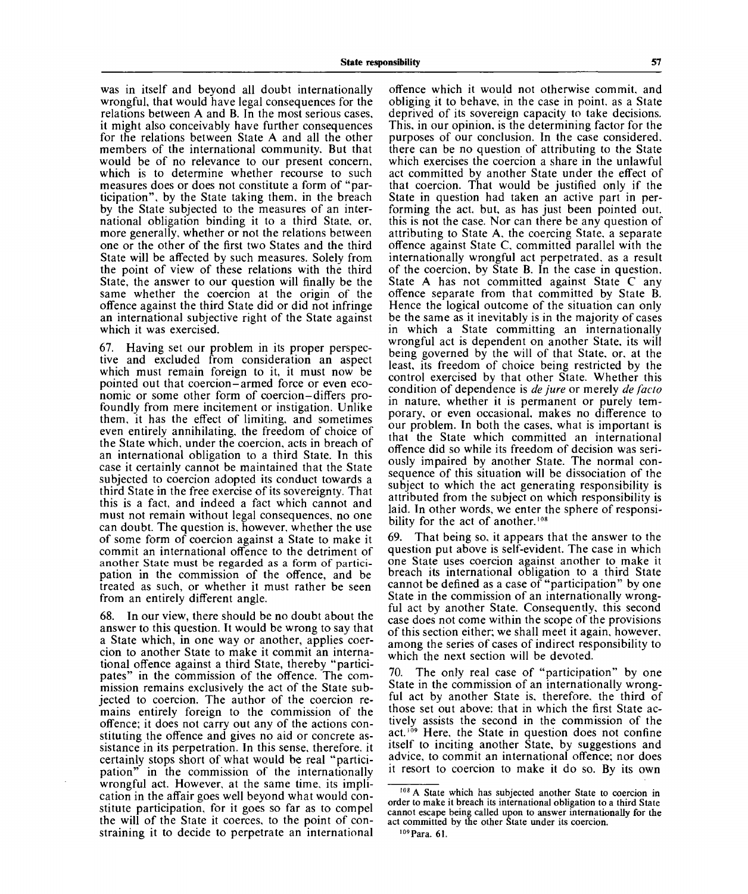was in itself and beyond all doubt internationally wrongful, that would have legal consequences for the relations between A and B. In the most serious cases, it might also conceivably have further consequences for the relations between State A and all the other members of the international community. But that would be of no relevance to our present concern, which is to determine whether recourse to such measures does or does not constitute a form of "participation", by the State taking them, in the breach by the State subjected to the measures of an international obligation binding it to a third State, or, more generally, whether or not the relations between one or the other of the first two States and the third State will be affected by such measures. Solely from the point of view of these relations with the third State, the answer to our question will finally be the same whether the coercion at the origin of the offence against the third State did or did not infringe an international subjective right of the State against which it was exercised.

67. Having set our problem in its proper perspective and excluded from consideration an aspect which must remain foreign to it, it must now be pointed out that coercion-armed force or even economic or some other form of coercion-differs profoundly from mere incitement or instigation. Unlike them, it has the effect of limiting, and sometimes even entirely annihilating, the freedom of choice of the State which, under the coercion, acts in breach of an international obligation to a third State. In this case it certainly cannot be maintained that the State subjected to coercion adopted its conduct towards a third State in the free exercise of its sovereignty. That this is a fact, and indeed a fact which cannot and must not remain without legal consequences, no one can doubt. The question is, however, whether the use of some form of coercion against a State to make it commit an international offence to the detriment of another State must be regarded as a form of participation in the commission of the offence, and be treated as such, or whether it must rather be seen from an entirely different angle.

68. In our view, there should be no doubt about the answer to this question. It would be wrong to say that a State which, in one way or another, applies coercion to another State to make it commit an international offence against a third State, thereby "participates" in the commission of the offence. The commission remains exclusively the act of the State subjected to coercion. The author of the coercion remains entirely foreign to the commission of the offence; it does not carry out any of the actions constituting the offence and gives no aid or concrete assistance in its perpetration. In this sense, therefore, it certainly stops short of what would be real "participation" in the commission of the internationally wrongful act. However, at the same time, its implication in the affair goes well beyond what would constitute participation, for it goes so far as to compel the will of the State it coerces, to the point of constraining it to decide to perpetrate an international offence which it would not otherwise commit, and obliging it to behave, in the case in point, as a State deprived of its sovereign capacity to take decisions. This, in our opinion, is the determining factor for the purposes of our conclusion. In the case considered, there can be no question of attributing to the State which exercises the coercion a share in the unlawful act committed by another State under the effect of that coercion. That would be justified only if the State in question had taken an active part in performing the act, but, as has just been pointed out. this is not the case. Nor can there be any question of attributing to State A, the coercing State, a separate offence against State C, committed parallel with the internationally wrongful act perpetrated, as a result of the coercion, by State B. In the case in question. State A has not committed against State C any offence separate from that committed by State B. Hence the logical outcome of the situation can only be the same as it inevitably is in the majority of cases in which a State committing an internationally wrongful act is dependent on another State, its will being governed by the will of that State, or, at the least, its freedom of choice being restricted by the control exercised by that other State. Whether this condition of dependence is *de jure* or merely *de facto* in nature, whether it is permanent or purely temporary, or even occasional, makes no difference to our problem. In both the cases, what is important is that the State which committed an international offence did so while its freedom of decision was seriously impaired by another State. The normal consequence of this situation will be dissociation of the subject to which the act generating responsibility is attributed from the subject on which responsibility is laid. In other words, we enter the sphere of responsibility for the act of another.<sup>108</sup>

69. That being so, it appears that the answer to the question put above is self-evident. The case in which one State uses coercion against another to make it breach its international obligation to a third State cannot be defined as a case of "participation" by one State in the commission of an internationally wrongful act by another State. Consequently, this second case does not come within the scope of the provisions of this section either, we shall meet it again, however, among the series of cases of indirect responsibility to which the next section will be devoted.

70. The only real case of "participation" by one State in the commission of an internationally wrongful act by another State is, therefore, the third of those set out above: that in which the first State actively assists the second in the commission of the act.<sup>109</sup> Here, the State in question does not confine itself to inciting another State, by suggestions and advice, to commit an international offence; nor does it resort to coercion to make it do so. By its own

109 Para. 61.

<sup>&</sup>lt;sup>108</sup> A State which has subjected another State to coercion in order to make it breach its international obligation to a third State cannot escape being called upon to answer internationally for the act committed by the other State under its coercion.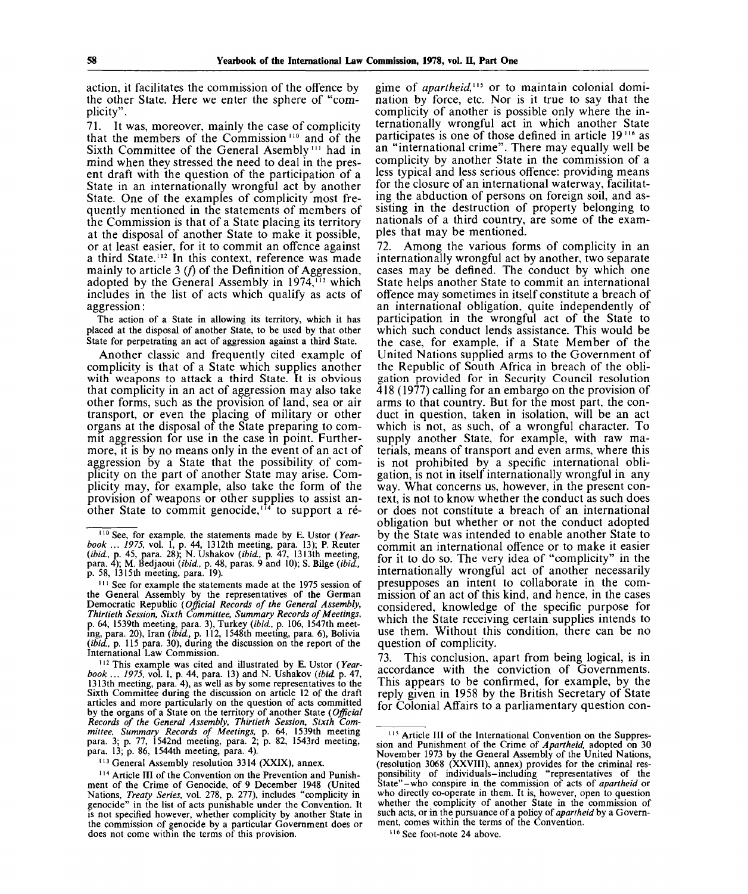action, it facilitates the commission of the offence by the other State. Here we enter the sphere of "complicity".

71. It was, moreover, mainly the case of complicity that the members of the Commission<sup>110</sup> and of the Sixth Committee of the General Asembly<sup>111</sup> had in mind when they stressed the need to deal in the present draft with the question of the participation of a State in an internationally wrongful act by another State. One of the examples of complicity most frequently mentioned in the statements of members of the Commission is that of a State placing its territory at the disposal of another State to make it possible, or at least easier, for it to commit an offence against a third State.<sup>112</sup> In this context, reference was made mainly to article 3  $(f)$  of the Definition of Aggression, adopted by the General Assembly in 1974,<sup>113</sup> which includes in the list of acts which qualify as acts of aggression:

The action of a State in allowing its territory, which it has placed at the disposal of another State, to be used by that other State for perpetrating an act of aggression against a third State.

Another classic and frequently cited example of complicity is that of a State which supplies another with weapons to attack a third State. It is obvious that complicity in an act of aggression may also take other forms, such as the provision of land, sea or air transport, or even the placing of military or other organs at the disposal of the State preparing to commit aggression for use in the case in point. Furthermore, it is by no means only in the event of an act of aggression by a State that the possibility of complicity on the part of another State may arise. Complicity may, for example, also take the form of the provision of weapons or other supplies to assist anprovision of weapons of other suppries to assist an-<br>other State to commit genocide,<sup>114</sup> to support a régime of *apartheid,<sup>115</sup>* or to maintain colonial domination by force, etc. Nor is it true to say that the complicity of another is possible only where the internationally wrongful act in which another State participates is one of those defined in article 19<sup>116</sup> as an "international crime". There may equally well be complicity by another State in the commission of a less typical and less serious offence: providing means for the closure of an international waterway, facilitating the abduction of persons on foreign soil, and assisting in the destruction of property belonging to nationals of a third country, are some of the examples that may be mentioned.

72. Among the various forms of complicity in an internationally wrongful act by another, two separate cases may be defined. The conduct by which one State helps another State to commit an international offence may sometimes in itself constitute a breach of an international obligation, quite independently of participation in the wrongful act of the State to which such conduct lends assistance. This would be the case, for example, if a State Member of the United Nations supplied arms to the Government of the Republic of South Africa in breach of the obligation provided for in Security Council resolution 418 (1977) calling for an embargo on the provision of arms to that country. But for the most part, the conduct in question, taken in isolation, will be an act which is not, as such, of a wrongful character. To supply another State, for example, with raw materials, means of transport and even arms, where this is not prohibited by a specific international obligation, is not in itself internationally wrongful in any way. What concerns us, however, in the present context, is not to know whether the conduct as such does or does not constitute a breach of an international obligation but whether or not the conduct adopted by the State was intended to enable another State to commit an international offence or to make it easier for it to do so. The very idea of "complicity" in the internationally wrongful act of another necessarily presupposes an intent to collaborate in the commission of an act of this kind, and hence, in the cases considered, knowledge of the specific purpose for which the State receiving certain supplies intends to use them. Without this condition, there can be no question of complicity.

73. This conclusion, apart from being logical, is in accordance with the conviction of Governments. This appears to be confirmed, for example, by the reply given in 1958 by the British Secretary of State for Colonial Affairs to a parliamentary question con-

<sup>110</sup> See, for example, the statements made by E. Ustor *(Yearbook ... 1975,* vol. 1, p. 44, 1312th meeting, para. 13); P. Reuter *{ibid.,* p. 45, para. 28); N. Ushakov *{ibid.,* p. 47, 1313th meeting, para. 4); M. Bedjaoui *(ibid.,* p. 48, paras. 9 and 10); S. Bilge *(ibid.,* p. 58, 1315th meeting, para. 19).

<sup>&</sup>lt;sup>111</sup> See for example the statements made at the 1975 session of the General Assembly by the representatives of the German Democratic Republic *(Official Records of the General Assembly, Thirtieth Session, Sixth Committee, Summary Records of Meetings,* p. 64, 1539th meeting, para. 3), Turkey *(ibid.,* p. 106, 1547th meeting, para. 20), Iran *(ibid,* p. 112, 1548th meeting, para. 6), Bolivia *(ibid,* p. 115 para. 30), during the discussion on the report of the International Law Commission.

<sup>&</sup>lt;sup>112</sup> This example was cited and illustrated by E. Ustor (Year*book ... 1975,* vol. I, p. 44, para. 13) and N. Ushakov *(ibid* p. 47, 1313th meeting, para. 4), as well as by some representatives to the Sixth Committee during the discussion on article 12 of the draft articles and more particularly on the question of acts committed by the organs of a State on the territory of another State *(Official Records of the General Assembly, Thirtieth Session, Sixth Committee, Summary Records of Meetings,* p. 64, 1539th meeting para. 3; p. 77, 1542nd meeting, para. 2; p. 82, 1543rd meeting, para. 13; p. 86, 1544th meeting, para. 4).

<sup>&</sup>lt;sup>113</sup> General Assembly resolution 3314 (XXIX), annex.

<sup>&</sup>lt;sup>114</sup> Article III of the Convention on the Prevention and Punishment of the Crime of Genocide, of 9 December 1948 (United Nations, *Treaty Series,* vol. 278, p. 277), includes "complicity in genocide" in the list of acts punishable under the Convention. It is not specified however, whether complicity by another State in the commission of genocide by a particular Government does or does not come within the terms of this provision.

<sup>&</sup>lt;sup>115</sup> Article III of the International Convention on the Suppression and Punishment of the Crime of *Apartheid,* adopted on 30 November 1973 by the General Assembly of the United Nations, (resolution 3068 (XXVIII), annex) provides for the criminal responsibility of individuals-including "representatives of the State"-who conspire in the commission of acts of *apartheid* or who directly co-operate in them. It is, however, open to question whether the complicity of another State in the commission of such acts, or in the pursuance of a policy of *apartheid* by a Government, comes within the terms of the Convention.

<sup>116</sup> See foot-note 24 above.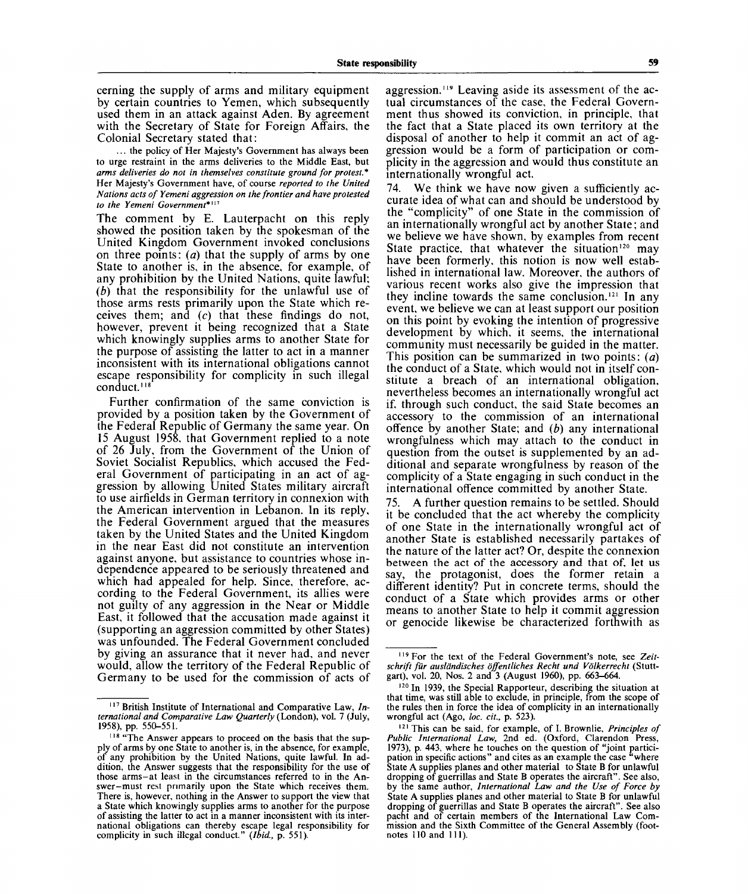cerning the supply of arms and military equipment by certain countries to Yemen, which subsequently used them in an attack against Aden. By agreement with the Secretary of State for Foreign Affairs, the Colonial Secretary stated that:

... the policy of Her Majesty's Government has always been to urge restraint in the arms deliveries to the Middle East, but *arms deliveries do not in themselves constitute ground for protest. \** Her Majesty's Government have, of course *reported to the United Nations acts of Yemeni aggression on the frontier and have protested to the Yemeni Government\**" 17

The comment by E. Lauterpacht on this reply showed the position taken by the spokesman of the United Kingdom Government invoked conclusions on three points: *(a)* that the supply of arms by one State to another is, in the absence, for example, of any prohibition by the United Nations, quite lawful; *(b)* that the responsibility for the unlawful use of those arms rests primarily upon the State which receives them; and (c) that these findings do not, however, prevent it being recognized that a State which knowingly supplies arms to another State for the purpose of assisting the latter to act in a manner inconsistent with its international obligations cannot escape responsibility for complicity in such illegal conduct.<sup>118</sup>

Further confirmation of the same conviction is provided by a position taken by the Government of the Federal Republic of Germany the same year. On 15 August 1958, that Government replied to a note of 26 July, from the Government of the Union of Soviet Socialist Republics, which accused the Federal Government of participating in an act of aggression by allowing United States military aircraft to use airfields in German territory in connexion with the American intervention in Lebanon. In its reply, the Federal Government argued that the measures taken by the United States and the United Kingdom in the near East did not constitute an intervention against anyone, but assistance to countries whose independence appeared to be seriously threatened and which had appealed for help. Since, therefore, according to the Federal Government, its allies were not guilty of any aggression in the Near or Middle East, it followed that the accusation made against it (supporting an aggression committed by other States) was unfounded. The Federal Government concluded by giving an assurance that it never had, and never would, allow the territory of the Federal Republic of Germany to be used for the commission of acts of

aggression.<sup>119</sup> Leaving aside its assessment of the actual circumstances of the case, the Federal Government thus showed its conviction, in principle, that the fact that a State placed its own territory at the disposal of another to help it commit an act of aggression would be a form of participation or complicity in the aggression and would thus constitute an internationally wrongful act.

74. We think we have now given a sufficiently accurate idea of what can and should be understood by the "complicity" of one State in the commission of an internationally wrongful act by another State; and we believe we have shown, by examples from recent State practice, that whatever the situation<sup>120</sup> may have been formerly, this notion is now well established in international law. Moreover, the authors of various recent works also give the impression that they incline towards the same conclusion.<sup>121</sup> In any event, we believe we can at least support our position on this point by evoking the intention of progressive development by which, it seems, the international community must necessarily be guided in the matter. This position can be summarized in two points: *(a)* the conduct of a State, which would not in itself constitute a breach of an international obligation, nevertheless becomes an internationally wrongful act if, through such conduct, the said State becomes an accessory to the commission of an international offence by another State; and *(b)* any international wrongfulness which may attach to the conduct in question from the outset is supplemented by an additional and separate wrongfulness by reason of the complicity of a State engaging in such conduct in the international offence committed by another State.

75. A further question remains to be settled. Should it be concluded that the act whereby the complicity of one State in the internationally wrongful act of another State is established necessarily partakes of the nature of the latter act? Or, despite the connexion between the act of the accessory and that of, let us say, the protagonist, does the former retain a different identity? Put in concrete terms, should the conduct of a State which provides arms or other means to another State to help it commit aggression or genocide likewise be characterized forthwith as

<sup>&</sup>lt;sup>117</sup> British Institute of International and Comparative Law, *International and Comparative Law Quarterly* (London), vol. 7 (July, 1958), pp. 550-551.

<sup>&</sup>lt;sup>118</sup> "The Answer appears to proceed on the basis that the supply of arms by one State to another is, in the absence, for example, of any prohibition by the United Nations, quite lawful. In addition, the Answer suggests that the responsibility for the use of those arms-at least in the circumstances referred to in the Answer-must rest primarily upon the State which receives them. There is, however, nothing in the Answer to support the view that a State which knowingly supplies arms to another for the purpose of assisting the latter to act in a manner inconsistent with its international obligations can thereby escape legal responsibility for complicity in such illegal conduct." *(Ibid.,* p. 551).

<sup>119</sup> For the text of the Federal Government's note, see *Zeitschrift fur ausldndisches offentliches Recht und Volkerrecht* (Stuttgart), vol. 20, Nos. 2 and 3 (August 1960), pp. 663-664.

<sup>&</sup>lt;sup>120</sup> In 1939, the Special Rapporteur, describing the situation at that time, was still able to exclude, in principle, from the scope of the rules then in force the idea of complicity in an internationally wrongful act (Ago, *loc. cit.,* p. 523).

<sup>12</sup>' This can be said, for example, of I. Brownlie, *Principles of Public International Law,* 2nd ed. (Oxford, Clarendon Press, 1973), p. 443, where he touches on the question of "joint participation in specific actions" and cites as an example the case "where State A supplies planes and other material to State B for unlawful dropping of guerrillas and State B operates the aircraft". See also, by the same author, *International Law and the Use of Force by* State A supplies planes and other material to State B for unlawful dropping of guerrillas and State B operates the aircraft". See also pacht and of certain members of the International Law Commission and the Sixth Committee of the General Assembly (footnotes 110 and 111).